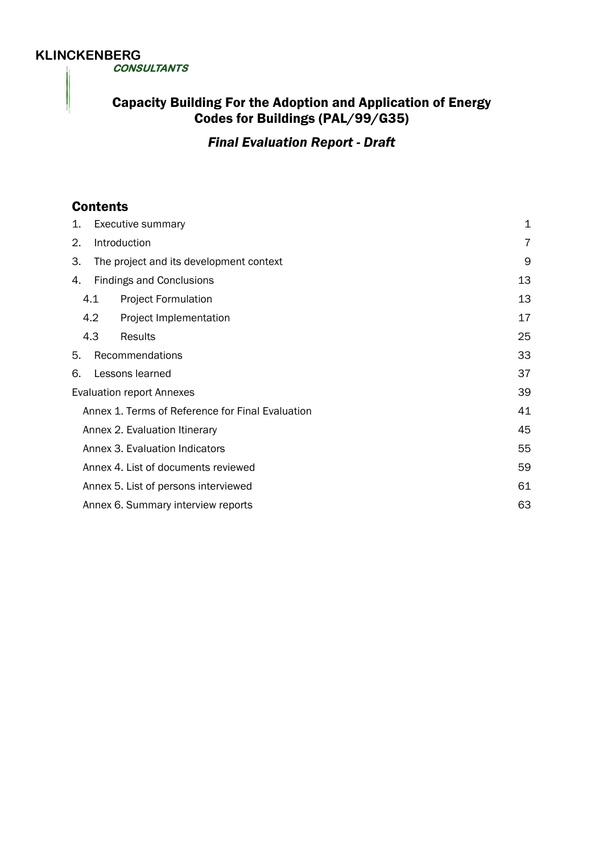# **KLINCKENBERG**

 **CONSULTANTS** 

# **Capacity Building For the Adoption and Application of Energy** Codes for Buildings (PAL/99/G35)

*Final Evaluation Report - Draft* 

# **Contents**

| 1.                                               | Executive summary                       | $\mathbf 1$ |
|--------------------------------------------------|-----------------------------------------|-------------|
| 2.                                               | Introduction                            | 7           |
| 3.                                               | The project and its development context | 9           |
| 4.                                               | <b>Findings and Conclusions</b>         | 13          |
|                                                  | 4.1<br><b>Project Formulation</b>       | 13          |
|                                                  | 4.2<br>Project Implementation           | 17          |
|                                                  | 4.3<br>Results                          | 25          |
| 5.                                               | Recommendations                         | 33          |
| 6.                                               | Lessons learned                         | 37          |
| <b>Evaluation report Annexes</b>                 |                                         | 39          |
| Annex 1. Terms of Reference for Final Evaluation |                                         |             |
| Annex 2. Evaluation Itinerary                    |                                         |             |
| Annex 3. Evaluation Indicators                   |                                         |             |
| Annex 4. List of documents reviewed              |                                         |             |
| Annex 5. List of persons interviewed             |                                         |             |
|                                                  | Annex 6. Summary interview reports      | 63          |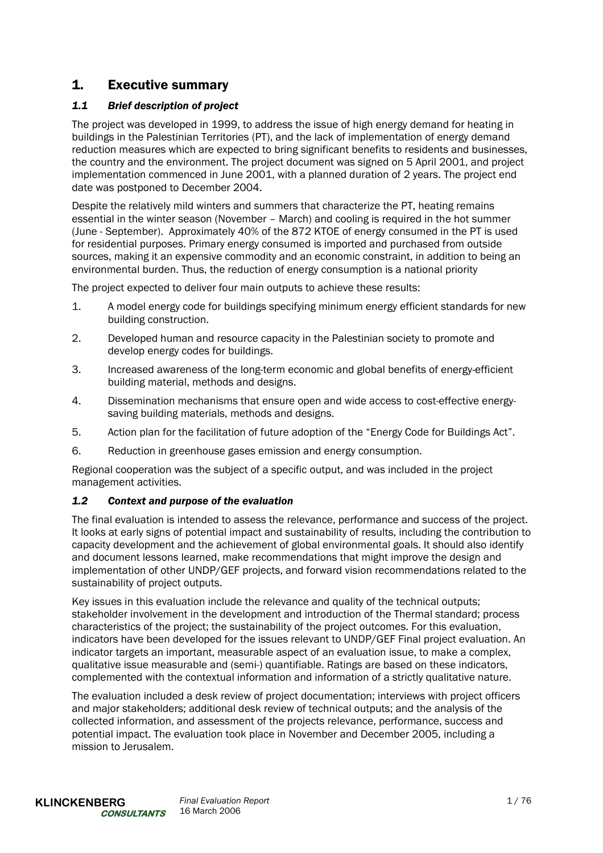# 1. Executive summary

# *1.1 Brief description of project*

The project was developed in 1999, to address the issue of high energy demand for heating in buildings in the Palestinian Territories (PT), and the lack of implementation of energy demand reduction measures which are expected to bring significant benefits to residents and businesses, the country and the environment. The project document was signed on 5 April 2001, and project implementation commenced in June 2001, with a planned duration of 2 years. The project end date was postponed to December 2004.

Despite the relatively mild winters and summers that characterize the PT, heating remains essential in the winter season (November – March) and cooling is required in the hot summer (June - September). Approximately 40% of the 872 KTOE of energy consumed in the PT is used for residential purposes. Primary energy consumed is imported and purchased from outside sources, making it an expensive commodity and an economic constraint, in addition to being an environmental burden. Thus, the reduction of energy consumption is a national priority

The project expected to deliver four main outputs to achieve these results:

- 1. A model energy code for buildings specifying minimum energy efficient standards for new building construction.
- 2. Developed human and resource capacity in the Palestinian society to promote and develop energy codes for buildings.
- 3. Increased awareness of the long-term economic and global benefits of energy-efficient building material, methods and designs.
- 4. Dissemination mechanisms that ensure open and wide access to cost-effective energysaving building materials, methods and designs.
- 5. Action plan for the facilitation of future adoption of the "Energy Code for Buildings Act".
- 6. Reduction in greenhouse gases emission and energy consumption.

Regional cooperation was the subject of a specific output, and was included in the project management activities.

# *1.2 Context and purpose of the evaluation*

The final evaluation is intended to assess the relevance, performance and success of the project. It looks at early signs of potential impact and sustainability of results, including the contribution to capacity development and the achievement of global environmental goals. It should also identify and document lessons learned, make recommendations that might improve the design and implementation of other UNDP/GEF projects, and forward vision recommendations related to the sustainability of project outputs.

Key issues in this evaluation include the relevance and quality of the technical outputs; stakeholder involvement in the development and introduction of the Thermal standard; process characteristics of the project; the sustainability of the project outcomes. For this evaluation, indicators have been developed for the issues relevant to UNDP/GEF Final project evaluation. An indicator targets an important, measurable aspect of an evaluation issue, to make a complex, qualitative issue measurable and (semi-) quantifiable. Ratings are based on these indicators, complemented with the contextual information and information of a strictly qualitative nature.

The evaluation included a desk review of project documentation; interviews with project officers and major stakeholders; additional desk review of technical outputs; and the analysis of the collected information, and assessment of the projects relevance, performance, success and potential impact. The evaluation took place in November and December 2005, including a mission to Jerusalem.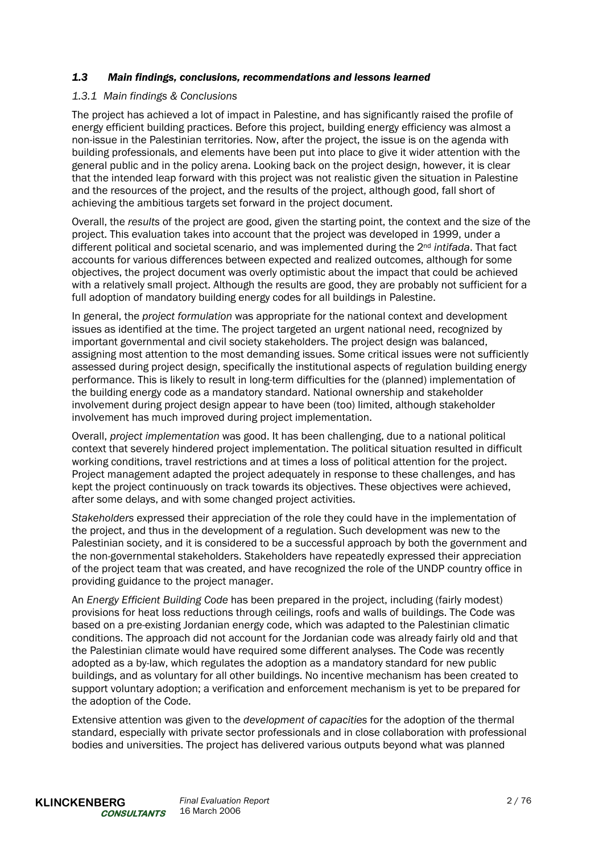#### *1.3 Main findings, conclusions, recommendations and lessons learned*

#### *1.3.1 Main findings & Conclusions*

The project has achieved a lot of impact in Palestine, and has significantly raised the profile of energy efficient building practices. Before this project, building energy efficiency was almost a non-issue in the Palestinian territories. Now, after the project, the issue is on the agenda with building professionals, and elements have been put into place to give it wider attention with the general public and in the policy arena. Looking back on the project design, however, it is clear that the intended leap forward with this project was not realistic given the situation in Palestine and the resources of the project, and the results of the project, although good, fall short of achieving the ambitious targets set forward in the project document.

Overall, the *results* of the project are good, given the starting point, the context and the size of the project. This evaluation takes into account that the project was developed in 1999, under a different political and societal scenario, and was implemented during the 2nd *intifada*. That fact accounts for various differences between expected and realized outcomes, although for some objectives, the project document was overly optimistic about the impact that could be achieved with a relatively small project. Although the results are good, they are probably not sufficient for a full adoption of mandatory building energy codes for all buildings in Palestine.

In general, the *project formulation* was appropriate for the national context and development issues as identified at the time. The project targeted an urgent national need, recognized by important governmental and civil society stakeholders. The project design was balanced, assigning most attention to the most demanding issues. Some critical issues were not sufficiently assessed during project design, specifically the institutional aspects of regulation building energy performance. This is likely to result in long-term difficulties for the (planned) implementation of the building energy code as a mandatory standard. National ownership and stakeholder involvement during project design appear to have been (too) limited, although stakeholder involvement has much improved during project implementation.

Overall, *project implementation* was good. It has been challenging, due to a national political context that severely hindered project implementation. The political situation resulted in difficult working conditions, travel restrictions and at times a loss of political attention for the project. Project management adapted the project adequately in response to these challenges, and has kept the project continuously on track towards its objectives. These objectives were achieved, after some delays, and with some changed project activities.

*Stakeholders* expressed their appreciation of the role they could have in the implementation of the project, and thus in the development of a regulation. Such development was new to the Palestinian society, and it is considered to be a successful approach by both the government and the non-governmental stakeholders. Stakeholders have repeatedly expressed their appreciation of the project team that was created, and have recognized the role of the UNDP country office in providing guidance to the project manager.

An *Energy Efficient Building Code* has been prepared in the project, including (fairly modest) provisions for heat loss reductions through ceilings, roofs and walls of buildings. The Code was based on a pre-existing Jordanian energy code, which was adapted to the Palestinian climatic conditions. The approach did not account for the Jordanian code was already fairly old and that the Palestinian climate would have required some different analyses. The Code was recently adopted as a by-law, which regulates the adoption as a mandatory standard for new public buildings, and as voluntary for all other buildings. No incentive mechanism has been created to support voluntary adoption; a verification and enforcement mechanism is yet to be prepared for the adoption of the Code.

Extensive attention was given to the *development of capacities* for the adoption of the thermal standard, especially with private sector professionals and in close collaboration with professional bodies and universities. The project has delivered various outputs beyond what was planned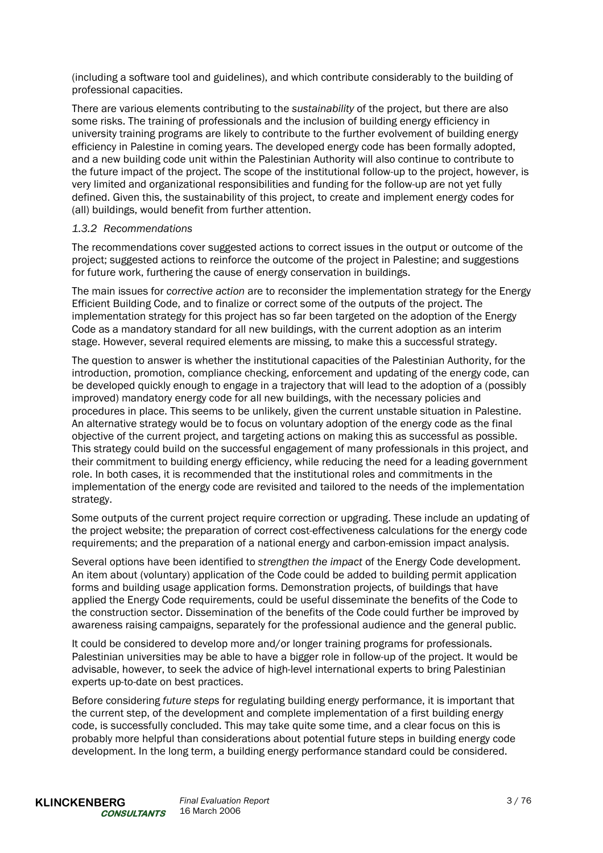(including a software tool and guidelines), and which contribute considerably to the building of professional capacities.

There are various elements contributing to the *sustainability* of the project, but there are also some risks. The training of professionals and the inclusion of building energy efficiency in university training programs are likely to contribute to the further evolvement of building energy efficiency in Palestine in coming years. The developed energy code has been formally adopted, and a new building code unit within the Palestinian Authority will also continue to contribute to the future impact of the project. The scope of the institutional follow-up to the project, however, is very limited and organizational responsibilities and funding for the follow-up are not yet fully defined. Given this, the sustainability of this project, to create and implement energy codes for (all) buildings, would benefit from further attention.

#### *1.3.2 Recommendations*

The recommendations cover suggested actions to correct issues in the output or outcome of the project; suggested actions to reinforce the outcome of the project in Palestine; and suggestions for future work, furthering the cause of energy conservation in buildings.

The main issues for *corrective action* are to reconsider the implementation strategy for the Energy Efficient Building Code, and to finalize or correct some of the outputs of the project. The implementation strategy for this project has so far been targeted on the adoption of the Energy Code as a mandatory standard for all new buildings, with the current adoption as an interim stage. However, several required elements are missing, to make this a successful strategy.

The question to answer is whether the institutional capacities of the Palestinian Authority, for the introduction, promotion, compliance checking, enforcement and updating of the energy code, can be developed quickly enough to engage in a trajectory that will lead to the adoption of a (possibly improved) mandatory energy code for all new buildings, with the necessary policies and procedures in place. This seems to be unlikely, given the current unstable situation in Palestine. An alternative strategy would be to focus on voluntary adoption of the energy code as the final objective of the current project, and targeting actions on making this as successful as possible. This strategy could build on the successful engagement of many professionals in this project, and their commitment to building energy efficiency, while reducing the need for a leading government role. In both cases, it is recommended that the institutional roles and commitments in the implementation of the energy code are revisited and tailored to the needs of the implementation strategy.

Some outputs of the current project require correction or upgrading. These include an updating of the project website; the preparation of correct cost-effectiveness calculations for the energy code requirements; and the preparation of a national energy and carbon-emission impact analysis.

Several options have been identified to *strengthen the impact* of the Energy Code development. An item about (voluntary) application of the Code could be added to building permit application forms and building usage application forms. Demonstration projects, of buildings that have applied the Energy Code requirements, could be useful disseminate the benefits of the Code to the construction sector. Dissemination of the benefits of the Code could further be improved by awareness raising campaigns, separately for the professional audience and the general public.

It could be considered to develop more and/or longer training programs for professionals. Palestinian universities may be able to have a bigger role in follow-up of the project. It would be advisable, however, to seek the advice of high-level international experts to bring Palestinian experts up-to-date on best practices.

Before considering *future steps* for regulating building energy performance, it is important that the current step, of the development and complete implementation of a first building energy code, is successfully concluded. This may take quite some time, and a clear focus on this is probably more helpful than considerations about potential future steps in building energy code development. In the long term, a building energy performance standard could be considered.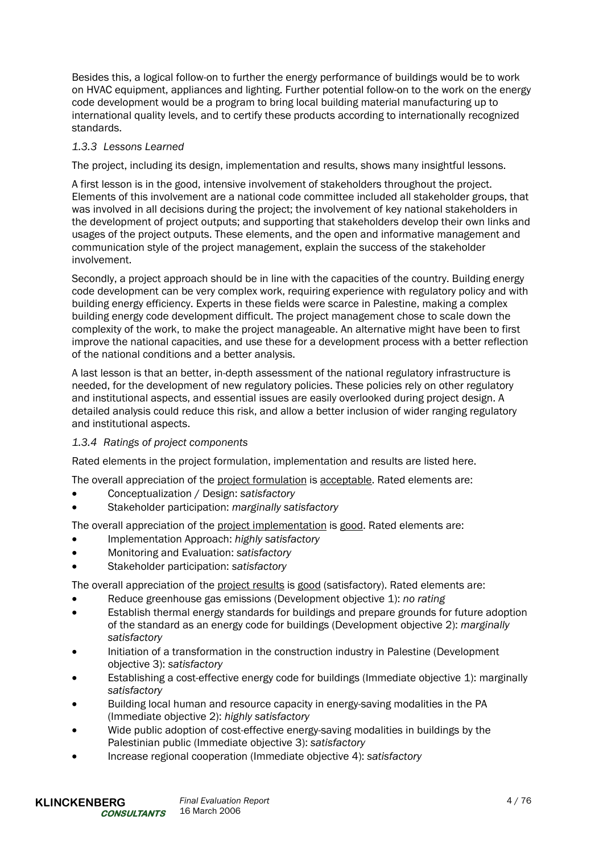Besides this, a logical follow-on to further the energy performance of buildings would be to work on HVAC equipment, appliances and lighting. Further potential follow-on to the work on the energy code development would be a program to bring local building material manufacturing up to international quality levels, and to certify these products according to internationally recognized standards.

# *1.3.3 Lessons Learned*

The project, including its design, implementation and results, shows many insightful lessons.

A first lesson is in the good, intensive involvement of stakeholders throughout the project. Elements of this involvement are a national code committee included all stakeholder groups, that was involved in all decisions during the project; the involvement of key national stakeholders in the development of project outputs; and supporting that stakeholders develop their own links and usages of the project outputs. These elements, and the open and informative management and communication style of the project management, explain the success of the stakeholder involvement.

Secondly, a project approach should be in line with the capacities of the country. Building energy code development can be very complex work, requiring experience with regulatory policy and with building energy efficiency. Experts in these fields were scarce in Palestine, making a complex building energy code development difficult. The project management chose to scale down the complexity of the work, to make the project manageable. An alternative might have been to first improve the national capacities, and use these for a development process with a better reflection of the national conditions and a better analysis.

A last lesson is that an better, in-depth assessment of the national regulatory infrastructure is needed, for the development of new regulatory policies. These policies rely on other regulatory and institutional aspects, and essential issues are easily overlooked during project design. A detailed analysis could reduce this risk, and allow a better inclusion of wider ranging regulatory and institutional aspects.

# *1.3.4 Ratings of project components*

Rated elements in the project formulation, implementation and results are listed here.

The overall appreciation of the project formulation is acceptable. Rated elements are:

- Conceptualization / Design: *satisfactory*
- Stakeholder participation: *marginally satisfactory*

The overall appreciation of the project implementation is good. Rated elements are:

- Implementation Approach: *highly satisfactory*
- Monitoring and Evaluation: *satisfactory*
- Stakeholder participation: *satisfactory*

The overall appreciation of the project results is good (satisfactory). Rated elements are:

- Reduce greenhouse gas emissions (Development objective 1): *no rating*
- Establish thermal energy standards for buildings and prepare grounds for future adoption of the standard as an energy code for buildings (Development objective 2): *marginally satisfactory*
- Initiation of a transformation in the construction industry in Palestine (Development objective 3): *satisfactory*
- Establishing a cost-effective energy code for buildings (Immediate objective 1): marginally *satisfactory*
- Building local human and resource capacity in energy-saving modalities in the PA (Immediate objective 2): *highly satisfactory*
- Wide public adoption of cost-effective energy-saving modalities in buildings by the Palestinian public (Immediate objective 3): *satisfactory*
- Increase regional cooperation (Immediate objective 4): *satisfactory*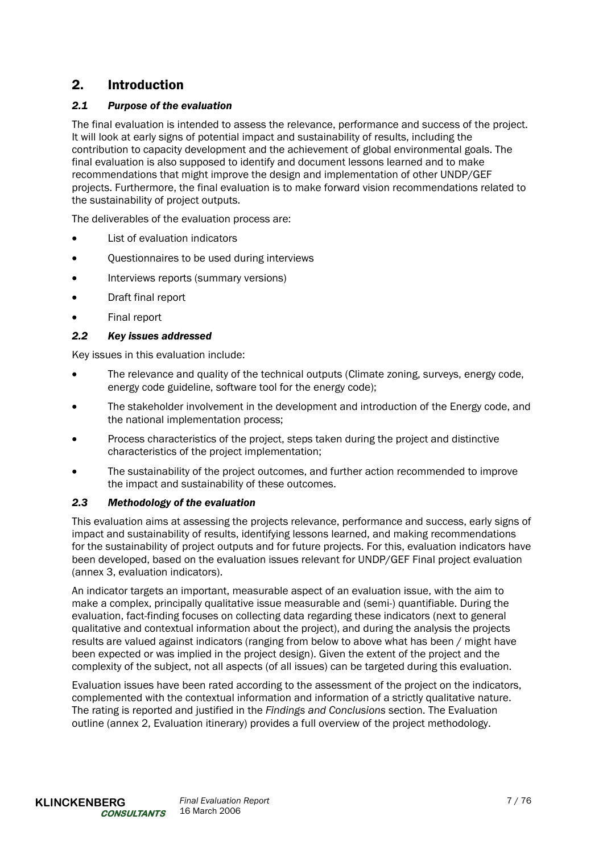# 2. Introduction

# *2.1 Purpose of the evaluation*

The final evaluation is intended to assess the relevance, performance and success of the project. It will look at early signs of potential impact and sustainability of results, including the contribution to capacity development and the achievement of global environmental goals. The final evaluation is also supposed to identify and document lessons learned and to make recommendations that might improve the design and implementation of other UNDP/GEF projects. Furthermore, the final evaluation is to make forward vision recommendations related to the sustainability of project outputs.

The deliverables of the evaluation process are:

- List of evaluation indicators
- Questionnaires to be used during interviews
- Interviews reports (summary versions)
- Draft final report
- Final report

# *2.2 Key issues addressed*

Key issues in this evaluation include:

- The relevance and quality of the technical outputs (Climate zoning, surveys, energy code, energy code guideline, software tool for the energy code);
- The stakeholder involvement in the development and introduction of the Energy code, and the national implementation process;
- Process characteristics of the project, steps taken during the project and distinctive characteristics of the project implementation;
- The sustainability of the project outcomes, and further action recommended to improve the impact and sustainability of these outcomes.

# *2.3 Methodology of the evaluation*

This evaluation aims at assessing the projects relevance, performance and success, early signs of impact and sustainability of results, identifying lessons learned, and making recommendations for the sustainability of project outputs and for future projects. For this, evaluation indicators have been developed, based on the evaluation issues relevant for UNDP/GEF Final project evaluation (annex 3, evaluation indicators).

An indicator targets an important, measurable aspect of an evaluation issue, with the aim to make a complex, principally qualitative issue measurable and (semi-) quantifiable. During the evaluation, fact-finding focuses on collecting data regarding these indicators (next to general qualitative and contextual information about the project), and during the analysis the projects results are valued against indicators (ranging from below to above what has been / might have been expected or was implied in the project design). Given the extent of the project and the complexity of the subject, not all aspects (of all issues) can be targeted during this evaluation.

Evaluation issues have been rated according to the assessment of the project on the indicators, complemented with the contextual information and information of a strictly qualitative nature. The rating is reported and justified in the *Findings and Conclusions* section. The Evaluation outline (annex 2, Evaluation itinerary) provides a full overview of the project methodology.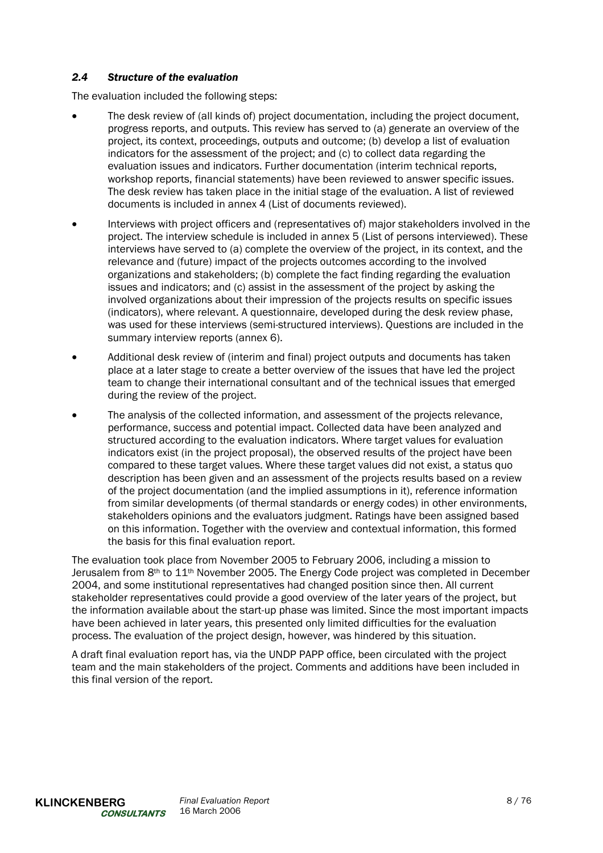# *2.4 Structure of the evaluation*

The evaluation included the following steps:

- The desk review of (all kinds of) project documentation, including the project document, progress reports, and outputs. This review has served to (a) generate an overview of the project, its context, proceedings, outputs and outcome; (b) develop a list of evaluation indicators for the assessment of the project; and (c) to collect data regarding the evaluation issues and indicators. Further documentation (interim technical reports, workshop reports, financial statements) have been reviewed to answer specific issues. The desk review has taken place in the initial stage of the evaluation. A list of reviewed documents is included in annex 4 (List of documents reviewed).
- Interviews with project officers and (representatives of) major stakeholders involved in the project. The interview schedule is included in annex 5 (List of persons interviewed). These interviews have served to (a) complete the overview of the project, in its context, and the relevance and (future) impact of the projects outcomes according to the involved organizations and stakeholders; (b) complete the fact finding regarding the evaluation issues and indicators; and (c) assist in the assessment of the project by asking the involved organizations about their impression of the projects results on specific issues (indicators), where relevant. A questionnaire, developed during the desk review phase, was used for these interviews (semi-structured interviews). Questions are included in the summary interview reports (annex 6).
- Additional desk review of (interim and final) project outputs and documents has taken place at a later stage to create a better overview of the issues that have led the project team to change their international consultant and of the technical issues that emerged during the review of the project.
- The analysis of the collected information, and assessment of the projects relevance, performance, success and potential impact. Collected data have been analyzed and structured according to the evaluation indicators. Where target values for evaluation indicators exist (in the project proposal), the observed results of the project have been compared to these target values. Where these target values did not exist, a status quo description has been given and an assessment of the projects results based on a review of the project documentation (and the implied assumptions in it), reference information from similar developments (of thermal standards or energy codes) in other environments, stakeholders opinions and the evaluators judgment. Ratings have been assigned based on this information. Together with the overview and contextual information, this formed the basis for this final evaluation report.

The evaluation took place from November 2005 to February 2006, including a mission to Jerusalem from 8th to 11th November 2005. The Energy Code project was completed in December 2004, and some institutional representatives had changed position since then. All current stakeholder representatives could provide a good overview of the later years of the project, but the information available about the start-up phase was limited. Since the most important impacts have been achieved in later years, this presented only limited difficulties for the evaluation process. The evaluation of the project design, however, was hindered by this situation.

A draft final evaluation report has, via the UNDP PAPP office, been circulated with the project team and the main stakeholders of the project. Comments and additions have been included in this final version of the report.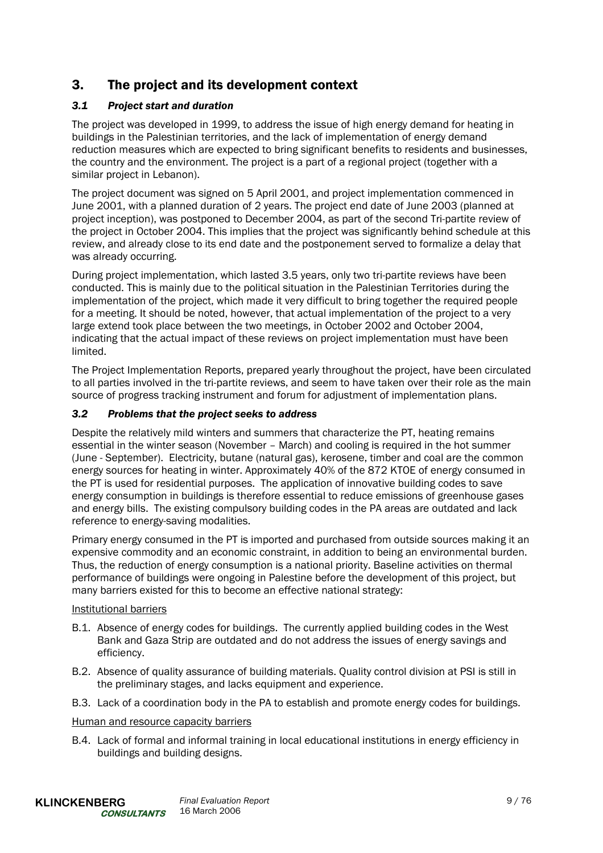# 3. The project and its development context

# *3.1 Project start and duration*

The project was developed in 1999, to address the issue of high energy demand for heating in buildings in the Palestinian territories, and the lack of implementation of energy demand reduction measures which are expected to bring significant benefits to residents and businesses, the country and the environment. The project is a part of a regional project (together with a similar project in Lebanon).

The project document was signed on 5 April 2001, and project implementation commenced in June 2001, with a planned duration of 2 years. The project end date of June 2003 (planned at project inception), was postponed to December 2004, as part of the second Tri-partite review of the project in October 2004. This implies that the project was significantly behind schedule at this review, and already close to its end date and the postponement served to formalize a delay that was already occurring.

During project implementation, which lasted 3.5 years, only two tri-partite reviews have been conducted. This is mainly due to the political situation in the Palestinian Territories during the implementation of the project, which made it very difficult to bring together the required people for a meeting. It should be noted, however, that actual implementation of the project to a very large extend took place between the two meetings, in October 2002 and October 2004, indicating that the actual impact of these reviews on project implementation must have been limited.

The Project Implementation Reports, prepared yearly throughout the project, have been circulated to all parties involved in the tri-partite reviews, and seem to have taken over their role as the main source of progress tracking instrument and forum for adjustment of implementation plans.

# *3.2 Problems that the project seeks to address*

Despite the relatively mild winters and summers that characterize the PT, heating remains essential in the winter season (November – March) and cooling is required in the hot summer (June - September). Electricity, butane (natural gas), kerosene, timber and coal are the common energy sources for heating in winter. Approximately 40% of the 872 KTOE of energy consumed in the PT is used for residential purposes. The application of innovative building codes to save energy consumption in buildings is therefore essential to reduce emissions of greenhouse gases and energy bills. The existing compulsory building codes in the PA areas are outdated and lack reference to energy-saving modalities.

Primary energy consumed in the PT is imported and purchased from outside sources making it an expensive commodity and an economic constraint, in addition to being an environmental burden. Thus, the reduction of energy consumption is a national priority. Baseline activities on thermal performance of buildings were ongoing in Palestine before the development of this project, but many barriers existed for this to become an effective national strategy:

# Institutional barriers

- B.1. Absence of energy codes for buildings. The currently applied building codes in the West Bank and Gaza Strip are outdated and do not address the issues of energy savings and efficiency.
- B.2. Absence of quality assurance of building materials. Quality control division at PSI is still in the preliminary stages, and lacks equipment and experience.
- B.3. Lack of a coordination body in the PA to establish and promote energy codes for buildings.

# Human and resource capacity barriers

B.4. Lack of formal and informal training in local educational institutions in energy efficiency in buildings and building designs.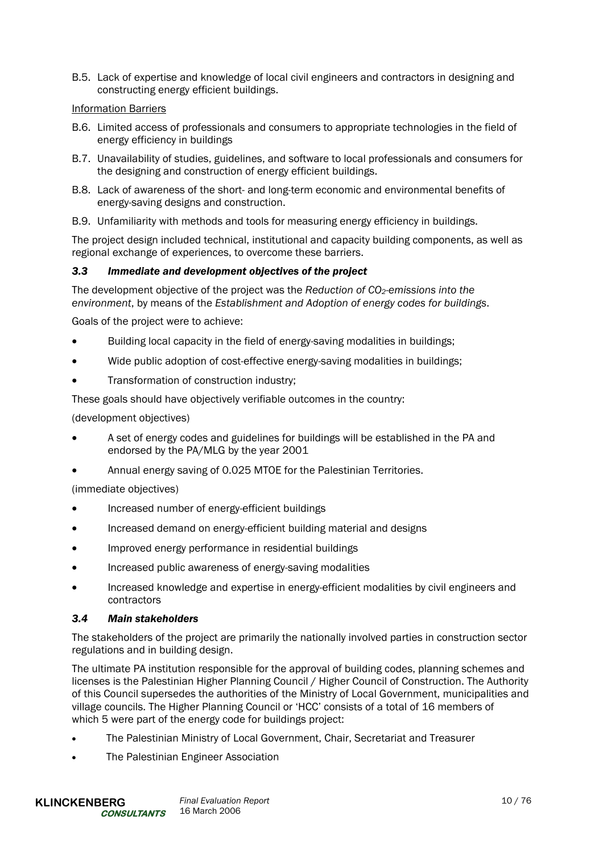B.5. Lack of expertise and knowledge of local civil engineers and contractors in designing and constructing energy efficient buildings.

# Information Barriers

- B.6. Limited access of professionals and consumers to appropriate technologies in the field of energy efficiency in buildings
- B.7. Unavailability of studies, guidelines, and software to local professionals and consumers for the designing and construction of energy efficient buildings.
- B.8. Lack of awareness of the short- and long-term economic and environmental benefits of energy-saving designs and construction.
- B.9. Unfamiliarity with methods and tools for measuring energy efficiency in buildings.

The project design included technical, institutional and capacity building components, as well as regional exchange of experiences, to overcome these barriers.

#### *3.3 Immediate and development objectives of the project*

The development objective of the project was the *Reduction of CO2-emissions into the environment*, by means of the *Establishment and Adoption of energy codes for buildings*.

Goals of the project were to achieve:

- Building local capacity in the field of energy-saving modalities in buildings;
- Wide public adoption of cost-effective energy-saving modalities in buildings;
- Transformation of construction industry;

These goals should have objectively verifiable outcomes in the country:

(development objectives)

- A set of energy codes and guidelines for buildings will be established in the PA and endorsed by the PA/MLG by the year 2001
- Annual energy saving of 0.025 MTOE for the Palestinian Territories.

(immediate objectives)

- Increased number of energy-efficient buildings
- Increased demand on energy-efficient building material and designs
- Improved energy performance in residential buildings
- Increased public awareness of energy-saving modalities
- Increased knowledge and expertise in energy-efficient modalities by civil engineers and contractors

#### *3.4 Main stakeholders*

The stakeholders of the project are primarily the nationally involved parties in construction sector regulations and in building design.

The ultimate PA institution responsible for the approval of building codes, planning schemes and licenses is the Palestinian Higher Planning Council / Higher Council of Construction. The Authority of this Council supersedes the authorities of the Ministry of Local Government, municipalities and village councils. The Higher Planning Council or 'HCC' consists of a total of 16 members of which 5 were part of the energy code for buildings project:

- The Palestinian Ministry of Local Government, Chair, Secretariat and Treasurer
- The Palestinian Engineer Association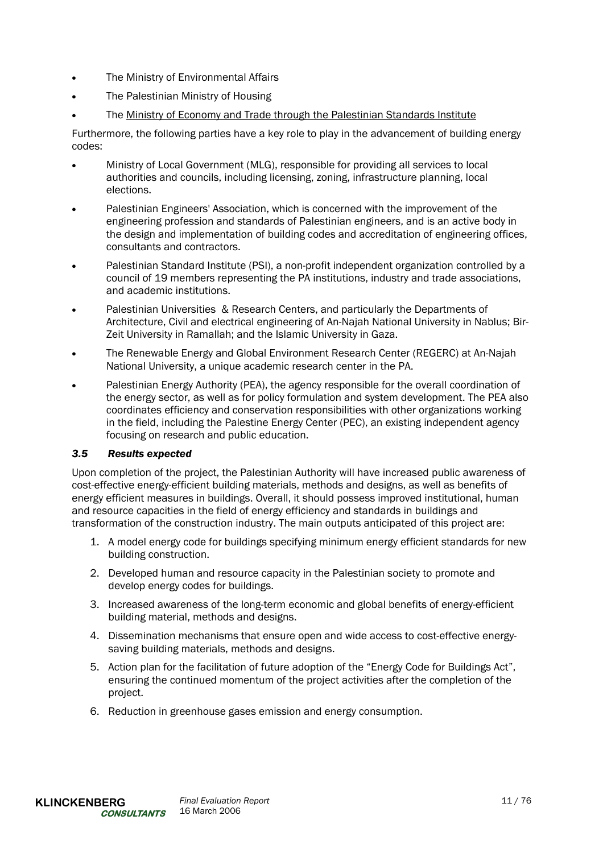- The Ministry of Environmental Affairs
- The Palestinian Ministry of Housing
- The Ministry of Economy and Trade through the Palestinian Standards Institute

Furthermore, the following parties have a key role to play in the advancement of building energy codes:

- Ministry of Local Government (MLG), responsible for providing all services to local authorities and councils, including licensing, zoning, infrastructure planning, local elections.
- Palestinian Engineers' Association, which is concerned with the improvement of the engineering profession and standards of Palestinian engineers, and is an active body in the design and implementation of building codes and accreditation of engineering offices, consultants and contractors.
- Palestinian Standard Institute (PSI), a non-profit independent organization controlled by a council of 19 members representing the PA institutions, industry and trade associations, and academic institutions.
- Palestinian Universities & Research Centers, and particularly the Departments of Architecture, Civil and electrical engineering of An-Najah National University in Nablus; Bir-Zeit University in Ramallah; and the Islamic University in Gaza.
- The Renewable Energy and Global Environment Research Center (REGERC) at An-Najah National University, a unique academic research center in the PA.
- Palestinian Energy Authority (PEA), the agency responsible for the overall coordination of the energy sector, as well as for policy formulation and system development. The PEA also coordinates efficiency and conservation responsibilities with other organizations working in the field, including the Palestine Energy Center (PEC), an existing independent agency focusing on research and public education.

# *3.5 Results expected*

Upon completion of the project, the Palestinian Authority will have increased public awareness of cost-effective energy-efficient building materials, methods and designs, as well as benefits of energy efficient measures in buildings. Overall, it should possess improved institutional, human and resource capacities in the field of energy efficiency and standards in buildings and transformation of the construction industry. The main outputs anticipated of this project are:

- 1. A model energy code for buildings specifying minimum energy efficient standards for new building construction.
- 2. Developed human and resource capacity in the Palestinian society to promote and develop energy codes for buildings.
- 3. Increased awareness of the long-term economic and global benefits of energy-efficient building material, methods and designs.
- 4. Dissemination mechanisms that ensure open and wide access to cost-effective energysaving building materials, methods and designs.
- 5. Action plan for the facilitation of future adoption of the "Energy Code for Buildings Act", ensuring the continued momentum of the project activities after the completion of the project.
- 6. Reduction in greenhouse gases emission and energy consumption.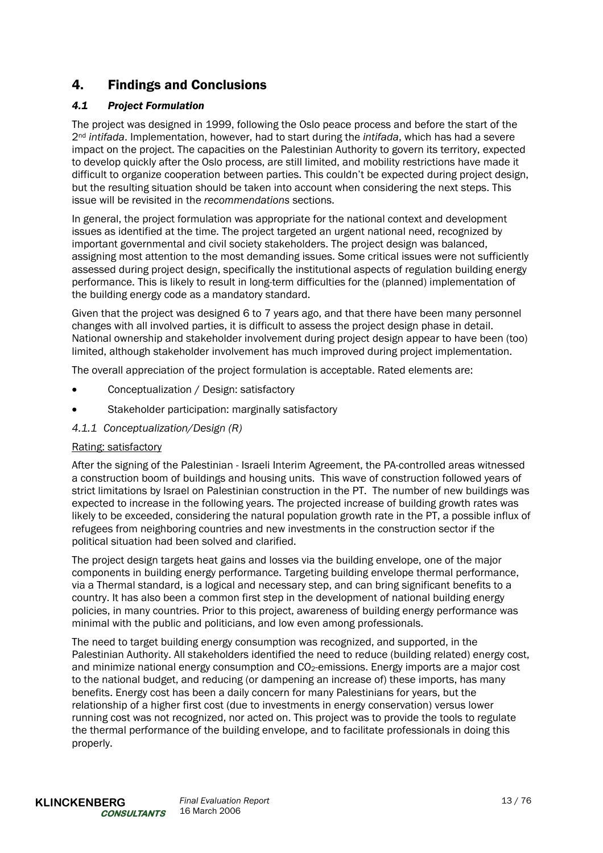# 4. Findings and Conclusions

# *4.1 Project Formulation*

The project was designed in 1999, following the Oslo peace process and before the start of the 2nd *intifada*. Implementation, however, had to start during the *intifada*, which has had a severe impact on the project. The capacities on the Palestinian Authority to govern its territory, expected to develop quickly after the Oslo process, are still limited, and mobility restrictions have made it difficult to organize cooperation between parties. This couldn't be expected during project design, but the resulting situation should be taken into account when considering the next steps. This issue will be revisited in the *recommendations* sections.

In general, the project formulation was appropriate for the national context and development issues as identified at the time. The project targeted an urgent national need, recognized by important governmental and civil society stakeholders. The project design was balanced, assigning most attention to the most demanding issues. Some critical issues were not sufficiently assessed during project design, specifically the institutional aspects of regulation building energy performance. This is likely to result in long-term difficulties for the (planned) implementation of the building energy code as a mandatory standard.

Given that the project was designed 6 to 7 years ago, and that there have been many personnel changes with all involved parties, it is difficult to assess the project design phase in detail. National ownership and stakeholder involvement during project design appear to have been (too) limited, although stakeholder involvement has much improved during project implementation.

The overall appreciation of the project formulation is acceptable. Rated elements are:

- Conceptualization / Design: satisfactory
- Stakeholder participation: marginally satisfactory
- *4.1.1 Conceptualization/Design (R)*

# Rating: satisfactory

After the signing of the Palestinian - Israeli Interim Agreement, the PA-controlled areas witnessed a construction boom of buildings and housing units. This wave of construction followed years of strict limitations by Israel on Palestinian construction in the PT. The number of new buildings was expected to increase in the following years. The projected increase of building growth rates was likely to be exceeded, considering the natural population growth rate in the PT, a possible influx of refugees from neighboring countries and new investments in the construction sector if the political situation had been solved and clarified.

The project design targets heat gains and losses via the building envelope, one of the major components in building energy performance. Targeting building envelope thermal performance, via a Thermal standard, is a logical and necessary step, and can bring significant benefits to a country. It has also been a common first step in the development of national building energy policies, in many countries. Prior to this project, awareness of building energy performance was minimal with the public and politicians, and low even among professionals.

The need to target building energy consumption was recognized, and supported, in the Palestinian Authority. All stakeholders identified the need to reduce (building related) energy cost, and minimize national energy consumption and  $CO<sub>2</sub>$ -emissions. Energy imports are a major cost to the national budget, and reducing (or dampening an increase of) these imports, has many benefits. Energy cost has been a daily concern for many Palestinians for years, but the relationship of a higher first cost (due to investments in energy conservation) versus lower running cost was not recognized, nor acted on. This project was to provide the tools to regulate the thermal performance of the building envelope, and to facilitate professionals in doing this properly.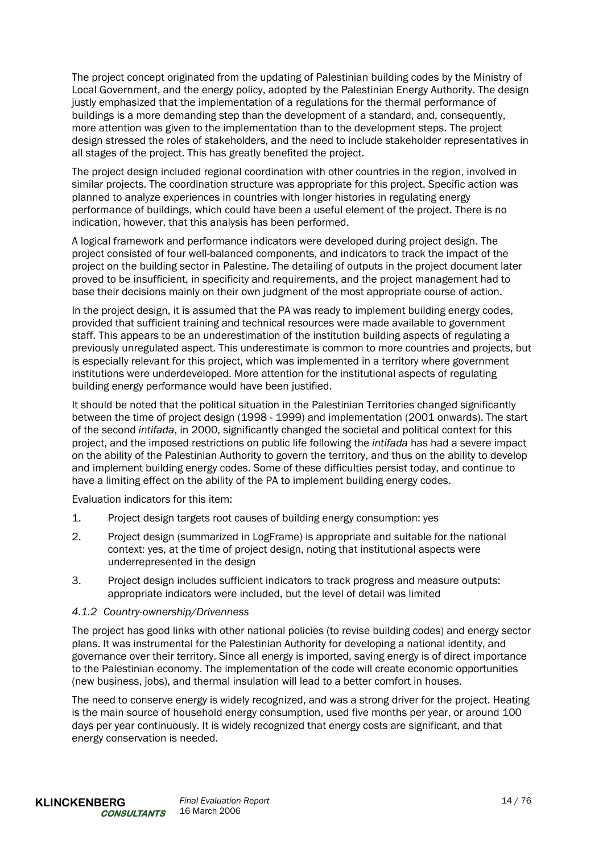The project concept originated from the updating of Palestinian building codes by the Ministry of Local Government, and the energy policy, adopted by the Palestinian Energy Authority. The design justly emphasized that the implementation of a regulations for the thermal performance of buildings is a more demanding step than the development of a standard, and, consequently, more attention was given to the implementation than to the development steps. The project design stressed the roles of stakeholders, and the need to include stakeholder representatives in all stages of the project. This has greatly benefited the project.

The project design included regional coordination with other countries in the region, involved in similar projects. The coordination structure was appropriate for this project. Specific action was planned to analyze experiences in countries with longer histories in regulating energy performance of buildings, which could have been a useful element of the project. There is no indication, however, that this analysis has been performed.

A logical framework and performance indicators were developed during project design. The project consisted of four well-balanced components, and indicators to track the impact of the project on the building sector in Palestine. The detailing of outputs in the project document later proved to be insufficient, in specificity and requirements, and the project management had to base their decisions mainly on their own judgment of the most appropriate course of action.

In the project design, it is assumed that the PA was ready to implement building energy codes, provided that sufficient training and technical resources were made available to government staff. This appears to be an underestimation of the institution building aspects of regulating a previously unregulated aspect. This underestimate is common to more countries and projects, but is especially relevant for this project, which was implemented in a territory where government institutions were underdeveloped. More attention for the institutional aspects of regulating building energy performance would have been justified.

It should be noted that the political situation in the Palestinian Territories changed significantly between the time of project design (1998 - 1999) and implementation (2001 onwards). The start of the second *intifada*, in 2000, significantly changed the societal and political context for this project, and the imposed restrictions on public life following the *intifada* has had a severe impact on the ability of the Palestinian Authority to govern the territory, and thus on the ability to develop and implement building energy codes. Some of these difficulties persist today, and continue to have a limiting effect on the ability of the PA to implement building energy codes.

Evaluation indicators for this item:

- 1. Project design targets root causes of building energy consumption: yes
- 2. Project design (summarized in LogFrame) is appropriate and suitable for the national context: yes, at the time of project design, noting that institutional aspects were underrepresented in the design
- 3. Project design includes sufficient indicators to track progress and measure outputs: appropriate indicators were included, but the level of detail was limited

#### *4.1.2 Country-ownership/Drivenness*

The project has good links with other national policies (to revise building codes) and energy sector plans. It was instrumental for the Palestinian Authority for developing a national identity, and governance over their territory. Since all energy is imported, saving energy is of direct importance to the Palestinian economy. The implementation of the code will create economic opportunities (new business, jobs), and thermal insulation will lead to a better comfort in houses.

The need to conserve energy is widely recognized, and was a strong driver for the project. Heating is the main source of household energy consumption, used five months per year, or around 100 days per year continuously. It is widely recognized that energy costs are significant, and that energy conservation is needed.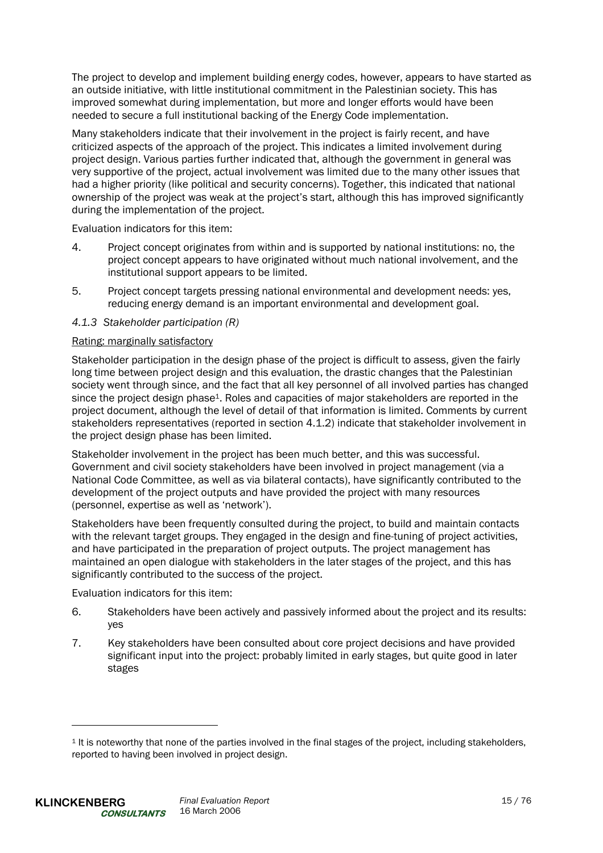The project to develop and implement building energy codes, however, appears to have started as an outside initiative, with little institutional commitment in the Palestinian society. This has improved somewhat during implementation, but more and longer efforts would have been needed to secure a full institutional backing of the Energy Code implementation.

Many stakeholders indicate that their involvement in the project is fairly recent, and have criticized aspects of the approach of the project. This indicates a limited involvement during project design. Various parties further indicated that, although the government in general was very supportive of the project, actual involvement was limited due to the many other issues that had a higher priority (like political and security concerns). Together, this indicated that national ownership of the project was weak at the project's start, although this has improved significantly during the implementation of the project.

Evaluation indicators for this item:

- 4. Project concept originates from within and is supported by national institutions: no, the project concept appears to have originated without much national involvement, and the institutional support appears to be limited.
- 5. Project concept targets pressing national environmental and development needs: yes, reducing energy demand is an important environmental and development goal.

# *4.1.3 Stakeholder participation (R)*

#### Rating: marginally satisfactory

Stakeholder participation in the design phase of the project is difficult to assess, given the fairly long time between project design and this evaluation, the drastic changes that the Palestinian society went through since, and the fact that all key personnel of all involved parties has changed since the project design phase1. Roles and capacities of major stakeholders are reported in the project document, although the level of detail of that information is limited. Comments by current stakeholders representatives (reported in section 4.1.2) indicate that stakeholder involvement in the project design phase has been limited.

Stakeholder involvement in the project has been much better, and this was successful. Government and civil society stakeholders have been involved in project management (via a National Code Committee, as well as via bilateral contacts), have significantly contributed to the development of the project outputs and have provided the project with many resources (personnel, expertise as well as 'network').

Stakeholders have been frequently consulted during the project, to build and maintain contacts with the relevant target groups. They engaged in the design and fine-tuning of project activities, and have participated in the preparation of project outputs. The project management has maintained an open dialogue with stakeholders in the later stages of the project, and this has significantly contributed to the success of the project.

Evaluation indicators for this item:

- 6. Stakeholders have been actively and passively informed about the project and its results: yes
- 7. Key stakeholders have been consulted about core project decisions and have provided significant input into the project: probably limited in early stages, but quite good in later stages

l

<sup>1</sup> It is noteworthy that none of the parties involved in the final stages of the project, including stakeholders, reported to having been involved in project design.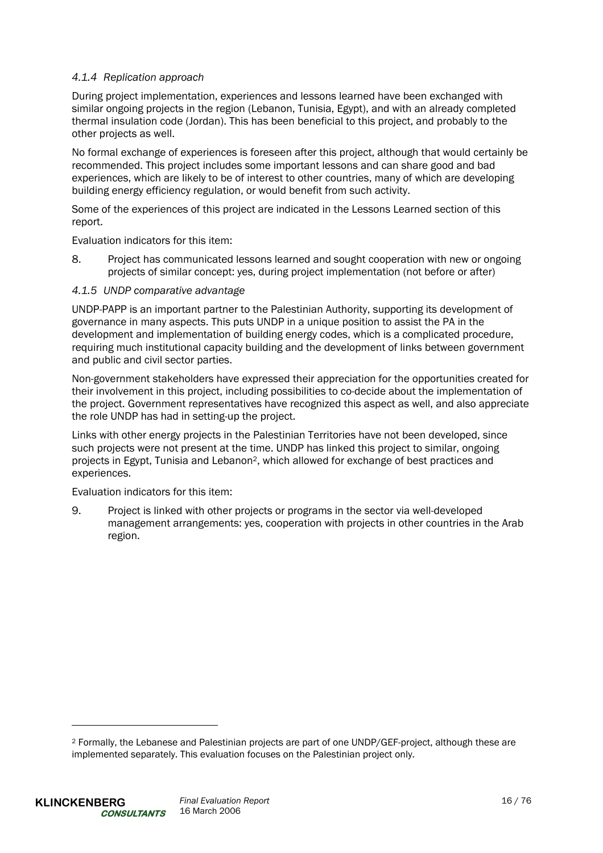# *4.1.4 Replication approach*

During project implementation, experiences and lessons learned have been exchanged with similar ongoing projects in the region (Lebanon, Tunisia, Egypt), and with an already completed thermal insulation code (Jordan). This has been beneficial to this project, and probably to the other projects as well.

No formal exchange of experiences is foreseen after this project, although that would certainly be recommended. This project includes some important lessons and can share good and bad experiences, which are likely to be of interest to other countries, many of which are developing building energy efficiency regulation, or would benefit from such activity.

Some of the experiences of this project are indicated in the Lessons Learned section of this report.

Evaluation indicators for this item:

8. Project has communicated lessons learned and sought cooperation with new or ongoing projects of similar concept: yes, during project implementation (not before or after)

#### *4.1.5 UNDP comparative advantage*

UNDP-PAPP is an important partner to the Palestinian Authority, supporting its development of governance in many aspects. This puts UNDP in a unique position to assist the PA in the development and implementation of building energy codes, which is a complicated procedure, requiring much institutional capacity building and the development of links between government and public and civil sector parties.

Non-government stakeholders have expressed their appreciation for the opportunities created for their involvement in this project, including possibilities to co-decide about the implementation of the project. Government representatives have recognized this aspect as well, and also appreciate the role UNDP has had in setting-up the project.

Links with other energy projects in the Palestinian Territories have not been developed, since such projects were not present at the time. UNDP has linked this project to similar, ongoing projects in Egypt, Tunisia and Lebanon2, which allowed for exchange of best practices and experiences.

Evaluation indicators for this item:

9. Project is linked with other projects or programs in the sector via well-developed management arrangements: yes, cooperation with projects in other countries in the Arab region.

l

<sup>2</sup> Formally, the Lebanese and Palestinian projects are part of one UNDP/GEF-project, although these are implemented separately. This evaluation focuses on the Palestinian project only.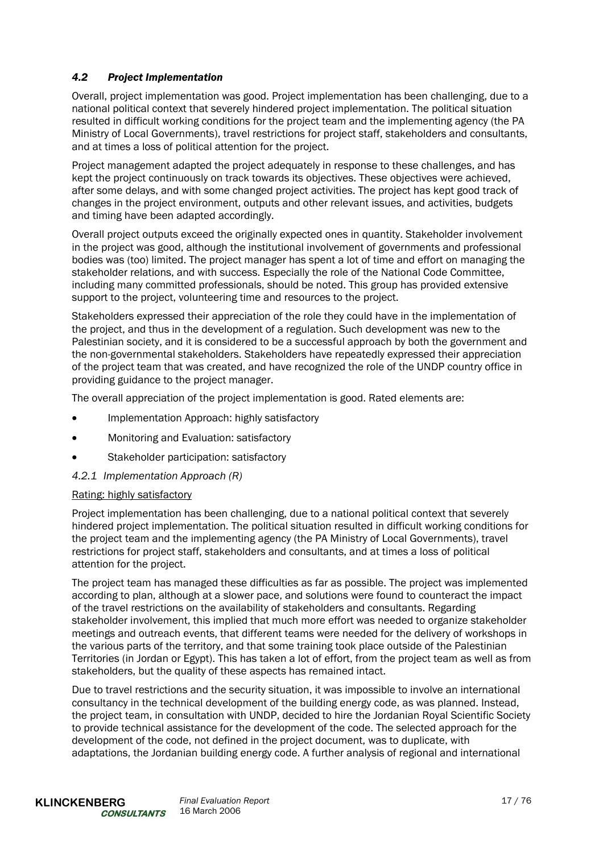# *4.2 Project Implementation*

Overall, project implementation was good. Project implementation has been challenging, due to a national political context that severely hindered project implementation. The political situation resulted in difficult working conditions for the project team and the implementing agency (the PA Ministry of Local Governments), travel restrictions for project staff, stakeholders and consultants, and at times a loss of political attention for the project.

Project management adapted the project adequately in response to these challenges, and has kept the project continuously on track towards its objectives. These objectives were achieved, after some delays, and with some changed project activities. The project has kept good track of changes in the project environment, outputs and other relevant issues, and activities, budgets and timing have been adapted accordingly.

Overall project outputs exceed the originally expected ones in quantity. Stakeholder involvement in the project was good, although the institutional involvement of governments and professional bodies was (too) limited. The project manager has spent a lot of time and effort on managing the stakeholder relations, and with success. Especially the role of the National Code Committee, including many committed professionals, should be noted. This group has provided extensive support to the project, volunteering time and resources to the project.

Stakeholders expressed their appreciation of the role they could have in the implementation of the project, and thus in the development of a regulation. Such development was new to the Palestinian society, and it is considered to be a successful approach by both the government and the non-governmental stakeholders. Stakeholders have repeatedly expressed their appreciation of the project team that was created, and have recognized the role of the UNDP country office in providing guidance to the project manager.

The overall appreciation of the project implementation is good. Rated elements are:

- Implementation Approach: highly satisfactory
- Monitoring and Evaluation: satisfactory
- Stakeholder participation: satisfactory

# *4.2.1 Implementation Approach (R)*

#### Rating: highly satisfactory

Project implementation has been challenging, due to a national political context that severely hindered project implementation. The political situation resulted in difficult working conditions for the project team and the implementing agency (the PA Ministry of Local Governments), travel restrictions for project staff, stakeholders and consultants, and at times a loss of political attention for the project.

The project team has managed these difficulties as far as possible. The project was implemented according to plan, although at a slower pace, and solutions were found to counteract the impact of the travel restrictions on the availability of stakeholders and consultants. Regarding stakeholder involvement, this implied that much more effort was needed to organize stakeholder meetings and outreach events, that different teams were needed for the delivery of workshops in the various parts of the territory, and that some training took place outside of the Palestinian Territories (in Jordan or Egypt). This has taken a lot of effort, from the project team as well as from stakeholders, but the quality of these aspects has remained intact.

Due to travel restrictions and the security situation, it was impossible to involve an international consultancy in the technical development of the building energy code, as was planned. Instead, the project team, in consultation with UNDP, decided to hire the Jordanian Royal Scientific Society to provide technical assistance for the development of the code. The selected approach for the development of the code, not defined in the project document, was to duplicate, with adaptations, the Jordanian building energy code. A further analysis of regional and international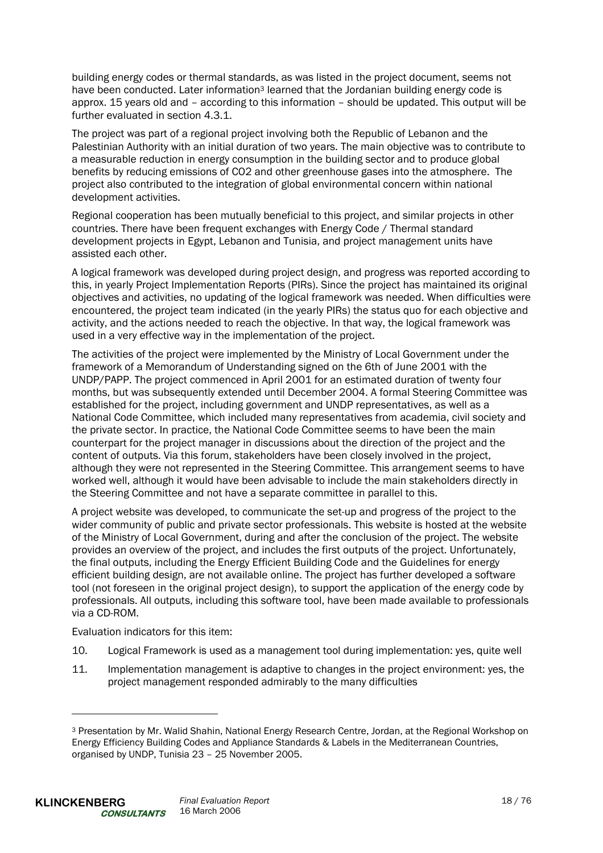building energy codes or thermal standards, as was listed in the project document, seems not have been conducted. Later information<sup>3</sup> learned that the Jordanian building energy code is approx. 15 years old and – according to this information – should be updated. This output will be further evaluated in section 4.3.1.

The project was part of a regional project involving both the Republic of Lebanon and the Palestinian Authority with an initial duration of two years. The main objective was to contribute to a measurable reduction in energy consumption in the building sector and to produce global benefits by reducing emissions of CO2 and other greenhouse gases into the atmosphere. The project also contributed to the integration of global environmental concern within national development activities.

Regional cooperation has been mutually beneficial to this project, and similar projects in other countries. There have been frequent exchanges with Energy Code / Thermal standard development projects in Egypt, Lebanon and Tunisia, and project management units have assisted each other.

A logical framework was developed during project design, and progress was reported according to this, in yearly Project Implementation Reports (PIRs). Since the project has maintained its original objectives and activities, no updating of the logical framework was needed. When difficulties were encountered, the project team indicated (in the yearly PIRs) the status quo for each objective and activity, and the actions needed to reach the objective. In that way, the logical framework was used in a very effective way in the implementation of the project.

The activities of the project were implemented by the Ministry of Local Government under the framework of a Memorandum of Understanding signed on the 6th of June 2001 with the UNDP/PAPP. The project commenced in April 2001 for an estimated duration of twenty four months, but was subsequently extended until December 2004. A formal Steering Committee was established for the project, including government and UNDP representatives, as well as a National Code Committee, which included many representatives from academia, civil society and the private sector. In practice, the National Code Committee seems to have been the main counterpart for the project manager in discussions about the direction of the project and the content of outputs. Via this forum, stakeholders have been closely involved in the project, although they were not represented in the Steering Committee. This arrangement seems to have worked well, although it would have been advisable to include the main stakeholders directly in the Steering Committee and not have a separate committee in parallel to this.

A project website was developed, to communicate the set-up and progress of the project to the wider community of public and private sector professionals. This website is hosted at the website of the Ministry of Local Government, during and after the conclusion of the project. The website provides an overview of the project, and includes the first outputs of the project. Unfortunately, the final outputs, including the Energy Efficient Building Code and the Guidelines for energy efficient building design, are not available online. The project has further developed a software tool (not foreseen in the original project design), to support the application of the energy code by professionals. All outputs, including this software tool, have been made available to professionals via a CD-ROM.

Evaluation indicators for this item:

l

- 10. Logical Framework is used as a management tool during implementation: yes, quite well
- 11. Implementation management is adaptive to changes in the project environment: yes, the project management responded admirably to the many difficulties

<sup>3</sup> Presentation by Mr. Walid Shahin, National Energy Research Centre, Jordan, at the Regional Workshop on Energy Efficiency Building Codes and Appliance Standards & Labels in the Mediterranean Countries, organised by UNDP, Tunisia 23 – 25 November 2005.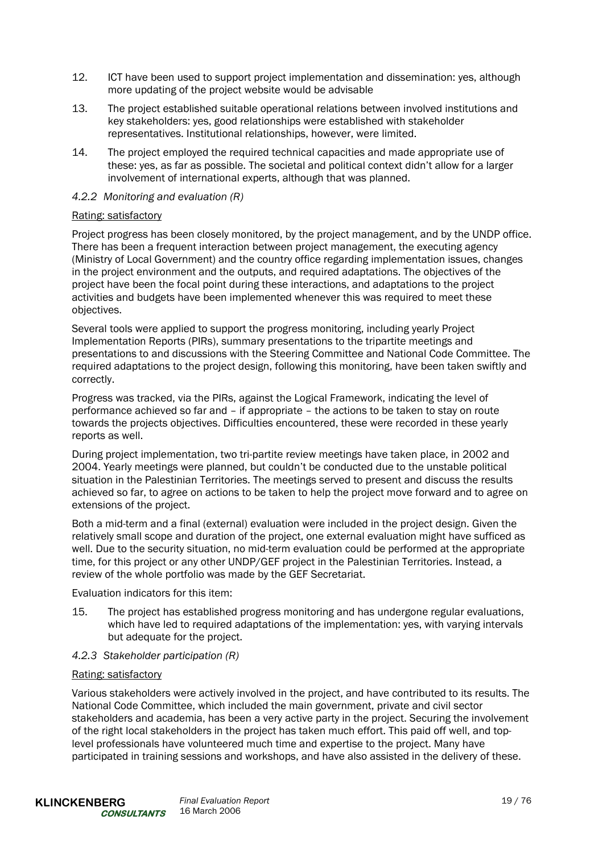- 12. ICT have been used to support project implementation and dissemination: yes, although more updating of the project website would be advisable
- 13. The project established suitable operational relations between involved institutions and key stakeholders: yes, good relationships were established with stakeholder representatives. Institutional relationships, however, were limited.
- 14. The project employed the required technical capacities and made appropriate use of these: yes, as far as possible. The societal and political context didn't allow for a larger involvement of international experts, although that was planned.

#### *4.2.2 Monitoring and evaluation (R)*

#### Rating: satisfactory

Project progress has been closely monitored, by the project management, and by the UNDP office. There has been a frequent interaction between project management, the executing agency (Ministry of Local Government) and the country office regarding implementation issues, changes in the project environment and the outputs, and required adaptations. The objectives of the project have been the focal point during these interactions, and adaptations to the project activities and budgets have been implemented whenever this was required to meet these objectives.

Several tools were applied to support the progress monitoring, including yearly Project Implementation Reports (PIRs), summary presentations to the tripartite meetings and presentations to and discussions with the Steering Committee and National Code Committee. The required adaptations to the project design, following this monitoring, have been taken swiftly and correctly.

Progress was tracked, via the PIRs, against the Logical Framework, indicating the level of performance achieved so far and – if appropriate – the actions to be taken to stay on route towards the projects objectives. Difficulties encountered, these were recorded in these yearly reports as well.

During project implementation, two tri-partite review meetings have taken place, in 2002 and 2004. Yearly meetings were planned, but couldn't be conducted due to the unstable political situation in the Palestinian Territories. The meetings served to present and discuss the results achieved so far, to agree on actions to be taken to help the project move forward and to agree on extensions of the project.

Both a mid-term and a final (external) evaluation were included in the project design. Given the relatively small scope and duration of the project, one external evaluation might have sufficed as well. Due to the security situation, no mid-term evaluation could be performed at the appropriate time, for this project or any other UNDP/GEF project in the Palestinian Territories. Instead, a review of the whole portfolio was made by the GEF Secretariat.

Evaluation indicators for this item:

15. The project has established progress monitoring and has undergone regular evaluations, which have led to required adaptations of the implementation: yes, with varying intervals but adequate for the project.

#### *4.2.3 Stakeholder participation (R)*

#### Rating: satisfactory

Various stakeholders were actively involved in the project, and have contributed to its results. The National Code Committee, which included the main government, private and civil sector stakeholders and academia, has been a very active party in the project. Securing the involvement of the right local stakeholders in the project has taken much effort. This paid off well, and toplevel professionals have volunteered much time and expertise to the project. Many have participated in training sessions and workshops, and have also assisted in the delivery of these.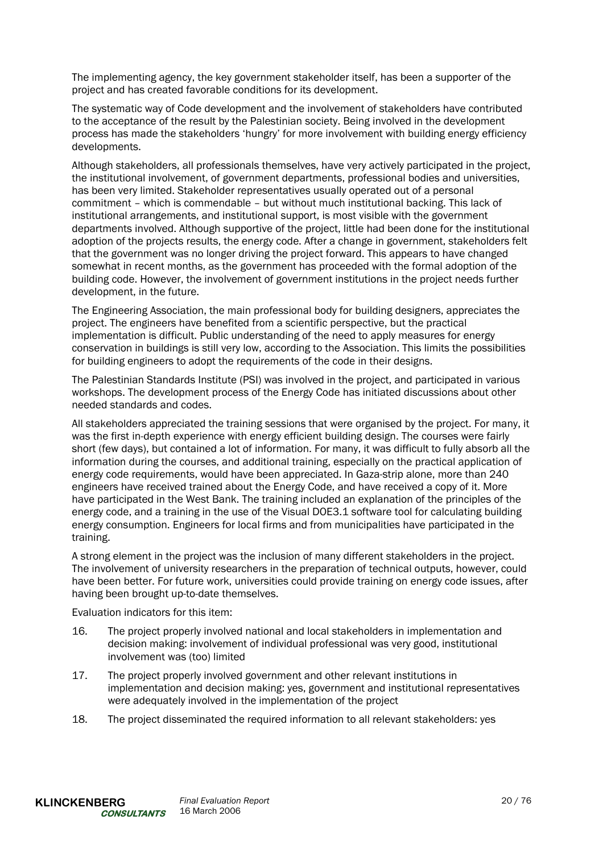The implementing agency, the key government stakeholder itself, has been a supporter of the project and has created favorable conditions for its development.

The systematic way of Code development and the involvement of stakeholders have contributed to the acceptance of the result by the Palestinian society. Being involved in the development process has made the stakeholders 'hungry' for more involvement with building energy efficiency developments.

Although stakeholders, all professionals themselves, have very actively participated in the project, the institutional involvement, of government departments, professional bodies and universities, has been very limited. Stakeholder representatives usually operated out of a personal commitment – which is commendable – but without much institutional backing. This lack of institutional arrangements, and institutional support, is most visible with the government departments involved. Although supportive of the project, little had been done for the institutional adoption of the projects results, the energy code. After a change in government, stakeholders felt that the government was no longer driving the project forward. This appears to have changed somewhat in recent months, as the government has proceeded with the formal adoption of the building code. However, the involvement of government institutions in the project needs further development, in the future.

The Engineering Association, the main professional body for building designers, appreciates the project. The engineers have benefited from a scientific perspective, but the practical implementation is difficult. Public understanding of the need to apply measures for energy conservation in buildings is still very low, according to the Association. This limits the possibilities for building engineers to adopt the requirements of the code in their designs.

The Palestinian Standards Institute (PSI) was involved in the project, and participated in various workshops. The development process of the Energy Code has initiated discussions about other needed standards and codes.

All stakeholders appreciated the training sessions that were organised by the project. For many, it was the first in-depth experience with energy efficient building design. The courses were fairly short (few days), but contained a lot of information. For many, it was difficult to fully absorb all the information during the courses, and additional training, especially on the practical application of energy code requirements, would have been appreciated. In Gaza-strip alone, more than 240 engineers have received trained about the Energy Code, and have received a copy of it. More have participated in the West Bank. The training included an explanation of the principles of the energy code, and a training in the use of the Visual DOE3.1 software tool for calculating building energy consumption. Engineers for local firms and from municipalities have participated in the training.

A strong element in the project was the inclusion of many different stakeholders in the project. The involvement of university researchers in the preparation of technical outputs, however, could have been better. For future work, universities could provide training on energy code issues, after having been brought up-to-date themselves.

Evaluation indicators for this item:

- 16. The project properly involved national and local stakeholders in implementation and decision making: involvement of individual professional was very good, institutional involvement was (too) limited
- 17. The project properly involved government and other relevant institutions in implementation and decision making: yes, government and institutional representatives were adequately involved in the implementation of the project
- 18. The project disseminated the required information to all relevant stakeholders: yes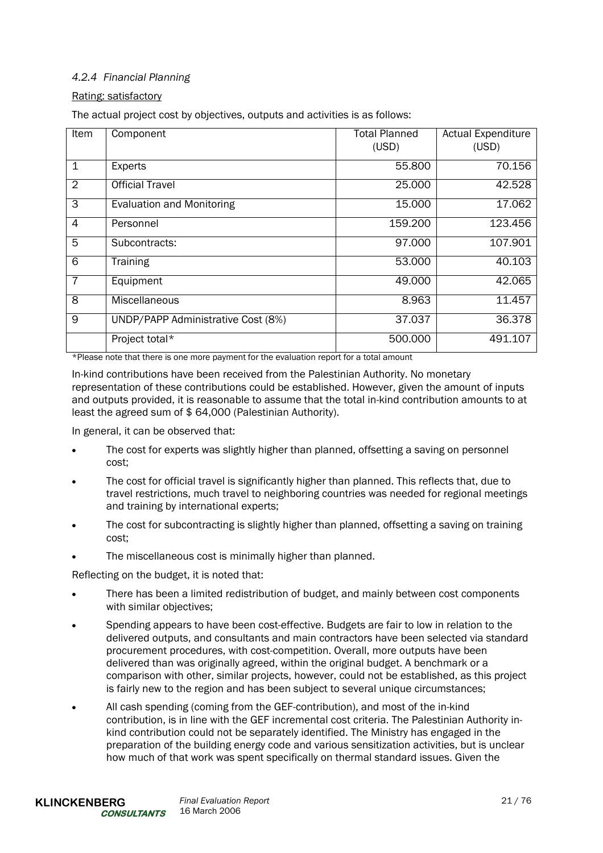# *4.2.4 Financial Planning*

# Rating: satisfactory

The actual project cost by objectives, outputs and activities is as follows:

| Item           | Component                          | <b>Total Planned</b><br>(USD) | <b>Actual Expenditure</b><br>(USD) |
|----------------|------------------------------------|-------------------------------|------------------------------------|
| $\mathbf 1$    | <b>Experts</b>                     | 55.800                        | 70.156                             |
| $\overline{2}$ | <b>Official Travel</b>             | 25,000                        | 42.528                             |
| 3              | <b>Evaluation and Monitoring</b>   | 15.000                        | 17.062                             |
| $\overline{4}$ | Personnel                          | 159.200                       | 123.456                            |
| 5              | Subcontracts:                      | 97.000                        | 107.901                            |
| 6              | Training                           | 53.000                        | 40.103                             |
| $\overline{7}$ | Equipment                          | 49.000                        | 42.065                             |
| 8              | Miscellaneous                      | 8.963                         | 11.457                             |
| 9              | UNDP/PAPP Administrative Cost (8%) | 37.037                        | 36.378                             |
|                | Project total*                     | 500.000                       | 491.107                            |

\*Please note that there is one more payment for the evaluation report for a total amount

In-kind contributions have been received from the Palestinian Authority. No monetary representation of these contributions could be established. However, given the amount of inputs and outputs provided, it is reasonable to assume that the total in-kind contribution amounts to at least the agreed sum of \$ 64,000 (Palestinian Authority).

In general, it can be observed that:

- The cost for experts was slightly higher than planned, offsetting a saving on personnel cost;
- The cost for official travel is significantly higher than planned. This reflects that, due to travel restrictions, much travel to neighboring countries was needed for regional meetings and training by international experts;
- The cost for subcontracting is slightly higher than planned, offsetting a saving on training cost;
- The miscellaneous cost is minimally higher than planned.

Reflecting on the budget, it is noted that:

- There has been a limited redistribution of budget, and mainly between cost components with similar objectives:
- Spending appears to have been cost-effective. Budgets are fair to low in relation to the delivered outputs, and consultants and main contractors have been selected via standard procurement procedures, with cost-competition. Overall, more outputs have been delivered than was originally agreed, within the original budget. A benchmark or a comparison with other, similar projects, however, could not be established, as this project is fairly new to the region and has been subject to several unique circumstances;
- All cash spending (coming from the GEF-contribution), and most of the in-kind contribution, is in line with the GEF incremental cost criteria. The Palestinian Authority inkind contribution could not be separately identified. The Ministry has engaged in the preparation of the building energy code and various sensitization activities, but is unclear how much of that work was spent specifically on thermal standard issues. Given the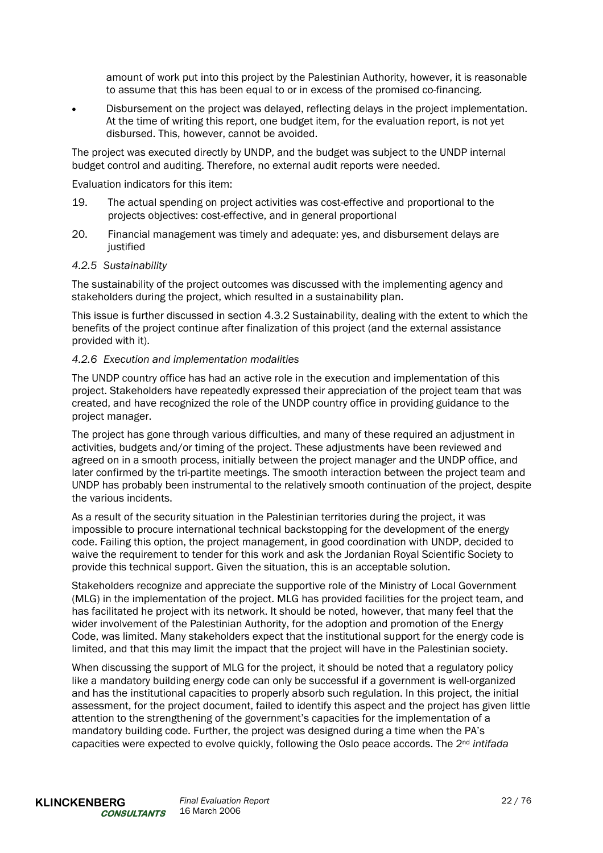amount of work put into this project by the Palestinian Authority, however, it is reasonable to assume that this has been equal to or in excess of the promised co-financing.

• Disbursement on the project was delayed, reflecting delays in the project implementation. At the time of writing this report, one budget item, for the evaluation report, is not yet disbursed. This, however, cannot be avoided.

The project was executed directly by UNDP, and the budget was subject to the UNDP internal budget control and auditing. Therefore, no external audit reports were needed.

Evaluation indicators for this item:

- 19. The actual spending on project activities was cost-effective and proportional to the projects objectives: cost-effective, and in general proportional
- 20. Financial management was timely and adequate: yes, and disbursement delays are iustified

#### *4.2.5 Sustainability*

The sustainability of the project outcomes was discussed with the implementing agency and stakeholders during the project, which resulted in a sustainability plan.

This issue is further discussed in section 4.3.2 Sustainability, dealing with the extent to which the benefits of the project continue after finalization of this project (and the external assistance provided with it).

#### *4.2.6 Execution and implementation modalities*

The UNDP country office has had an active role in the execution and implementation of this project. Stakeholders have repeatedly expressed their appreciation of the project team that was created, and have recognized the role of the UNDP country office in providing guidance to the project manager.

The project has gone through various difficulties, and many of these required an adjustment in activities, budgets and/or timing of the project. These adjustments have been reviewed and agreed on in a smooth process, initially between the project manager and the UNDP office, and later confirmed by the tri-partite meetings. The smooth interaction between the project team and UNDP has probably been instrumental to the relatively smooth continuation of the project, despite the various incidents.

As a result of the security situation in the Palestinian territories during the project, it was impossible to procure international technical backstopping for the development of the energy code. Failing this option, the project management, in good coordination with UNDP, decided to waive the requirement to tender for this work and ask the Jordanian Royal Scientific Society to provide this technical support. Given the situation, this is an acceptable solution.

Stakeholders recognize and appreciate the supportive role of the Ministry of Local Government (MLG) in the implementation of the project. MLG has provided facilities for the project team, and has facilitated he project with its network. It should be noted, however, that many feel that the wider involvement of the Palestinian Authority, for the adoption and promotion of the Energy Code, was limited. Many stakeholders expect that the institutional support for the energy code is limited, and that this may limit the impact that the project will have in the Palestinian society.

When discussing the support of MLG for the project, it should be noted that a regulatory policy like a mandatory building energy code can only be successful if a government is well-organized and has the institutional capacities to properly absorb such regulation. In this project, the initial assessment, for the project document, failed to identify this aspect and the project has given little attention to the strengthening of the government's capacities for the implementation of a mandatory building code. Further, the project was designed during a time when the PA's capacities were expected to evolve quickly, following the Oslo peace accords. The 2nd *intifada*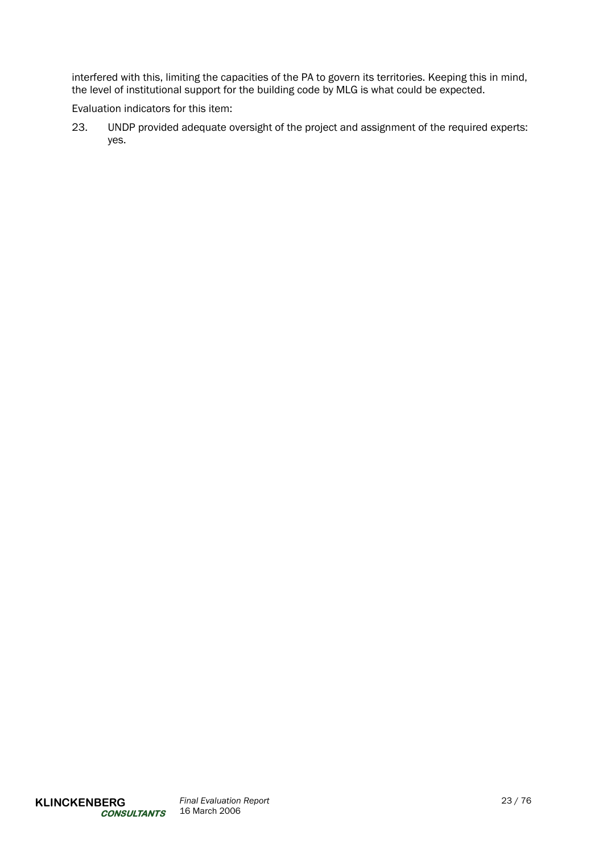interfered with this, limiting the capacities of the PA to govern its territories. Keeping this in mind, the level of institutional support for the building code by MLG is what could be expected.

Evaluation indicators for this item:

23. UNDP provided adequate oversight of the project and assignment of the required experts: yes.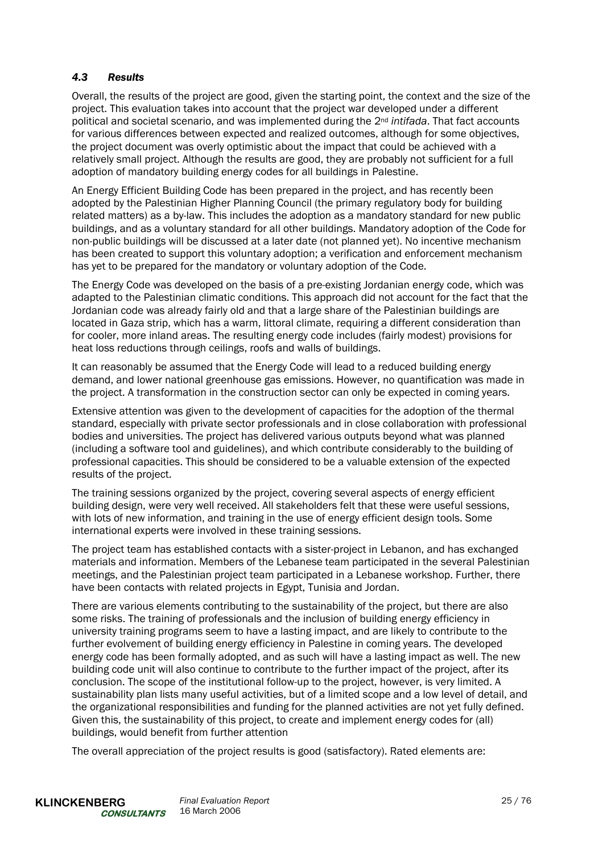# *4.3 Results*

Overall, the results of the project are good, given the starting point, the context and the size of the project. This evaluation takes into account that the project war developed under a different political and societal scenario, and was implemented during the 2nd *intifada*. That fact accounts for various differences between expected and realized outcomes, although for some objectives, the project document was overly optimistic about the impact that could be achieved with a relatively small project. Although the results are good, they are probably not sufficient for a full adoption of mandatory building energy codes for all buildings in Palestine.

An Energy Efficient Building Code has been prepared in the project, and has recently been adopted by the Palestinian Higher Planning Council (the primary regulatory body for building related matters) as a by-law. This includes the adoption as a mandatory standard for new public buildings, and as a voluntary standard for all other buildings. Mandatory adoption of the Code for non-public buildings will be discussed at a later date (not planned yet). No incentive mechanism has been created to support this voluntary adoption; a verification and enforcement mechanism has yet to be prepared for the mandatory or voluntary adoption of the Code.

The Energy Code was developed on the basis of a pre-existing Jordanian energy code, which was adapted to the Palestinian climatic conditions. This approach did not account for the fact that the Jordanian code was already fairly old and that a large share of the Palestinian buildings are located in Gaza strip, which has a warm, littoral climate, requiring a different consideration than for cooler, more inland areas. The resulting energy code includes (fairly modest) provisions for heat loss reductions through ceilings, roofs and walls of buildings.

It can reasonably be assumed that the Energy Code will lead to a reduced building energy demand, and lower national greenhouse gas emissions. However, no quantification was made in the project. A transformation in the construction sector can only be expected in coming years.

Extensive attention was given to the development of capacities for the adoption of the thermal standard, especially with private sector professionals and in close collaboration with professional bodies and universities. The project has delivered various outputs beyond what was planned (including a software tool and guidelines), and which contribute considerably to the building of professional capacities. This should be considered to be a valuable extension of the expected results of the project.

The training sessions organized by the project, covering several aspects of energy efficient building design, were very well received. All stakeholders felt that these were useful sessions, with lots of new information, and training in the use of energy efficient design tools. Some international experts were involved in these training sessions.

The project team has established contacts with a sister-project in Lebanon, and has exchanged materials and information. Members of the Lebanese team participated in the several Palestinian meetings, and the Palestinian project team participated in a Lebanese workshop. Further, there have been contacts with related projects in Egypt, Tunisia and Jordan.

There are various elements contributing to the sustainability of the project, but there are also some risks. The training of professionals and the inclusion of building energy efficiency in university training programs seem to have a lasting impact, and are likely to contribute to the further evolvement of building energy efficiency in Palestine in coming years. The developed energy code has been formally adopted, and as such will have a lasting impact as well. The new building code unit will also continue to contribute to the further impact of the project, after its conclusion. The scope of the institutional follow-up to the project, however, is very limited. A sustainability plan lists many useful activities, but of a limited scope and a low level of detail, and the organizational responsibilities and funding for the planned activities are not yet fully defined. Given this, the sustainability of this project, to create and implement energy codes for (all) buildings, would benefit from further attention

The overall appreciation of the project results is good (satisfactory). Rated elements are: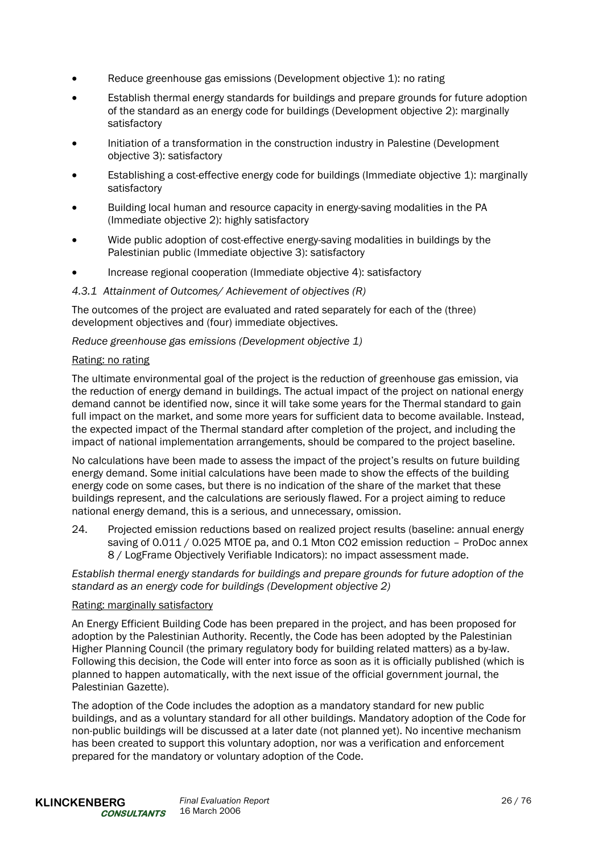- Reduce greenhouse gas emissions (Development objective 1): no rating
- Establish thermal energy standards for buildings and prepare grounds for future adoption of the standard as an energy code for buildings (Development objective 2): marginally satisfactory
- Initiation of a transformation in the construction industry in Palestine (Development objective 3): satisfactory
- Establishing a cost-effective energy code for buildings (Immediate objective 1): marginally satisfactory
- Building local human and resource capacity in energy-saving modalities in the PA (Immediate objective 2): highly satisfactory
- Wide public adoption of cost-effective energy-saving modalities in buildings by the Palestinian public (Immediate objective 3): satisfactory
- Increase regional cooperation (Immediate objective 4): satisfactory

#### *4.3.1 Attainment of Outcomes/ Achievement of objectives (R)*

The outcomes of the project are evaluated and rated separately for each of the (three) development objectives and (four) immediate objectives.

*Reduce greenhouse gas emissions (Development objective 1)* 

#### Rating: no rating

The ultimate environmental goal of the project is the reduction of greenhouse gas emission, via the reduction of energy demand in buildings. The actual impact of the project on national energy demand cannot be identified now, since it will take some years for the Thermal standard to gain full impact on the market, and some more years for sufficient data to become available. Instead, the expected impact of the Thermal standard after completion of the project, and including the impact of national implementation arrangements, should be compared to the project baseline.

No calculations have been made to assess the impact of the project's results on future building energy demand. Some initial calculations have been made to show the effects of the building energy code on some cases, but there is no indication of the share of the market that these buildings represent, and the calculations are seriously flawed. For a project aiming to reduce national energy demand, this is a serious, and unnecessary, omission.

24. Projected emission reductions based on realized project results (baseline: annual energy saving of 0.011 / 0.025 MTOE pa, and 0.1 Mton CO2 emission reduction – ProDoc annex 8 / LogFrame Objectively Verifiable Indicators): no impact assessment made.

*Establish thermal energy standards for buildings and prepare grounds for future adoption of the standard as an energy code for buildings (Development objective 2)* 

#### Rating: marginally satisfactory

An Energy Efficient Building Code has been prepared in the project, and has been proposed for adoption by the Palestinian Authority. Recently, the Code has been adopted by the Palestinian Higher Planning Council (the primary regulatory body for building related matters) as a by-law. Following this decision, the Code will enter into force as soon as it is officially published (which is planned to happen automatically, with the next issue of the official government journal, the Palestinian Gazette).

The adoption of the Code includes the adoption as a mandatory standard for new public buildings, and as a voluntary standard for all other buildings. Mandatory adoption of the Code for non-public buildings will be discussed at a later date (not planned yet). No incentive mechanism has been created to support this voluntary adoption, nor was a verification and enforcement prepared for the mandatory or voluntary adoption of the Code.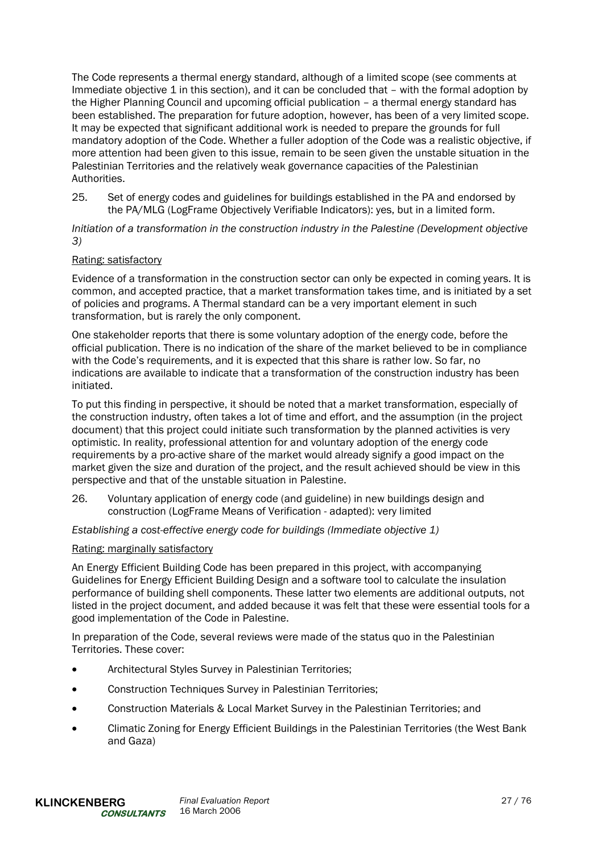The Code represents a thermal energy standard, although of a limited scope (see comments at Immediate objective 1 in this section), and it can be concluded that – with the formal adoption by the Higher Planning Council and upcoming official publication – a thermal energy standard has been established. The preparation for future adoption, however, has been of a very limited scope. It may be expected that significant additional work is needed to prepare the grounds for full mandatory adoption of the Code. Whether a fuller adoption of the Code was a realistic objective, if more attention had been given to this issue, remain to be seen given the unstable situation in the Palestinian Territories and the relatively weak governance capacities of the Palestinian Authorities.

25. Set of energy codes and guidelines for buildings established in the PA and endorsed by the PA/MLG (LogFrame Objectively Verifiable Indicators): yes, but in a limited form.

*Initiation of a transformation in the construction industry in the Palestine (Development objective 3)* 

#### Rating: satisfactory

Evidence of a transformation in the construction sector can only be expected in coming years. It is common, and accepted practice, that a market transformation takes time, and is initiated by a set of policies and programs. A Thermal standard can be a very important element in such transformation, but is rarely the only component.

One stakeholder reports that there is some voluntary adoption of the energy code, before the official publication. There is no indication of the share of the market believed to be in compliance with the Code's requirements, and it is expected that this share is rather low. So far, no indications are available to indicate that a transformation of the construction industry has been initiated.

To put this finding in perspective, it should be noted that a market transformation, especially of the construction industry, often takes a lot of time and effort, and the assumption (in the project document) that this project could initiate such transformation by the planned activities is very optimistic. In reality, professional attention for and voluntary adoption of the energy code requirements by a pro-active share of the market would already signify a good impact on the market given the size and duration of the project, and the result achieved should be view in this perspective and that of the unstable situation in Palestine.

26. Voluntary application of energy code (and guideline) in new buildings design and construction (LogFrame Means of Verification - adapted): very limited

*Establishing a cost-effective energy code for buildings (Immediate objective 1)* 

#### Rating: marginally satisfactory

An Energy Efficient Building Code has been prepared in this project, with accompanying Guidelines for Energy Efficient Building Design and a software tool to calculate the insulation performance of building shell components. These latter two elements are additional outputs, not listed in the project document, and added because it was felt that these were essential tools for a good implementation of the Code in Palestine.

In preparation of the Code, several reviews were made of the status quo in the Palestinian Territories. These cover:

- Architectural Styles Survey in Palestinian Territories;
- Construction Techniques Survey in Palestinian Territories;
- Construction Materials & Local Market Survey in the Palestinian Territories; and
- Climatic Zoning for Energy Efficient Buildings in the Palestinian Territories (the West Bank and Gaza)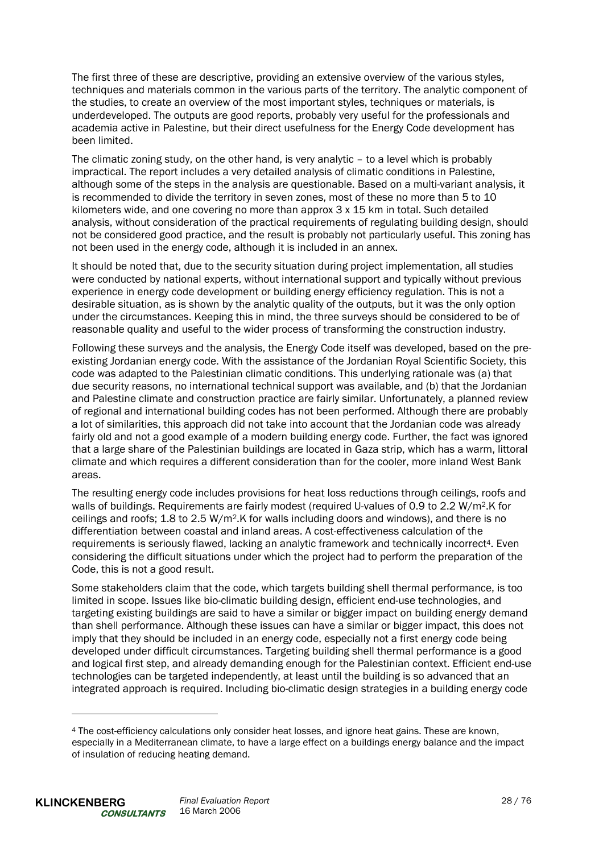The first three of these are descriptive, providing an extensive overview of the various styles, techniques and materials common in the various parts of the territory. The analytic component of the studies, to create an overview of the most important styles, techniques or materials, is underdeveloped. The outputs are good reports, probably very useful for the professionals and academia active in Palestine, but their direct usefulness for the Energy Code development has been limited.

The climatic zoning study, on the other hand, is very analytic – to a level which is probably impractical. The report includes a very detailed analysis of climatic conditions in Palestine, although some of the steps in the analysis are questionable. Based on a multi-variant analysis, it is recommended to divide the territory in seven zones, most of these no more than 5 to 10 kilometers wide, and one covering no more than approx 3 x 15 km in total. Such detailed analysis, without consideration of the practical requirements of regulating building design, should not be considered good practice, and the result is probably not particularly useful. This zoning has not been used in the energy code, although it is included in an annex.

It should be noted that, due to the security situation during project implementation, all studies were conducted by national experts, without international support and typically without previous experience in energy code development or building energy efficiency regulation. This is not a desirable situation, as is shown by the analytic quality of the outputs, but it was the only option under the circumstances. Keeping this in mind, the three surveys should be considered to be of reasonable quality and useful to the wider process of transforming the construction industry.

Following these surveys and the analysis, the Energy Code itself was developed, based on the preexisting Jordanian energy code. With the assistance of the Jordanian Royal Scientific Society, this code was adapted to the Palestinian climatic conditions. This underlying rationale was (a) that due security reasons, no international technical support was available, and (b) that the Jordanian and Palestine climate and construction practice are fairly similar. Unfortunately, a planned review of regional and international building codes has not been performed. Although there are probably a lot of similarities, this approach did not take into account that the Jordanian code was already fairly old and not a good example of a modern building energy code. Further, the fact was ignored that a large share of the Palestinian buildings are located in Gaza strip, which has a warm, littoral climate and which requires a different consideration than for the cooler, more inland West Bank areas.

The resulting energy code includes provisions for heat loss reductions through ceilings, roofs and walls of buildings. Requirements are fairly modest (required U-values of 0.9 to 2.2 W/m<sup>2</sup>.K for ceilings and roofs; 1.8 to 2.5 W/m2.K for walls including doors and windows), and there is no differentiation between coastal and inland areas. A cost-effectiveness calculation of the requirements is seriously flawed, lacking an analytic framework and technically incorrect<sup>4</sup>. Even considering the difficult situations under which the project had to perform the preparation of the Code, this is not a good result.

Some stakeholders claim that the code, which targets building shell thermal performance, is too limited in scope. Issues like bio-climatic building design, efficient end-use technologies, and targeting existing buildings are said to have a similar or bigger impact on building energy demand than shell performance. Although these issues can have a similar or bigger impact, this does not imply that they should be included in an energy code, especially not a first energy code being developed under difficult circumstances. Targeting building shell thermal performance is a good and logical first step, and already demanding enough for the Palestinian context. Efficient end-use technologies can be targeted independently, at least until the building is so advanced that an integrated approach is required. Including bio-climatic design strategies in a building energy code

l

<sup>4</sup> The cost-efficiency calculations only consider heat losses, and ignore heat gains. These are known, especially in a Mediterranean climate, to have a large effect on a buildings energy balance and the impact of insulation of reducing heating demand.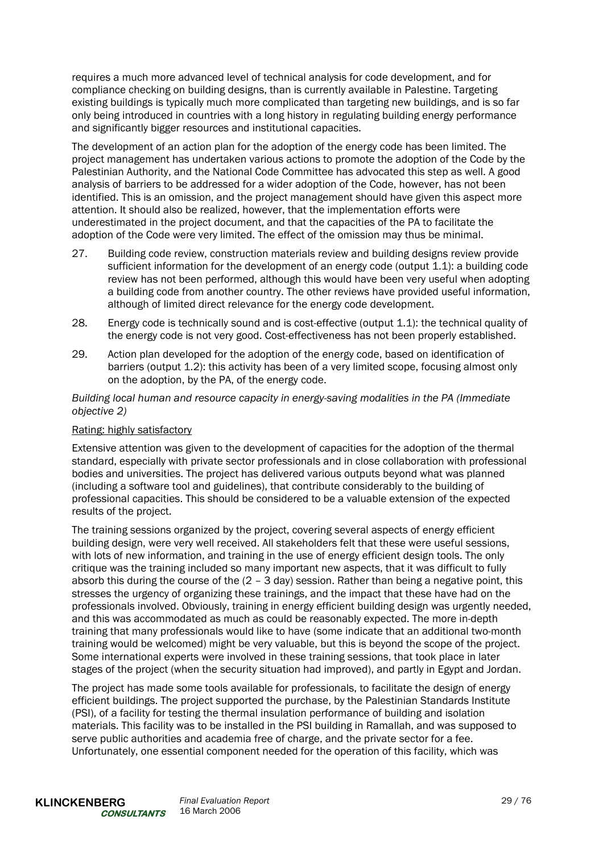requires a much more advanced level of technical analysis for code development, and for compliance checking on building designs, than is currently available in Palestine. Targeting existing buildings is typically much more complicated than targeting new buildings, and is so far only being introduced in countries with a long history in regulating building energy performance and significantly bigger resources and institutional capacities.

The development of an action plan for the adoption of the energy code has been limited. The project management has undertaken various actions to promote the adoption of the Code by the Palestinian Authority, and the National Code Committee has advocated this step as well. A good analysis of barriers to be addressed for a wider adoption of the Code, however, has not been identified. This is an omission, and the project management should have given this aspect more attention. It should also be realized, however, that the implementation efforts were underestimated in the project document, and that the capacities of the PA to facilitate the adoption of the Code were very limited. The effect of the omission may thus be minimal.

- 27. Building code review, construction materials review and building designs review provide sufficient information for the development of an energy code (output 1.1): a building code review has not been performed, although this would have been very useful when adopting a building code from another country. The other reviews have provided useful information, although of limited direct relevance for the energy code development.
- 28. Energy code is technically sound and is cost-effective (output 1.1): the technical quality of the energy code is not very good. Cost-effectiveness has not been properly established.
- 29. Action plan developed for the adoption of the energy code, based on identification of barriers (output 1.2): this activity has been of a very limited scope, focusing almost only on the adoption, by the PA, of the energy code.

*Building local human and resource capacity in energy-saving modalities in the PA (Immediate objective 2)* 

#### Rating: highly satisfactory

Extensive attention was given to the development of capacities for the adoption of the thermal standard, especially with private sector professionals and in close collaboration with professional bodies and universities. The project has delivered various outputs beyond what was planned (including a software tool and guidelines), that contribute considerably to the building of professional capacities. This should be considered to be a valuable extension of the expected results of the project.

The training sessions organized by the project, covering several aspects of energy efficient building design, were very well received. All stakeholders felt that these were useful sessions, with lots of new information, and training in the use of energy efficient design tools. The only critique was the training included so many important new aspects, that it was difficult to fully absorb this during the course of the  $(2 - 3 \text{ day})$  session. Rather than being a negative point, this stresses the urgency of organizing these trainings, and the impact that these have had on the professionals involved. Obviously, training in energy efficient building design was urgently needed, and this was accommodated as much as could be reasonably expected. The more in-depth training that many professionals would like to have (some indicate that an additional two-month training would be welcomed) might be very valuable, but this is beyond the scope of the project. Some international experts were involved in these training sessions, that took place in later stages of the project (when the security situation had improved), and partly in Egypt and Jordan.

The project has made some tools available for professionals, to facilitate the design of energy efficient buildings. The project supported the purchase, by the Palestinian Standards Institute (PSI), of a facility for testing the thermal insulation performance of building and isolation materials. This facility was to be installed in the PSI building in Ramallah, and was supposed to serve public authorities and academia free of charge, and the private sector for a fee. Unfortunately, one essential component needed for the operation of this facility, which was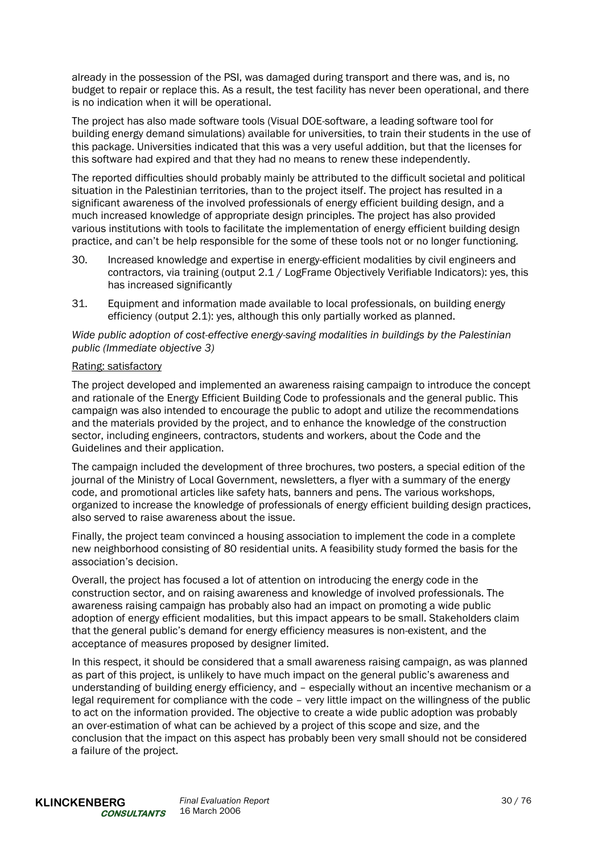already in the possession of the PSI, was damaged during transport and there was, and is, no budget to repair or replace this. As a result, the test facility has never been operational, and there is no indication when it will be operational.

The project has also made software tools (Visual DOE-software, a leading software tool for building energy demand simulations) available for universities, to train their students in the use of this package. Universities indicated that this was a very useful addition, but that the licenses for this software had expired and that they had no means to renew these independently.

The reported difficulties should probably mainly be attributed to the difficult societal and political situation in the Palestinian territories, than to the project itself. The project has resulted in a significant awareness of the involved professionals of energy efficient building design, and a much increased knowledge of appropriate design principles. The project has also provided various institutions with tools to facilitate the implementation of energy efficient building design practice, and can't be help responsible for the some of these tools not or no longer functioning.

- 30. Increased knowledge and expertise in energy-efficient modalities by civil engineers and contractors, via training (output 2.1 / LogFrame Objectively Verifiable Indicators): yes, this has increased significantly
- 31. Equipment and information made available to local professionals, on building energy efficiency (output 2.1): yes, although this only partially worked as planned.

*Wide public adoption of cost-effective energy-saving modalities in buildings by the Palestinian public (Immediate objective 3)* 

#### Rating: satisfactory

The project developed and implemented an awareness raising campaign to introduce the concept and rationale of the Energy Efficient Building Code to professionals and the general public. This campaign was also intended to encourage the public to adopt and utilize the recommendations and the materials provided by the project, and to enhance the knowledge of the construction sector, including engineers, contractors, students and workers, about the Code and the Guidelines and their application.

The campaign included the development of three brochures, two posters, a special edition of the journal of the Ministry of Local Government, newsletters, a flyer with a summary of the energy code, and promotional articles like safety hats, banners and pens. The various workshops, organized to increase the knowledge of professionals of energy efficient building design practices, also served to raise awareness about the issue.

Finally, the project team convinced a housing association to implement the code in a complete new neighborhood consisting of 80 residential units. A feasibility study formed the basis for the association's decision.

Overall, the project has focused a lot of attention on introducing the energy code in the construction sector, and on raising awareness and knowledge of involved professionals. The awareness raising campaign has probably also had an impact on promoting a wide public adoption of energy efficient modalities, but this impact appears to be small. Stakeholders claim that the general public's demand for energy efficiency measures is non-existent, and the acceptance of measures proposed by designer limited.

In this respect, it should be considered that a small awareness raising campaign, as was planned as part of this project, is unlikely to have much impact on the general public's awareness and understanding of building energy efficiency, and – especially without an incentive mechanism or a legal requirement for compliance with the code – very little impact on the willingness of the public to act on the information provided. The objective to create a wide public adoption was probably an over-estimation of what can be achieved by a project of this scope and size, and the conclusion that the impact on this aspect has probably been very small should not be considered a failure of the project.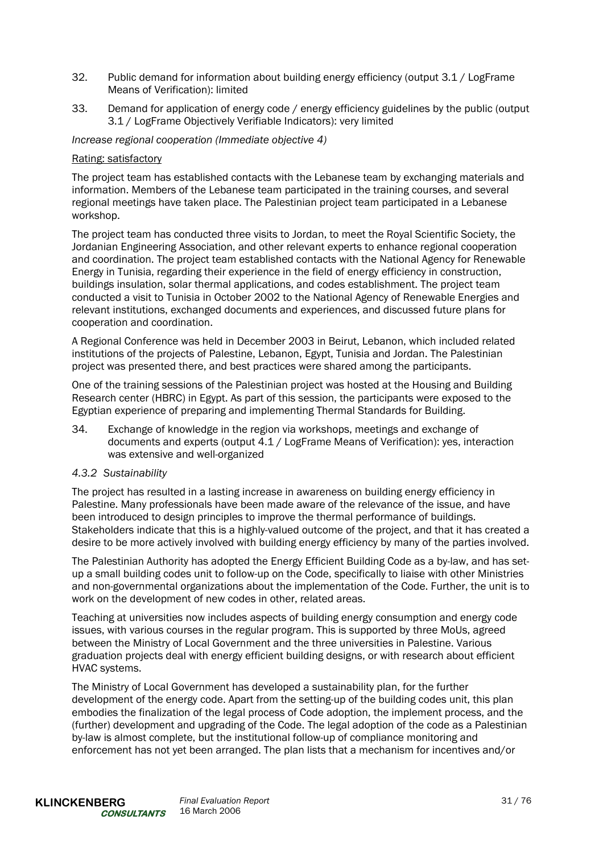- 32. Public demand for information about building energy efficiency (output 3.1 / LogFrame Means of Verification): limited
- 33. Demand for application of energy code / energy efficiency guidelines by the public (output 3.1 / LogFrame Objectively Verifiable Indicators): very limited

*Increase regional cooperation (Immediate objective 4)* 

#### Rating: satisfactory

The project team has established contacts with the Lebanese team by exchanging materials and information. Members of the Lebanese team participated in the training courses, and several regional meetings have taken place. The Palestinian project team participated in a Lebanese workshop.

The project team has conducted three visits to Jordan, to meet the Royal Scientific Society, the Jordanian Engineering Association, and other relevant experts to enhance regional cooperation and coordination. The project team established contacts with the National Agency for Renewable Energy in Tunisia, regarding their experience in the field of energy efficiency in construction, buildings insulation, solar thermal applications, and codes establishment. The project team conducted a visit to Tunisia in October 2002 to the National Agency of Renewable Energies and relevant institutions, exchanged documents and experiences, and discussed future plans for cooperation and coordination.

A Regional Conference was held in December 2003 in Beirut, Lebanon, which included related institutions of the projects of Palestine, Lebanon, Egypt, Tunisia and Jordan. The Palestinian project was presented there, and best practices were shared among the participants.

One of the training sessions of the Palestinian project was hosted at the Housing and Building Research center (HBRC) in Egypt. As part of this session, the participants were exposed to the Egyptian experience of preparing and implementing Thermal Standards for Building.

34. Exchange of knowledge in the region via workshops, meetings and exchange of documents and experts (output 4.1 / LogFrame Means of Verification): yes, interaction was extensive and well-organized

#### *4.3.2 Sustainability*

The project has resulted in a lasting increase in awareness on building energy efficiency in Palestine. Many professionals have been made aware of the relevance of the issue, and have been introduced to design principles to improve the thermal performance of buildings. Stakeholders indicate that this is a highly-valued outcome of the project, and that it has created a desire to be more actively involved with building energy efficiency by many of the parties involved.

The Palestinian Authority has adopted the Energy Efficient Building Code as a by-law, and has setup a small building codes unit to follow-up on the Code, specifically to liaise with other Ministries and non-governmental organizations about the implementation of the Code. Further, the unit is to work on the development of new codes in other, related areas.

Teaching at universities now includes aspects of building energy consumption and energy code issues, with various courses in the regular program. This is supported by three MoUs, agreed between the Ministry of Local Government and the three universities in Palestine. Various graduation projects deal with energy efficient building designs, or with research about efficient HVAC systems.

The Ministry of Local Government has developed a sustainability plan, for the further development of the energy code. Apart from the setting-up of the building codes unit, this plan embodies the finalization of the legal process of Code adoption, the implement process, and the (further) development and upgrading of the Code. The legal adoption of the code as a Palestinian by-law is almost complete, but the institutional follow-up of compliance monitoring and enforcement has not yet been arranged. The plan lists that a mechanism for incentives and/or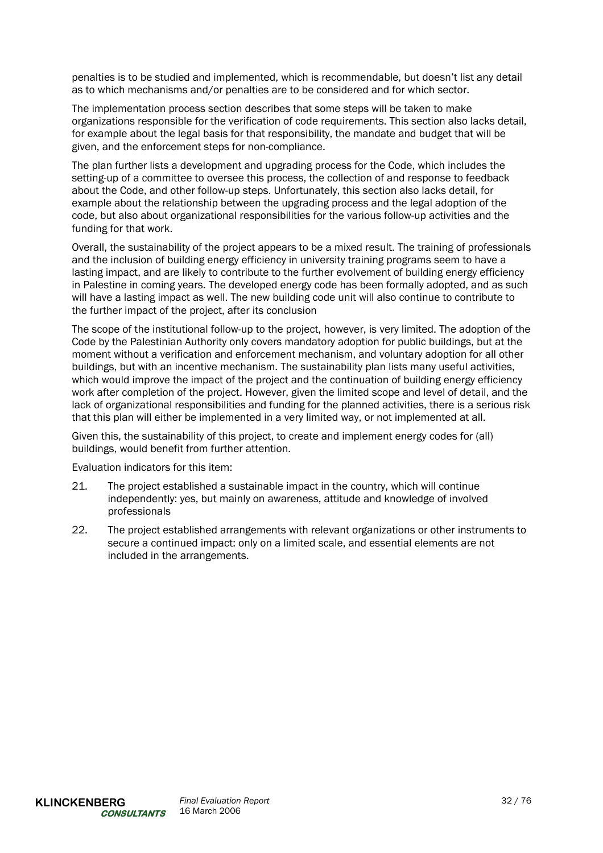penalties is to be studied and implemented, which is recommendable, but doesn't list any detail as to which mechanisms and/or penalties are to be considered and for which sector.

The implementation process section describes that some steps will be taken to make organizations responsible for the verification of code requirements. This section also lacks detail, for example about the legal basis for that responsibility, the mandate and budget that will be given, and the enforcement steps for non-compliance.

The plan further lists a development and upgrading process for the Code, which includes the setting-up of a committee to oversee this process, the collection of and response to feedback about the Code, and other follow-up steps. Unfortunately, this section also lacks detail, for example about the relationship between the upgrading process and the legal adoption of the code, but also about organizational responsibilities for the various follow-up activities and the funding for that work.

Overall, the sustainability of the project appears to be a mixed result. The training of professionals and the inclusion of building energy efficiency in university training programs seem to have a lasting impact, and are likely to contribute to the further evolvement of building energy efficiency in Palestine in coming years. The developed energy code has been formally adopted, and as such will have a lasting impact as well. The new building code unit will also continue to contribute to the further impact of the project, after its conclusion

The scope of the institutional follow-up to the project, however, is very limited. The adoption of the Code by the Palestinian Authority only covers mandatory adoption for public buildings, but at the moment without a verification and enforcement mechanism, and voluntary adoption for all other buildings, but with an incentive mechanism. The sustainability plan lists many useful activities, which would improve the impact of the project and the continuation of building energy efficiency work after completion of the project. However, given the limited scope and level of detail, and the lack of organizational responsibilities and funding for the planned activities, there is a serious risk that this plan will either be implemented in a very limited way, or not implemented at all.

Given this, the sustainability of this project, to create and implement energy codes for (all) buildings, would benefit from further attention.

Evaluation indicators for this item:

- 21. The project established a sustainable impact in the country, which will continue independently: yes, but mainly on awareness, attitude and knowledge of involved professionals
- 22. The project established arrangements with relevant organizations or other instruments to secure a continued impact: only on a limited scale, and essential elements are not included in the arrangements.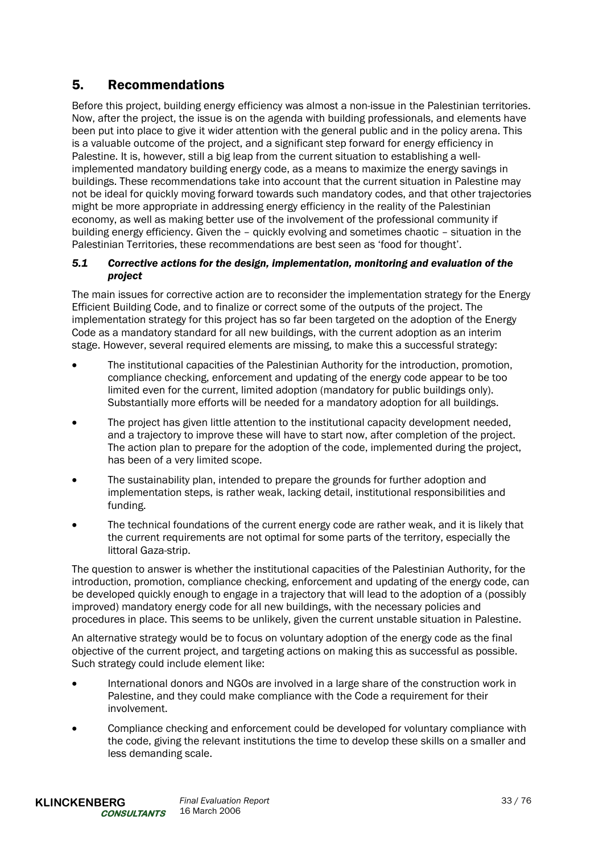# 5. Recommendations

Before this project, building energy efficiency was almost a non-issue in the Palestinian territories. Now, after the project, the issue is on the agenda with building professionals, and elements have been put into place to give it wider attention with the general public and in the policy arena. This is a valuable outcome of the project, and a significant step forward for energy efficiency in Palestine. It is, however, still a big leap from the current situation to establishing a wellimplemented mandatory building energy code, as a means to maximize the energy savings in buildings. These recommendations take into account that the current situation in Palestine may not be ideal for quickly moving forward towards such mandatory codes, and that other trajectories might be more appropriate in addressing energy efficiency in the reality of the Palestinian economy, as well as making better use of the involvement of the professional community if building energy efficiency. Given the – quickly evolving and sometimes chaotic – situation in the Palestinian Territories, these recommendations are best seen as 'food for thought'.

# *5.1 Corrective actions for the design, implementation, monitoring and evaluation of the project*

The main issues for corrective action are to reconsider the implementation strategy for the Energy Efficient Building Code, and to finalize or correct some of the outputs of the project. The implementation strategy for this project has so far been targeted on the adoption of the Energy Code as a mandatory standard for all new buildings, with the current adoption as an interim stage. However, several required elements are missing, to make this a successful strategy:

- The institutional capacities of the Palestinian Authority for the introduction, promotion, compliance checking, enforcement and updating of the energy code appear to be too limited even for the current, limited adoption (mandatory for public buildings only). Substantially more efforts will be needed for a mandatory adoption for all buildings.
- The project has given little attention to the institutional capacity development needed, and a trajectory to improve these will have to start now, after completion of the project. The action plan to prepare for the adoption of the code, implemented during the project, has been of a very limited scope.
- The sustainability plan, intended to prepare the grounds for further adoption and implementation steps, is rather weak, lacking detail, institutional responsibilities and funding.
- The technical foundations of the current energy code are rather weak, and it is likely that the current requirements are not optimal for some parts of the territory, especially the littoral Gaza-strip.

The question to answer is whether the institutional capacities of the Palestinian Authority, for the introduction, promotion, compliance checking, enforcement and updating of the energy code, can be developed quickly enough to engage in a trajectory that will lead to the adoption of a (possibly improved) mandatory energy code for all new buildings, with the necessary policies and procedures in place. This seems to be unlikely, given the current unstable situation in Palestine.

An alternative strategy would be to focus on voluntary adoption of the energy code as the final objective of the current project, and targeting actions on making this as successful as possible. Such strategy could include element like:

- International donors and NGOs are involved in a large share of the construction work in Palestine, and they could make compliance with the Code a requirement for their involvement.
- Compliance checking and enforcement could be developed for voluntary compliance with the code, giving the relevant institutions the time to develop these skills on a smaller and less demanding scale.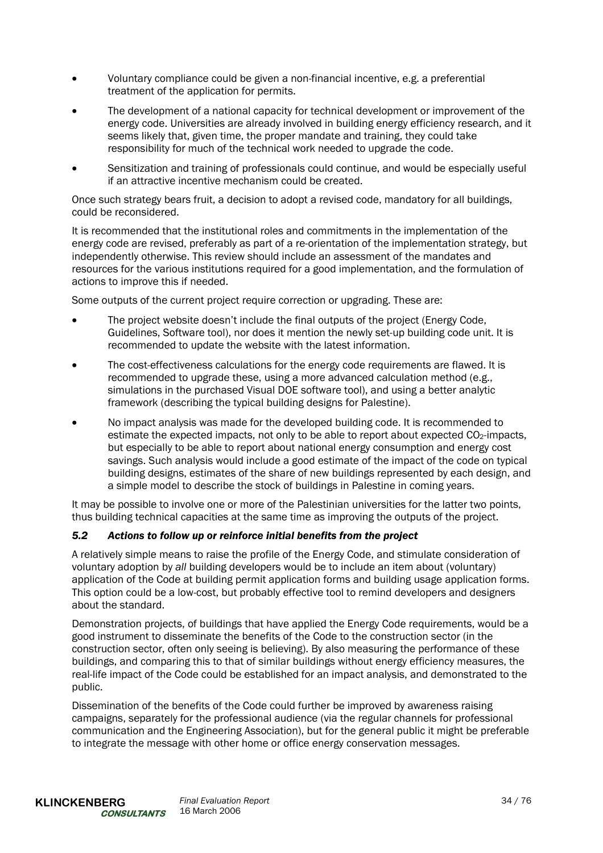- Voluntary compliance could be given a non-financial incentive, e.g. a preferential treatment of the application for permits.
- The development of a national capacity for technical development or improvement of the energy code. Universities are already involved in building energy efficiency research, and it seems likely that, given time, the proper mandate and training, they could take responsibility for much of the technical work needed to upgrade the code.
- Sensitization and training of professionals could continue, and would be especially useful if an attractive incentive mechanism could be created.

Once such strategy bears fruit, a decision to adopt a revised code, mandatory for all buildings, could be reconsidered.

It is recommended that the institutional roles and commitments in the implementation of the energy code are revised, preferably as part of a re-orientation of the implementation strategy, but independently otherwise. This review should include an assessment of the mandates and resources for the various institutions required for a good implementation, and the formulation of actions to improve this if needed.

Some outputs of the current project require correction or upgrading. These are:

- The project website doesn't include the final outputs of the project (Energy Code, Guidelines, Software tool), nor does it mention the newly set-up building code unit. It is recommended to update the website with the latest information.
- The cost-effectiveness calculations for the energy code requirements are flawed. It is recommended to upgrade these, using a more advanced calculation method (e.g., simulations in the purchased Visual DOE software tool), and using a better analytic framework (describing the typical building designs for Palestine).
- No impact analysis was made for the developed building code. It is recommended to estimate the expected impacts, not only to be able to report about expected  $CO<sub>2</sub>$ -impacts, but especially to be able to report about national energy consumption and energy cost savings. Such analysis would include a good estimate of the impact of the code on typical building designs, estimates of the share of new buildings represented by each design, and a simple model to describe the stock of buildings in Palestine in coming years.

It may be possible to involve one or more of the Palestinian universities for the latter two points, thus building technical capacities at the same time as improving the outputs of the project.

# *5.2 Actions to follow up or reinforce initial benefits from the project*

A relatively simple means to raise the profile of the Energy Code, and stimulate consideration of voluntary adoption by *all* building developers would be to include an item about (voluntary) application of the Code at building permit application forms and building usage application forms. This option could be a low-cost, but probably effective tool to remind developers and designers about the standard.

Demonstration projects, of buildings that have applied the Energy Code requirements, would be a good instrument to disseminate the benefits of the Code to the construction sector (in the construction sector, often only seeing is believing). By also measuring the performance of these buildings, and comparing this to that of similar buildings without energy efficiency measures, the real-life impact of the Code could be established for an impact analysis, and demonstrated to the public.

Dissemination of the benefits of the Code could further be improved by awareness raising campaigns, separately for the professional audience (via the regular channels for professional communication and the Engineering Association), but for the general public it might be preferable to integrate the message with other home or office energy conservation messages.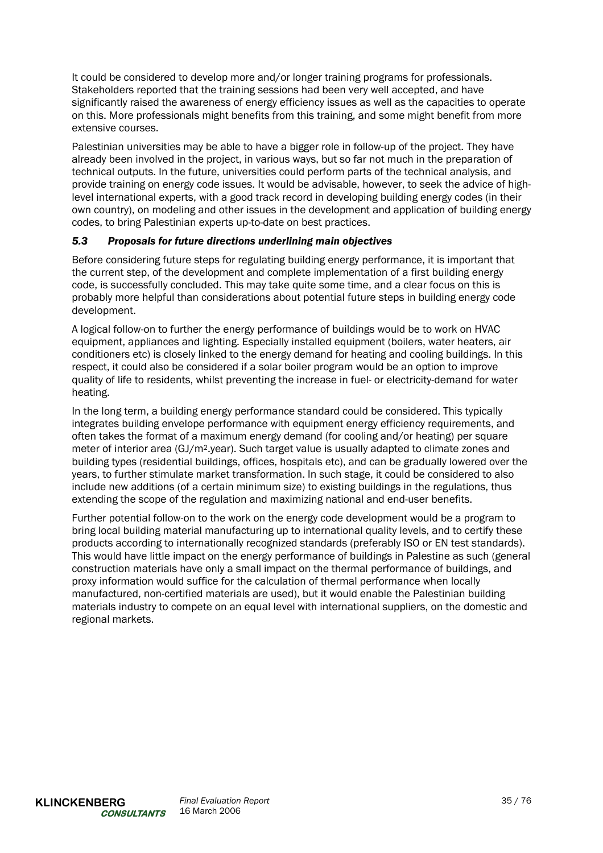It could be considered to develop more and/or longer training programs for professionals. Stakeholders reported that the training sessions had been very well accepted, and have significantly raised the awareness of energy efficiency issues as well as the capacities to operate on this. More professionals might benefits from this training, and some might benefit from more extensive courses.

Palestinian universities may be able to have a bigger role in follow-up of the project. They have already been involved in the project, in various ways, but so far not much in the preparation of technical outputs. In the future, universities could perform parts of the technical analysis, and provide training on energy code issues. It would be advisable, however, to seek the advice of highlevel international experts, with a good track record in developing building energy codes (in their own country), on modeling and other issues in the development and application of building energy codes, to bring Palestinian experts up-to-date on best practices.

# *5.3 Proposals for future directions underlining main objectives*

Before considering future steps for regulating building energy performance, it is important that the current step, of the development and complete implementation of a first building energy code, is successfully concluded. This may take quite some time, and a clear focus on this is probably more helpful than considerations about potential future steps in building energy code development.

A logical follow-on to further the energy performance of buildings would be to work on HVAC equipment, appliances and lighting. Especially installed equipment (boilers, water heaters, air conditioners etc) is closely linked to the energy demand for heating and cooling buildings. In this respect, it could also be considered if a solar boiler program would be an option to improve quality of life to residents, whilst preventing the increase in fuel- or electricity-demand for water heating.

In the long term, a building energy performance standard could be considered. This typically integrates building envelope performance with equipment energy efficiency requirements, and often takes the format of a maximum energy demand (for cooling and/or heating) per square meter of interior area (GJ/m2.year). Such target value is usually adapted to climate zones and building types (residential buildings, offices, hospitals etc), and can be gradually lowered over the years, to further stimulate market transformation. In such stage, it could be considered to also include new additions (of a certain minimum size) to existing buildings in the regulations, thus extending the scope of the regulation and maximizing national and end-user benefits.

Further potential follow-on to the work on the energy code development would be a program to bring local building material manufacturing up to international quality levels, and to certify these products according to internationally recognized standards (preferably ISO or EN test standards). This would have little impact on the energy performance of buildings in Palestine as such (general construction materials have only a small impact on the thermal performance of buildings, and proxy information would suffice for the calculation of thermal performance when locally manufactured, non-certified materials are used), but it would enable the Palestinian building materials industry to compete on an equal level with international suppliers, on the domestic and regional markets.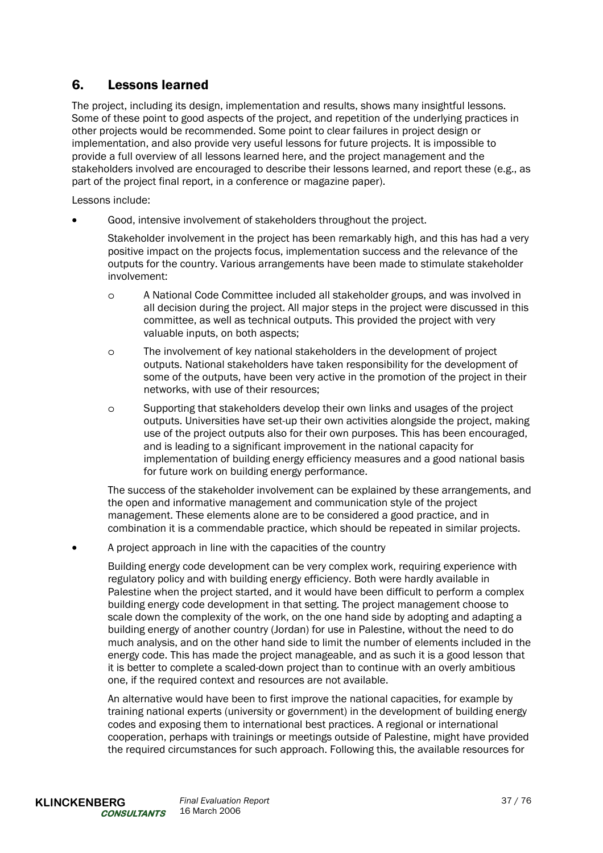# 6. Lessons learned

The project, including its design, implementation and results, shows many insightful lessons. Some of these point to good aspects of the project, and repetition of the underlying practices in other projects would be recommended. Some point to clear failures in project design or implementation, and also provide very useful lessons for future projects. It is impossible to provide a full overview of all lessons learned here, and the project management and the stakeholders involved are encouraged to describe their lessons learned, and report these (e.g., as part of the project final report, in a conference or magazine paper).

Lessons include:

• Good, intensive involvement of stakeholders throughout the project.

Stakeholder involvement in the project has been remarkably high, and this has had a very positive impact on the projects focus, implementation success and the relevance of the outputs for the country. Various arrangements have been made to stimulate stakeholder involvement:

- o A National Code Committee included all stakeholder groups, and was involved in all decision during the project. All major steps in the project were discussed in this committee, as well as technical outputs. This provided the project with very valuable inputs, on both aspects;
- o The involvement of key national stakeholders in the development of project outputs. National stakeholders have taken responsibility for the development of some of the outputs, have been very active in the promotion of the project in their networks, with use of their resources;
- o Supporting that stakeholders develop their own links and usages of the project outputs. Universities have set-up their own activities alongside the project, making use of the project outputs also for their own purposes. This has been encouraged, and is leading to a significant improvement in the national capacity for implementation of building energy efficiency measures and a good national basis for future work on building energy performance.

The success of the stakeholder involvement can be explained by these arrangements, and the open and informative management and communication style of the project management. These elements alone are to be considered a good practice, and in combination it is a commendable practice, which should be repeated in similar projects.

• A project approach in line with the capacities of the country

Building energy code development can be very complex work, requiring experience with regulatory policy and with building energy efficiency. Both were hardly available in Palestine when the project started, and it would have been difficult to perform a complex building energy code development in that setting. The project management choose to scale down the complexity of the work, on the one hand side by adopting and adapting a building energy of another country (Jordan) for use in Palestine, without the need to do much analysis, and on the other hand side to limit the number of elements included in the energy code. This has made the project manageable, and as such it is a good lesson that it is better to complete a scaled-down project than to continue with an overly ambitious one, if the required context and resources are not available.

An alternative would have been to first improve the national capacities, for example by training national experts (university or government) in the development of building energy codes and exposing them to international best practices. A regional or international cooperation, perhaps with trainings or meetings outside of Palestine, might have provided the required circumstances for such approach. Following this, the available resources for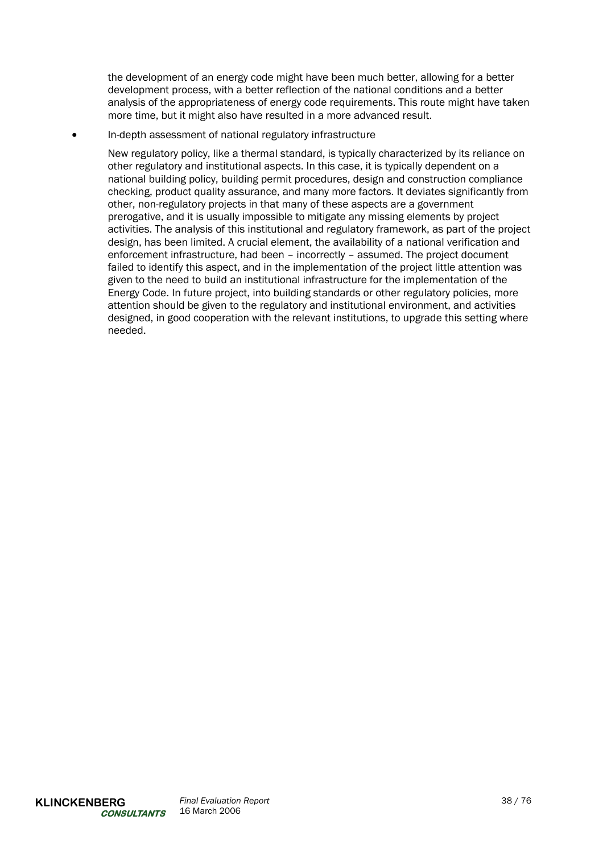the development of an energy code might have been much better, allowing for a better development process, with a better reflection of the national conditions and a better analysis of the appropriateness of energy code requirements. This route might have taken more time, but it might also have resulted in a more advanced result.

• In-depth assessment of national regulatory infrastructure

New regulatory policy, like a thermal standard, is typically characterized by its reliance on other regulatory and institutional aspects. In this case, it is typically dependent on a national building policy, building permit procedures, design and construction compliance checking, product quality assurance, and many more factors. It deviates significantly from other, non-regulatory projects in that many of these aspects are a government prerogative, and it is usually impossible to mitigate any missing elements by project activities. The analysis of this institutional and regulatory framework, as part of the project design, has been limited. A crucial element, the availability of a national verification and enforcement infrastructure, had been – incorrectly – assumed. The project document failed to identify this aspect, and in the implementation of the project little attention was given to the need to build an institutional infrastructure for the implementation of the Energy Code. In future project, into building standards or other regulatory policies, more attention should be given to the regulatory and institutional environment, and activities designed, in good cooperation with the relevant institutions, to upgrade this setting where needed.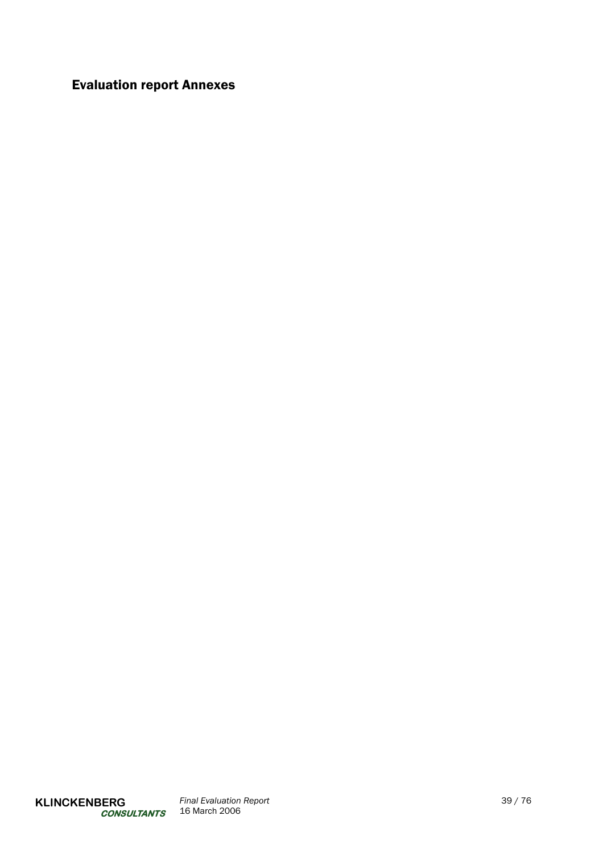# Evaluation report Annexes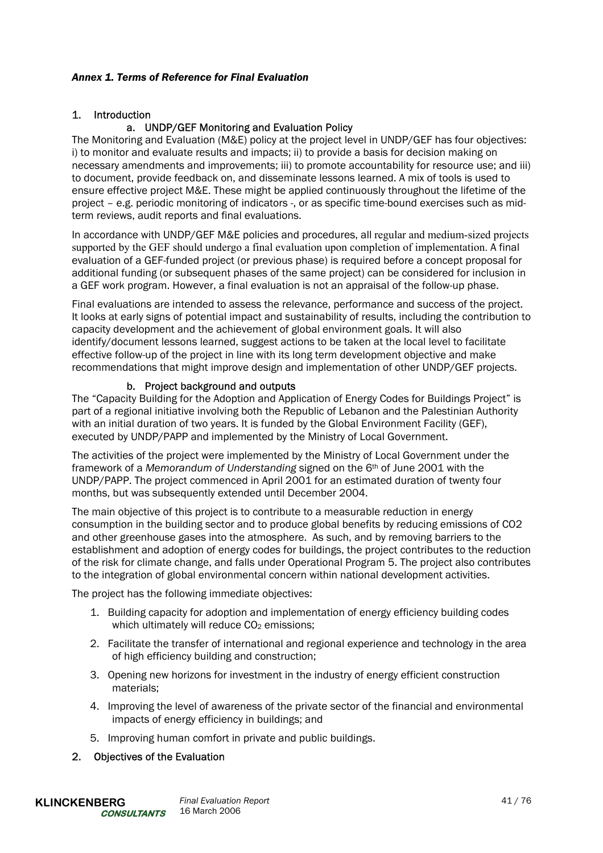# *Annex 1. Terms of Reference for Final Evaluation*

# 1. Introduction

# a. UNDP/GEF Monitoring and Evaluation Policy

The Monitoring and Evaluation (M&E) policy at the project level in UNDP/GEF has four objectives: i) to monitor and evaluate results and impacts; ii) to provide a basis for decision making on necessary amendments and improvements; iii) to promote accountability for resource use; and iii) to document, provide feedback on, and disseminate lessons learned. A mix of tools is used to ensure effective project M&E. These might be applied continuously throughout the lifetime of the project – e.g. periodic monitoring of indicators -, or as specific time-bound exercises such as midterm reviews, audit reports and final evaluations.

In accordance with UNDP/GEF M&E policies and procedures, all regular and medium-sized projects supported by the GEF should undergo a final evaluation upon completion of implementation. A final evaluation of a GEF-funded project (or previous phase) is required before a concept proposal for additional funding (or subsequent phases of the same project) can be considered for inclusion in a GEF work program. However, a final evaluation is not an appraisal of the follow-up phase.

Final evaluations are intended to assess the relevance, performance and success of the project. It looks at early signs of potential impact and sustainability of results, including the contribution to capacity development and the achievement of global environment goals. It will also identify/document lessons learned, suggest actions to be taken at the local level to facilitate effective follow-up of the project in line with its long term development objective and make recommendations that might improve design and implementation of other UNDP/GEF projects.

# b. Project background and outputs

The "Capacity Building for the Adoption and Application of Energy Codes for Buildings Project" is part of a regional initiative involving both the Republic of Lebanon and the Palestinian Authority with an initial duration of two years. It is funded by the Global Environment Facility (GEF), executed by UNDP/PAPP and implemented by the Ministry of Local Government.

The activities of the project were implemented by the Ministry of Local Government under the framework of a *Memorandum of Understanding* signed on the 6th of June 2001 with the UNDP/PAPP. The project commenced in April 2001 for an estimated duration of twenty four months, but was subsequently extended until December 2004.

The main objective of this project is to contribute to a measurable reduction in energy consumption in the building sector and to produce global benefits by reducing emissions of CO2 and other greenhouse gases into the atmosphere. As such, and by removing barriers to the establishment and adoption of energy codes for buildings, the project contributes to the reduction of the risk for climate change, and falls under Operational Program 5. The project also contributes to the integration of global environmental concern within national development activities.

The project has the following immediate objectives:

- 1. Building capacity for adoption and implementation of energy efficiency building codes which ultimately will reduce CO<sub>2</sub> emissions;
- 2. Facilitate the transfer of international and regional experience and technology in the area of high efficiency building and construction;
- 3. Opening new horizons for investment in the industry of energy efficient construction materials;
- 4. Improving the level of awareness of the private sector of the financial and environmental impacts of energy efficiency in buildings; and
- 5. Improving human comfort in private and public buildings.

### 2. Objectives of the Evaluation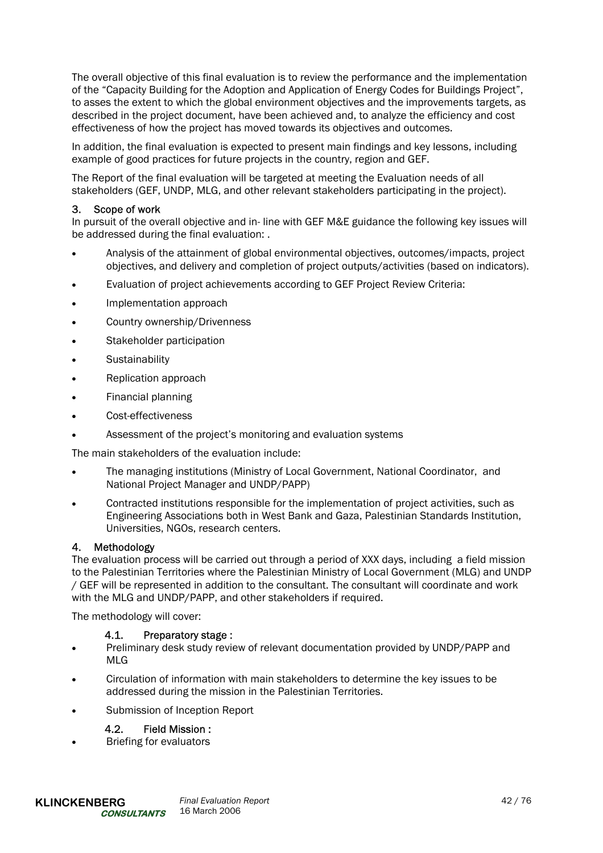The overall objective of this final evaluation is to review the performance and the implementation of the "Capacity Building for the Adoption and Application of Energy Codes for Buildings Project", to asses the extent to which the global environment objectives and the improvements targets, as described in the project document, have been achieved and, to analyze the efficiency and cost effectiveness of how the project has moved towards its objectives and outcomes.

In addition, the final evaluation is expected to present main findings and key lessons, including example of good practices for future projects in the country, region and GEF.

The Report of the final evaluation will be targeted at meeting the Evaluation needs of all stakeholders (GEF, UNDP, MLG, and other relevant stakeholders participating in the project).

# 3. Scope of work

In pursuit of the overall objective and in- line with GEF M&E guidance the following key issues will be addressed during the final evaluation: .

- Analysis of the attainment of global environmental objectives, outcomes/impacts, project objectives, and delivery and completion of project outputs/activities (based on indicators).
- Evaluation of project achievements according to GEF Project Review Criteria:
- Implementation approach
- Country ownership/Drivenness
- Stakeholder participation
- Sustainability
- Replication approach
- Financial planning
- Cost-effectiveness
- Assessment of the project's monitoring and evaluation systems

The main stakeholders of the evaluation include:

- The managing institutions (Ministry of Local Government, National Coordinator, and National Project Manager and UNDP/PAPP)
- Contracted institutions responsible for the implementation of project activities, such as Engineering Associations both in West Bank and Gaza, Palestinian Standards Institution, Universities, NGOs, research centers.

### 4. Methodology

The evaluation process will be carried out through a period of XXX days, including a field mission to the Palestinian Territories where the Palestinian Ministry of Local Government (MLG) and UNDP / GEF will be represented in addition to the consultant. The consultant will coordinate and work with the MLG and UNDP/PAPP, and other stakeholders if required.

The methodology will cover:

### 4.1. Preparatory stage :

- Preliminary desk study review of relevant documentation provided by UNDP/PAPP and MLG
- Circulation of information with main stakeholders to determine the key issues to be addressed during the mission in the Palestinian Territories.
- Submission of Inception Report

### 4.2. Field Mission :

• Briefing for evaluators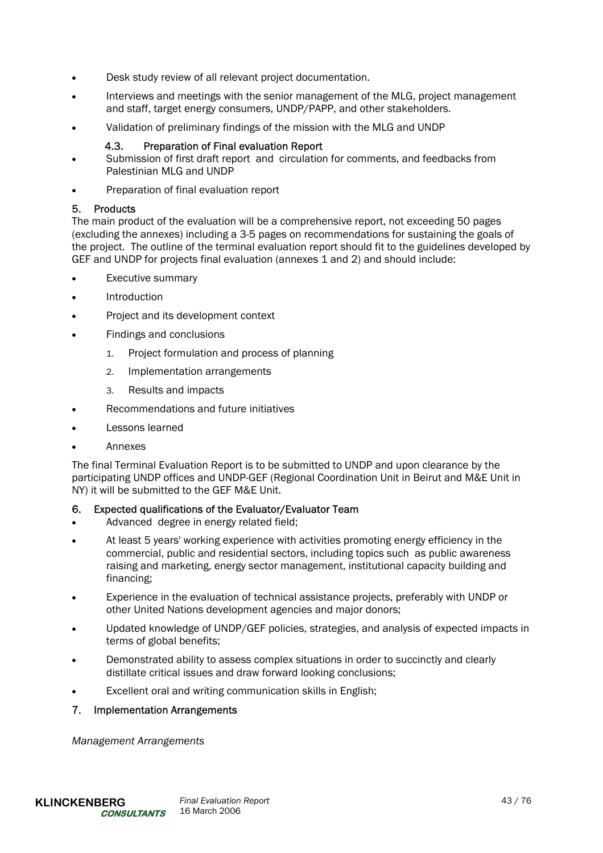- Desk study review of all relevant project documentation.
- Interviews and meetings with the senior management of the MLG, project management and staff, target energy consumers, UNDP/PAPP, and other stakeholders.
- Validation of preliminary findings of the mission with the MLG and UNDP

# 4.3. Preparation of Final evaluation Report

- Submission of first draft report and circulation for comments, and feedbacks from Palestinian MLG and UNDP
- Preparation of final evaluation report

# 5. Products

The main product of the evaluation will be a comprehensive report, not exceeding 50 pages (excluding the annexes) including a 3-5 pages on recommendations for sustaining the goals of the project. The outline of the terminal evaluation report should fit to the guidelines developed by GEF and UNDP for projects final evaluation (annexes 1 and 2) and should include:

- Executive summary
- **Introduction**
- Project and its development context
- Findings and conclusions
	- 1. Project formulation and process of planning
	- 2. Implementation arrangements
	- 3. Results and impacts
- Recommendations and future initiatives
- Lessons learned
- Annexes

The final Terminal Evaluation Report is to be submitted to UNDP and upon clearance by the participating UNDP offices and UNDP-GEF (Regional Coordination Unit in Beirut and M&E Unit in NY) it will be submitted to the GEF M&E Unit.

### 6. Expected qualifications of the Evaluator/Evaluator Team

- Advanced degree in energy related field;
- At least 5 years' working experience with activities promoting energy efficiency in the commercial, public and residential sectors, including topics such as public awareness raising and marketing, energy sector management, institutional capacity building and financing;
- Experience in the evaluation of technical assistance projects, preferably with UNDP or other United Nations development agencies and major donors;
- Updated knowledge of UNDP/GEF policies, strategies, and analysis of expected impacts in terms of global benefits;
- Demonstrated ability to assess complex situations in order to succinctly and clearly distillate critical issues and draw forward looking conclusions;
- Excellent oral and writing communication skills in English;

### 7. Implementation Arrangements

*Management Arrangements*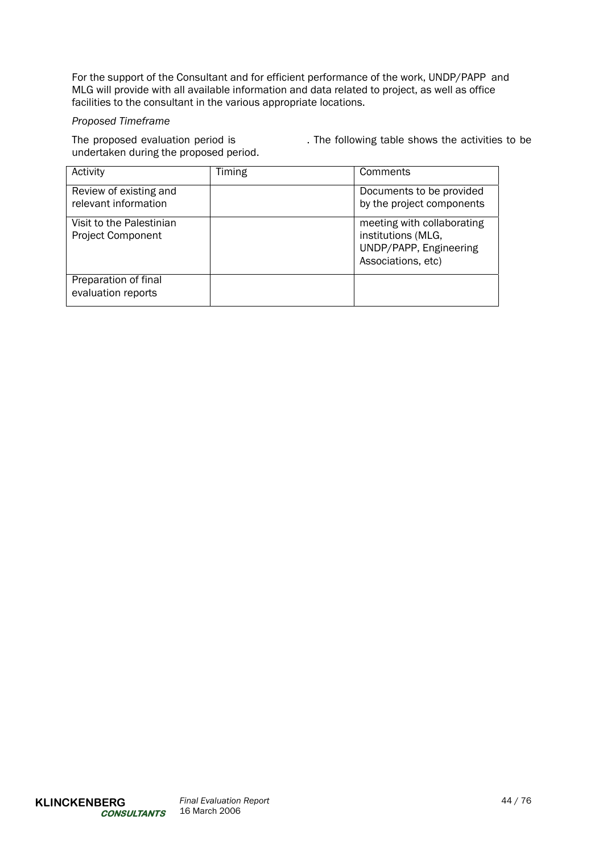For the support of the Consultant and for efficient performance of the work, UNDP/PAPP and MLG will provide with all available information and data related to project, as well as office facilities to the consultant in the various appropriate locations.

# *Proposed Timeframe*

undertaken during the proposed period.

The proposed evaluation period is . The following table shows the activities to be

| Activity                                             | Timing | Comments                                                                                         |  |  |
|------------------------------------------------------|--------|--------------------------------------------------------------------------------------------------|--|--|
| Review of existing and<br>relevant information       |        | Documents to be provided<br>by the project components                                            |  |  |
| Visit to the Palestinian<br><b>Project Component</b> |        | meeting with collaborating<br>institutions (MLG,<br>UNDP/PAPP, Engineering<br>Associations, etc) |  |  |
| Preparation of final<br>evaluation reports           |        |                                                                                                  |  |  |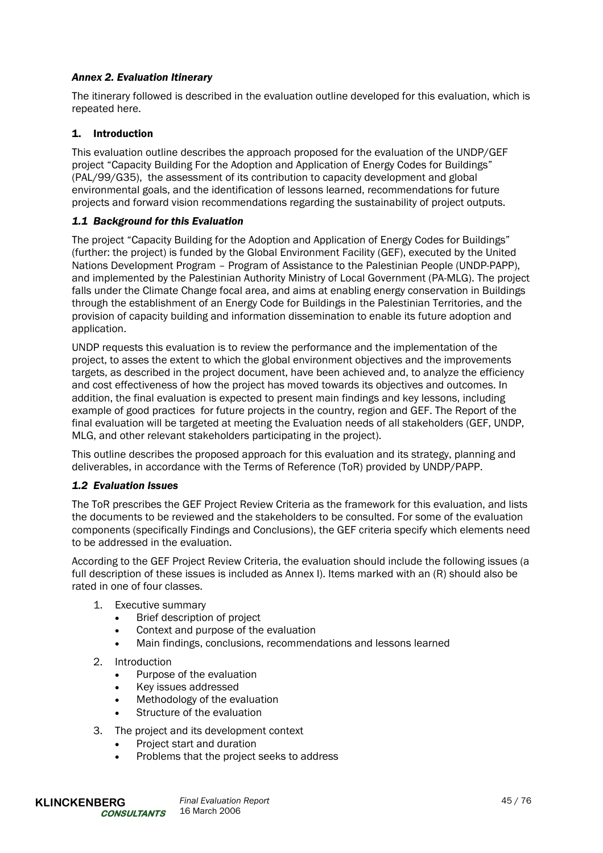# *Annex 2. Evaluation Itinerary*

The itinerary followed is described in the evaluation outline developed for this evaluation, which is repeated here.

# 1. Introduction

This evaluation outline describes the approach proposed for the evaluation of the UNDP/GEF project "Capacity Building For the Adoption and Application of Energy Codes for Buildings" (PAL/99/G35), the assessment of its contribution to capacity development and global environmental goals, and the identification of lessons learned, recommendations for future projects and forward vision recommendations regarding the sustainability of project outputs.

# *1.1 Background for this Evaluation*

The project "Capacity Building for the Adoption and Application of Energy Codes for Buildings" (further: the project) is funded by the Global Environment Facility (GEF), executed by the United Nations Development Program – Program of Assistance to the Palestinian People (UNDP-PAPP), and implemented by the Palestinian Authority Ministry of Local Government (PA-MLG). The project falls under the Climate Change focal area, and aims at enabling energy conservation in Buildings through the establishment of an Energy Code for Buildings in the Palestinian Territories, and the provision of capacity building and information dissemination to enable its future adoption and application.

UNDP requests this evaluation is to review the performance and the implementation of the project, to asses the extent to which the global environment objectives and the improvements targets, as described in the project document, have been achieved and, to analyze the efficiency and cost effectiveness of how the project has moved towards its objectives and outcomes. In addition, the final evaluation is expected to present main findings and key lessons, including example of good practices for future projects in the country, region and GEF. The Report of the final evaluation will be targeted at meeting the Evaluation needs of all stakeholders (GEF, UNDP, MLG, and other relevant stakeholders participating in the project).

This outline describes the proposed approach for this evaluation and its strategy, planning and deliverables, in accordance with the Terms of Reference (ToR) provided by UNDP/PAPP.

# *1.2 Evaluation Issues*

The ToR prescribes the GEF Project Review Criteria as the framework for this evaluation, and lists the documents to be reviewed and the stakeholders to be consulted. For some of the evaluation components (specifically Findings and Conclusions), the GEF criteria specify which elements need to be addressed in the evaluation.

According to the GEF Project Review Criteria, the evaluation should include the following issues (a full description of these issues is included as Annex I). Items marked with an (R) should also be rated in one of four classes.

- 1. Executive summary
	- Brief description of project
	- Context and purpose of the evaluation
	- Main findings, conclusions, recommendations and lessons learned
- 2. Introduction
	- Purpose of the evaluation
	- Key issues addressed
	- Methodology of the evaluation
	- Structure of the evaluation
- 3. The project and its development context
	- Project start and duration
	- Problems that the project seeks to address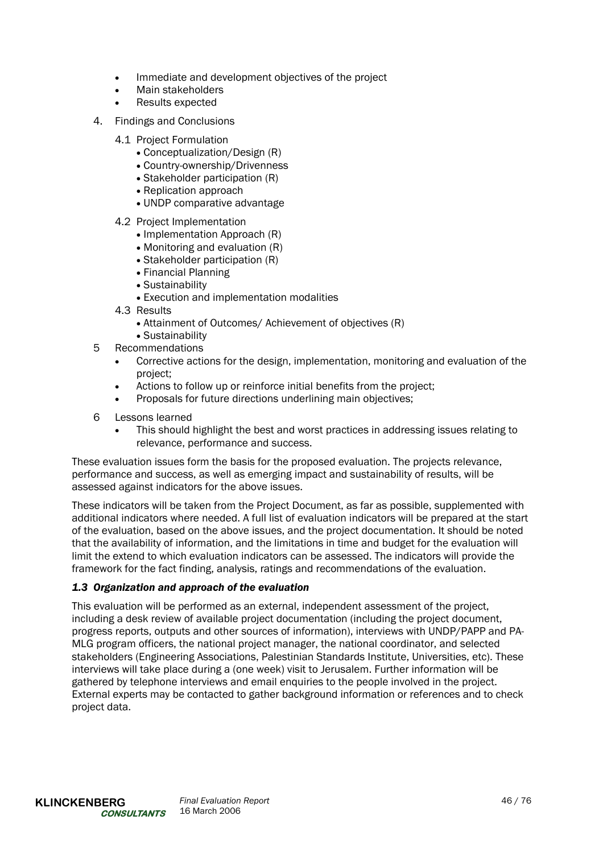- Immediate and development objectives of the project
- Main stakeholders
- Results expected
- 4. Findings and Conclusions
	- 4.1 Project Formulation
		- Conceptualization/Design (R)
		- Country-ownership/Drivenness
		- Stakeholder participation (R)
		- Replication approach
		- UNDP comparative advantage
	- 4.2 Project Implementation
		- Implementation Approach (R)
		- Monitoring and evaluation (R)
		- Stakeholder participation (R)
		- Financial Planning
		- Sustainability
		- Execution and implementation modalities
	- 4.3 Results
		- Attainment of Outcomes/ Achievement of objectives (R)
	- Sustainability
- 5 Recommendations
	- Corrective actions for the design, implementation, monitoring and evaluation of the project;
	- Actions to follow up or reinforce initial benefits from the project;
	- Proposals for future directions underlining main objectives;
- 6 Lessons learned
	- This should highlight the best and worst practices in addressing issues relating to relevance, performance and success.

These evaluation issues form the basis for the proposed evaluation. The projects relevance, performance and success, as well as emerging impact and sustainability of results, will be assessed against indicators for the above issues.

These indicators will be taken from the Project Document, as far as possible, supplemented with additional indicators where needed. A full list of evaluation indicators will be prepared at the start of the evaluation, based on the above issues, and the project documentation. It should be noted that the availability of information, and the limitations in time and budget for the evaluation will limit the extend to which evaluation indicators can be assessed. The indicators will provide the framework for the fact finding, analysis, ratings and recommendations of the evaluation.

# *1.3 Organization and approach of the evaluation*

This evaluation will be performed as an external, independent assessment of the project, including a desk review of available project documentation (including the project document, progress reports, outputs and other sources of information), interviews with UNDP/PAPP and PA-MLG program officers, the national project manager, the national coordinator, and selected stakeholders (Engineering Associations, Palestinian Standards Institute, Universities, etc). These interviews will take place during a (one week) visit to Jerusalem. Further information will be gathered by telephone interviews and email enquiries to the people involved in the project. External experts may be contacted to gather background information or references and to check project data.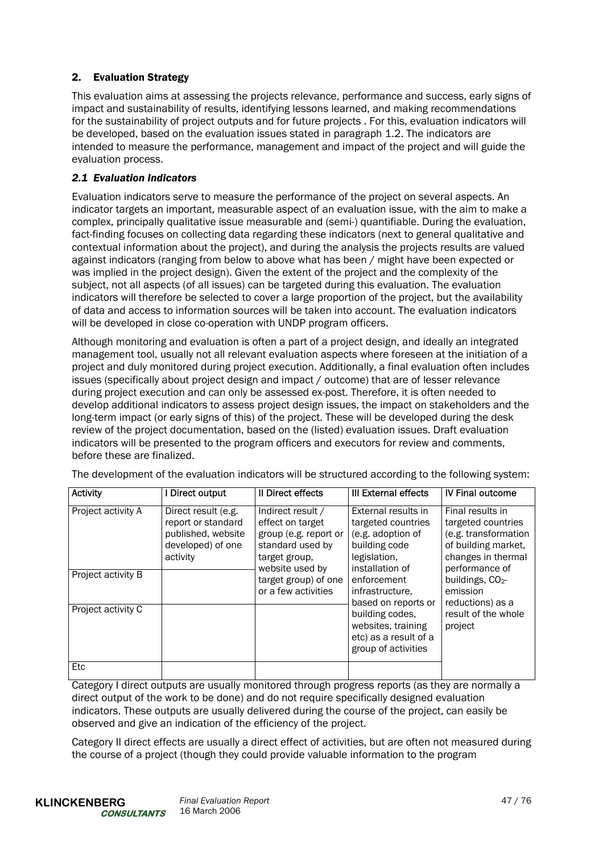# 2. Evaluation Strategy

This evaluation aims at assessing the projects relevance, performance and success, early signs of impact and sustainability of results, identifying lessons learned, and making recommendations for the sustainability of project outputs and for future projects . For this, evaluation indicators will be developed, based on the evaluation issues stated in paragraph 1.2. The indicators are intended to measure the performance, management and impact of the project and will guide the evaluation process.

# *2.1 Evaluation Indicators*

Evaluation indicators serve to measure the performance of the project on several aspects. An indicator targets an important, measurable aspect of an evaluation issue, with the aim to make a complex, principally qualitative issue measurable and (semi-) quantifiable. During the evaluation, fact-finding focuses on collecting data regarding these indicators (next to general qualitative and contextual information about the project), and during the analysis the projects results are valued against indicators (ranging from below to above what has been / might have been expected or was implied in the project design). Given the extent of the project and the complexity of the subject, not all aspects (of all issues) can be targeted during this evaluation. The evaluation indicators will therefore be selected to cover a large proportion of the project, but the availability of data and access to information sources will be taken into account. The evaluation indicators will be developed in close co-operation with UNDP program officers.

Although monitoring and evaluation is often a part of a project design, and ideally an integrated management tool, usually not all relevant evaluation aspects where foreseen at the initiation of a project and duly monitored during project execution. Additionally, a final evaluation often includes issues (specifically about project design and impact / outcome) that are of lesser relevance during project execution and can only be assessed ex-post. Therefore, it is often needed to develop additional indicators to assess project design issues, the impact on stakeholders and the long-term impact (or early signs of this) of the project. These will be developed during the desk review of the project documentation, based on the (listed) evaluation issues. Draft evaluation indicators will be presented to the program officers and executors for review and comments, before these are finalized.

| <b>Activity</b>                                                | I Direct output                                                                                  | Il Direct effects                                                                                                                                                     | III External effects                                                                                                                                                                                                                                                 | <b>IV Final outcome</b>                                                                                                                                                                                             |
|----------------------------------------------------------------|--------------------------------------------------------------------------------------------------|-----------------------------------------------------------------------------------------------------------------------------------------------------------------------|----------------------------------------------------------------------------------------------------------------------------------------------------------------------------------------------------------------------------------------------------------------------|---------------------------------------------------------------------------------------------------------------------------------------------------------------------------------------------------------------------|
| Project activity A<br>Project activity B<br>Project activity C | Direct result (e.g.<br>report or standard<br>published, website<br>developed) of one<br>activity | Indirect result /<br>effect on target<br>group (e.g. report or<br>standard used by<br>target group,<br>website used by<br>target group) of one<br>or a few activities | External results in<br>targeted countries<br>(e.g. adoption of<br>building code<br>legislation,<br>installation of<br>enforcement<br>infrastructure.<br>based on reports or<br>building codes.<br>websites, training<br>etc) as a result of a<br>group of activities | Final results in<br>targeted countries<br>(e.g. transformation<br>of building market,<br>changes in thermal<br>performance of<br>buildings, $CO2$<br>emission<br>reductions) as a<br>result of the whole<br>project |
| Etc                                                            |                                                                                                  |                                                                                                                                                                       |                                                                                                                                                                                                                                                                      |                                                                                                                                                                                                                     |

The development of the evaluation indicators will be structured according to the following system:

Category I direct outputs are usually monitored through progress reports (as they are normally a direct output of the work to be done) and do not require specifically designed evaluation indicators. These outputs are usually delivered during the course of the project, can easily be observed and give an indication of the efficiency of the project.

Category II direct effects are usually a direct effect of activities, but are often not measured during the course of a project (though they could provide valuable information to the program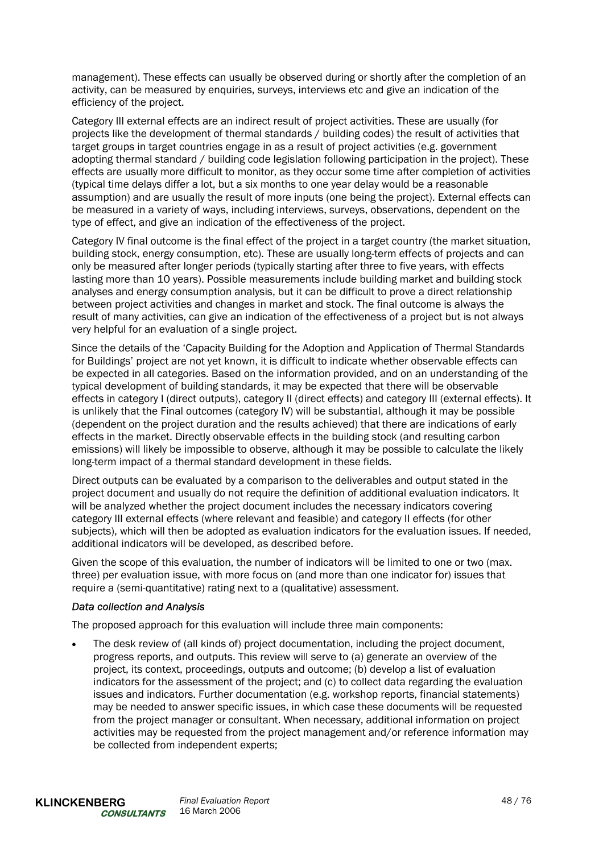management). These effects can usually be observed during or shortly after the completion of an activity, can be measured by enquiries, surveys, interviews etc and give an indication of the efficiency of the project.

Category III external effects are an indirect result of project activities. These are usually (for projects like the development of thermal standards / building codes) the result of activities that target groups in target countries engage in as a result of project activities (e.g. government adopting thermal standard / building code legislation following participation in the project). These effects are usually more difficult to monitor, as they occur some time after completion of activities (typical time delays differ a lot, but a six months to one year delay would be a reasonable assumption) and are usually the result of more inputs (one being the project). External effects can be measured in a variety of ways, including interviews, surveys, observations, dependent on the type of effect, and give an indication of the effectiveness of the project.

Category IV final outcome is the final effect of the project in a target country (the market situation, building stock, energy consumption, etc). These are usually long-term effects of projects and can only be measured after longer periods (typically starting after three to five years, with effects lasting more than 10 years). Possible measurements include building market and building stock analyses and energy consumption analysis, but it can be difficult to prove a direct relationship between project activities and changes in market and stock. The final outcome is always the result of many activities, can give an indication of the effectiveness of a project but is not always very helpful for an evaluation of a single project.

Since the details of the 'Capacity Building for the Adoption and Application of Thermal Standards for Buildings' project are not yet known, it is difficult to indicate whether observable effects can be expected in all categories. Based on the information provided, and on an understanding of the typical development of building standards, it may be expected that there will be observable effects in category I (direct outputs), category II (direct effects) and category III (external effects). It is unlikely that the Final outcomes (category IV) will be substantial, although it may be possible (dependent on the project duration and the results achieved) that there are indications of early effects in the market. Directly observable effects in the building stock (and resulting carbon emissions) will likely be impossible to observe, although it may be possible to calculate the likely long-term impact of a thermal standard development in these fields.

Direct outputs can be evaluated by a comparison to the deliverables and output stated in the project document and usually do not require the definition of additional evaluation indicators. It will be analyzed whether the project document includes the necessary indicators covering category III external effects (where relevant and feasible) and category II effects (for other subjects), which will then be adopted as evaluation indicators for the evaluation issues. If needed, additional indicators will be developed, as described before.

Given the scope of this evaluation, the number of indicators will be limited to one or two (max. three) per evaluation issue, with more focus on (and more than one indicator for) issues that require a (semi-quantitative) rating next to a (qualitative) assessment.

# *Data collection and Analysis*

The proposed approach for this evaluation will include three main components:

• The desk review of (all kinds of) project documentation, including the project document, progress reports, and outputs. This review will serve to (a) generate an overview of the project, its context, proceedings, outputs and outcome; (b) develop a list of evaluation indicators for the assessment of the project; and (c) to collect data regarding the evaluation issues and indicators. Further documentation (e.g. workshop reports, financial statements) may be needed to answer specific issues, in which case these documents will be requested from the project manager or consultant. When necessary, additional information on project activities may be requested from the project management and/or reference information may be collected from independent experts;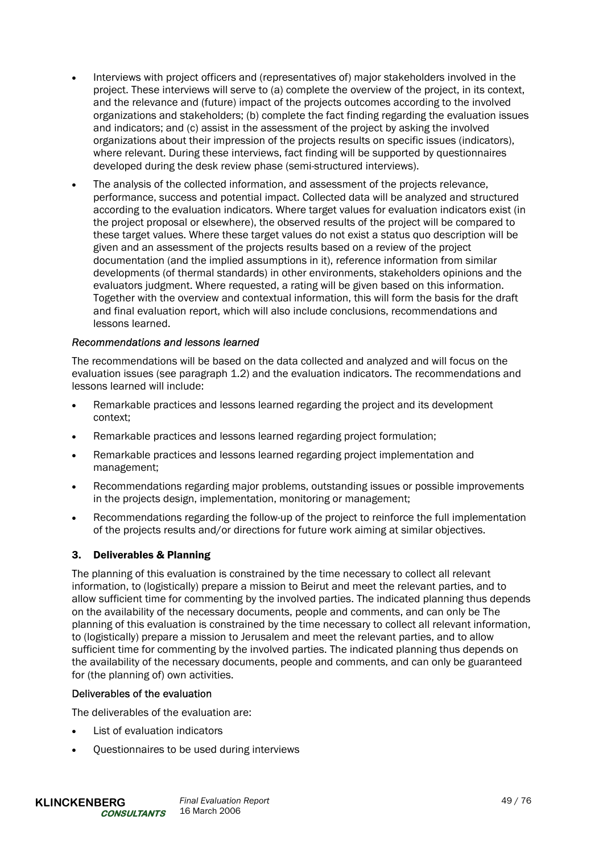- Interviews with project officers and (representatives of) major stakeholders involved in the project. These interviews will serve to (a) complete the overview of the project, in its context, and the relevance and (future) impact of the projects outcomes according to the involved organizations and stakeholders; (b) complete the fact finding regarding the evaluation issues and indicators; and (c) assist in the assessment of the project by asking the involved organizations about their impression of the projects results on specific issues (indicators), where relevant. During these interviews, fact finding will be supported by questionnaires developed during the desk review phase (semi-structured interviews).
- The analysis of the collected information, and assessment of the projects relevance, performance, success and potential impact. Collected data will be analyzed and structured according to the evaluation indicators. Where target values for evaluation indicators exist (in the project proposal or elsewhere), the observed results of the project will be compared to these target values. Where these target values do not exist a status quo description will be given and an assessment of the projects results based on a review of the project documentation (and the implied assumptions in it), reference information from similar developments (of thermal standards) in other environments, stakeholders opinions and the evaluators judgment. Where requested, a rating will be given based on this information. Together with the overview and contextual information, this will form the basis for the draft and final evaluation report, which will also include conclusions, recommendations and lessons learned.

# *Recommendations and lessons learned*

The recommendations will be based on the data collected and analyzed and will focus on the evaluation issues (see paragraph 1.2) and the evaluation indicators. The recommendations and lessons learned will include:

- Remarkable practices and lessons learned regarding the project and its development context;
- Remarkable practices and lessons learned regarding project formulation;
- Remarkable practices and lessons learned regarding project implementation and management;
- Recommendations regarding major problems, outstanding issues or possible improvements in the projects design, implementation, monitoring or management;
- Recommendations regarding the follow-up of the project to reinforce the full implementation of the projects results and/or directions for future work aiming at similar objectives.

### 3. Deliverables & Planning

The planning of this evaluation is constrained by the time necessary to collect all relevant information, to (logistically) prepare a mission to Beirut and meet the relevant parties, and to allow sufficient time for commenting by the involved parties. The indicated planning thus depends on the availability of the necessary documents, people and comments, and can only be The planning of this evaluation is constrained by the time necessary to collect all relevant information, to (logistically) prepare a mission to Jerusalem and meet the relevant parties, and to allow sufficient time for commenting by the involved parties. The indicated planning thus depends on the availability of the necessary documents, people and comments, and can only be guaranteed for (the planning of) own activities.

### Deliverables of the evaluation

The deliverables of the evaluation are:

- List of evaluation indicators
- Questionnaires to be used during interviews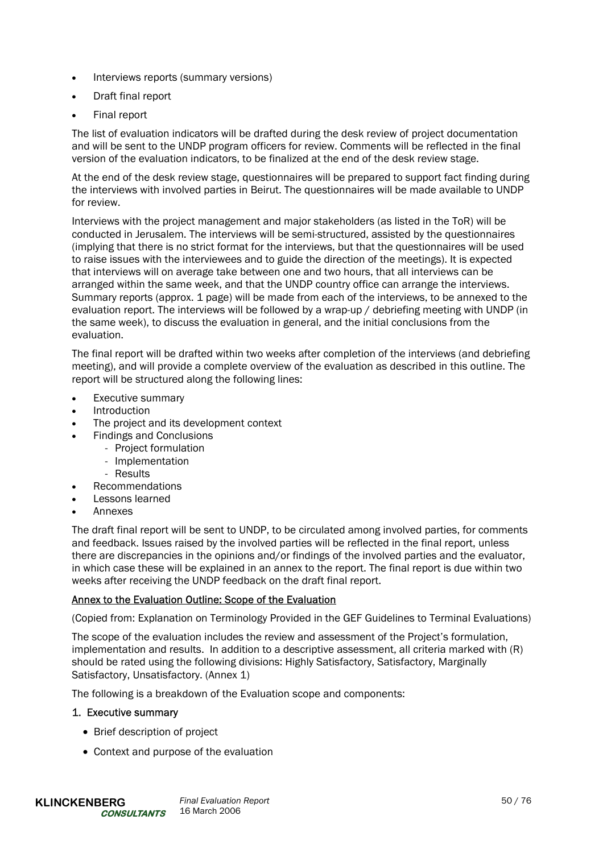- Interviews reports (summary versions)
- Draft final report
- Final report

The list of evaluation indicators will be drafted during the desk review of project documentation and will be sent to the UNDP program officers for review. Comments will be reflected in the final version of the evaluation indicators, to be finalized at the end of the desk review stage.

At the end of the desk review stage, questionnaires will be prepared to support fact finding during the interviews with involved parties in Beirut. The questionnaires will be made available to UNDP for review.

Interviews with the project management and major stakeholders (as listed in the ToR) will be conducted in Jerusalem. The interviews will be semi-structured, assisted by the questionnaires (implying that there is no strict format for the interviews, but that the questionnaires will be used to raise issues with the interviewees and to guide the direction of the meetings). It is expected that interviews will on average take between one and two hours, that all interviews can be arranged within the same week, and that the UNDP country office can arrange the interviews. Summary reports (approx. 1 page) will be made from each of the interviews, to be annexed to the evaluation report. The interviews will be followed by a wrap-up / debriefing meeting with UNDP (in the same week), to discuss the evaluation in general, and the initial conclusions from the evaluation.

The final report will be drafted within two weeks after completion of the interviews (and debriefing meeting), and will provide a complete overview of the evaluation as described in this outline. The report will be structured along the following lines:

- Executive summary
- **Introduction**
- The project and its development context
- Findings and Conclusions
	- Project formulation
	- Implementation
		- Results
- Recommendations
- Lessons learned
- Annexes

The draft final report will be sent to UNDP, to be circulated among involved parties, for comments and feedback. Issues raised by the involved parties will be reflected in the final report, unless there are discrepancies in the opinions and/or findings of the involved parties and the evaluator, in which case these will be explained in an annex to the report. The final report is due within two weeks after receiving the UNDP feedback on the draft final report.

# Annex to the Evaluation Outline: Scope of the Evaluation

(Copied from: Explanation on Terminology Provided in the GEF Guidelines to Terminal Evaluations)

The scope of the evaluation includes the review and assessment of the Project's formulation, implementation and results. In addition to a descriptive assessment, all criteria marked with (R) should be rated using the following divisions: Highly Satisfactory, Satisfactory, Marginally Satisfactory, Unsatisfactory. (Annex 1)

The following is a breakdown of the Evaluation scope and components:

### 1. Executive summary

- Brief description of project
- Context and purpose of the evaluation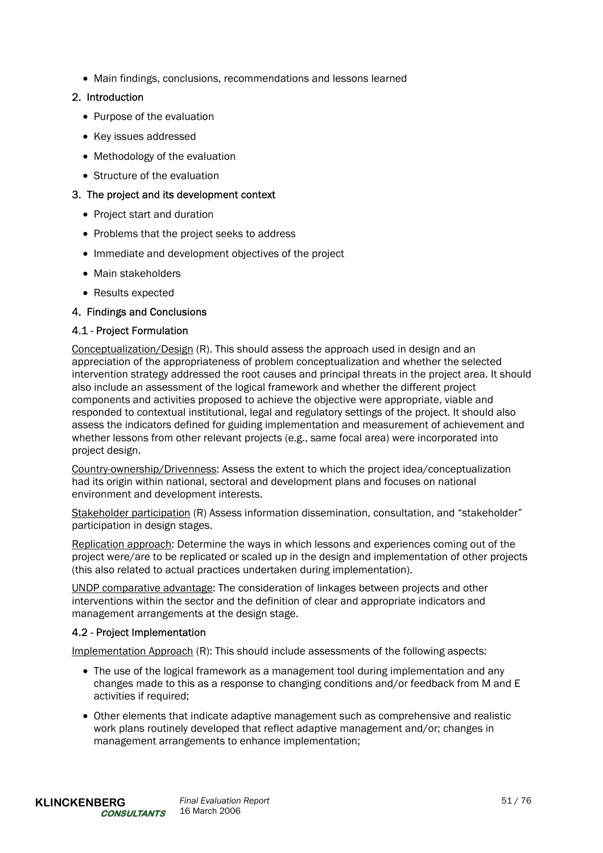• Main findings, conclusions, recommendations and lessons learned

# 2. Introduction

- Purpose of the evaluation
- Key issues addressed
- Methodology of the evaluation
- Structure of the evaluation

# 3. The project and its development context

- Project start and duration
- Problems that the project seeks to address
- Immediate and development objectives of the project
- Main stakeholders
- Results expected

# 4. Findings and Conclusions

# 4.1 - Project Formulation

Conceptualization/Design (R). This should assess the approach used in design and an appreciation of the appropriateness of problem conceptualization and whether the selected intervention strategy addressed the root causes and principal threats in the project area. It should also include an assessment of the logical framework and whether the different project components and activities proposed to achieve the objective were appropriate, viable and responded to contextual institutional, legal and regulatory settings of the project. It should also assess the indicators defined for guiding implementation and measurement of achievement and whether lessons from other relevant projects (e.g., same focal area) were incorporated into project design.

Country-ownership/Drivenness: Assess the extent to which the project idea/conceptualization had its origin within national, sectoral and development plans and focuses on national environment and development interests.

Stakeholder participation (R) Assess information dissemination, consultation, and "stakeholder" participation in design stages.

Replication approach: Determine the ways in which lessons and experiences coming out of the project were/are to be replicated or scaled up in the design and implementation of other projects (this also related to actual practices undertaken during implementation).

UNDP comparative advantage: The consideration of linkages between projects and other interventions within the sector and the definition of clear and appropriate indicators and management arrangements at the design stage.

# 4.2 - Project Implementation

Implementation Approach (R): This should include assessments of the following aspects:

- The use of the logical framework as a management tool during implementation and any changes made to this as a response to changing conditions and/or feedback from M and E activities if required;
- Other elements that indicate adaptive management such as comprehensive and realistic work plans routinely developed that reflect adaptive management and/or; changes in management arrangements to enhance implementation;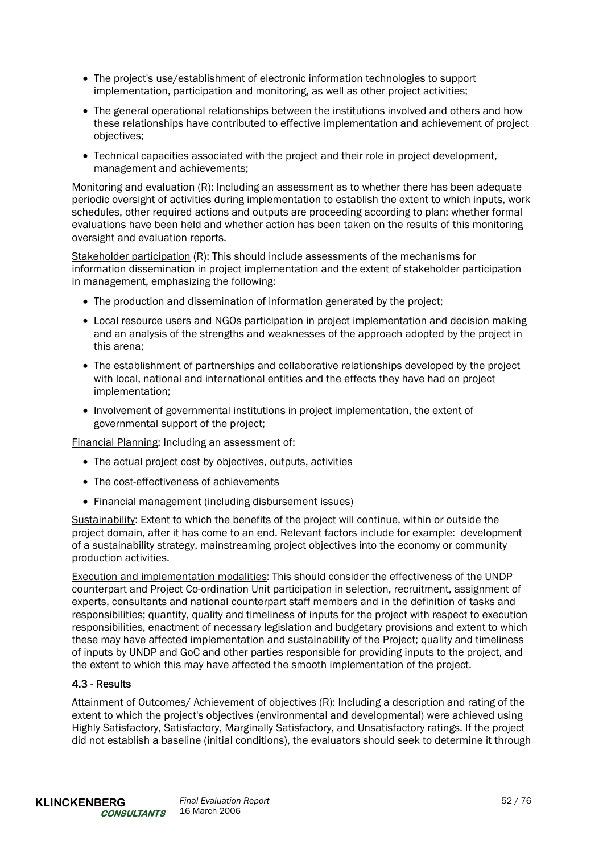- The project's use/establishment of electronic information technologies to support implementation, participation and monitoring, as well as other project activities;
- The general operational relationships between the institutions involved and others and how these relationships have contributed to effective implementation and achievement of project objectives;
- Technical capacities associated with the project and their role in project development, management and achievements;

Monitoring and evaluation (R): Including an assessment as to whether there has been adequate periodic oversight of activities during implementation to establish the extent to which inputs, work schedules, other required actions and outputs are proceeding according to plan; whether formal evaluations have been held and whether action has been taken on the results of this monitoring oversight and evaluation reports.

Stakeholder participation (R): This should include assessments of the mechanisms for information dissemination in project implementation and the extent of stakeholder participation in management, emphasizing the following:

- The production and dissemination of information generated by the project;
- Local resource users and NGOs participation in project implementation and decision making and an analysis of the strengths and weaknesses of the approach adopted by the project in this arena;
- The establishment of partnerships and collaborative relationships developed by the project with local, national and international entities and the effects they have had on project implementation;
- Involvement of governmental institutions in project implementation, the extent of governmental support of the project;

Financial Planning: Including an assessment of:

- The actual project cost by objectives, outputs, activities
- The cost-effectiveness of achievements
- Financial management (including disbursement issues)

Sustainability: Extent to which the benefits of the project will continue, within or outside the project domain, after it has come to an end. Relevant factors include for example: development of a sustainability strategy, mainstreaming project objectives into the economy or community production activities.

Execution and implementation modalities: This should consider the effectiveness of the UNDP counterpart and Project Co-ordination Unit participation in selection, recruitment, assignment of experts, consultants and national counterpart staff members and in the definition of tasks and responsibilities; quantity, quality and timeliness of inputs for the project with respect to execution responsibilities, enactment of necessary legislation and budgetary provisions and extent to which these may have affected implementation and sustainability of the Project; quality and timeliness of inputs by UNDP and GoC and other parties responsible for providing inputs to the project, and the extent to which this may have affected the smooth implementation of the project.

# 4.3 - Results

Attainment of Outcomes/ Achievement of objectives (R): Including a description and rating of the extent to which the project's objectives (environmental and developmental) were achieved using Highly Satisfactory, Satisfactory, Marginally Satisfactory, and Unsatisfactory ratings. If the project did not establish a baseline (initial conditions), the evaluators should seek to determine it through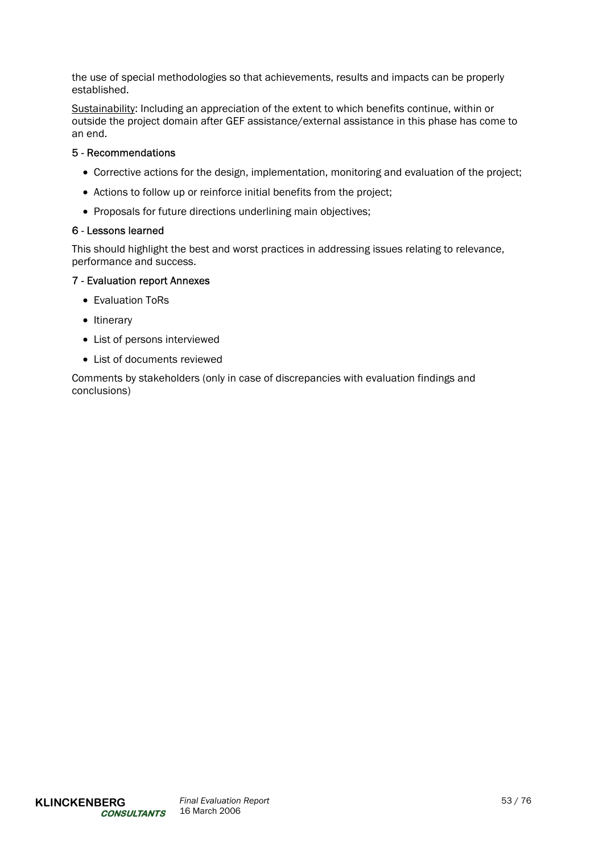the use of special methodologies so that achievements, results and impacts can be properly established.

Sustainability: Including an appreciation of the extent to which benefits continue, within or outside the project domain after GEF assistance/external assistance in this phase has come to an end.

# 5 - Recommendations

- Corrective actions for the design, implementation, monitoring and evaluation of the project;
- Actions to follow up or reinforce initial benefits from the project;
- Proposals for future directions underlining main objectives;

### 6 - Lessons learned

This should highlight the best and worst practices in addressing issues relating to relevance, performance and success.

# 7 - Evaluation report Annexes

- Evaluation ToRs
- Itinerary
- List of persons interviewed
- List of documents reviewed

Comments by stakeholders (only in case of discrepancies with evaluation findings and conclusions)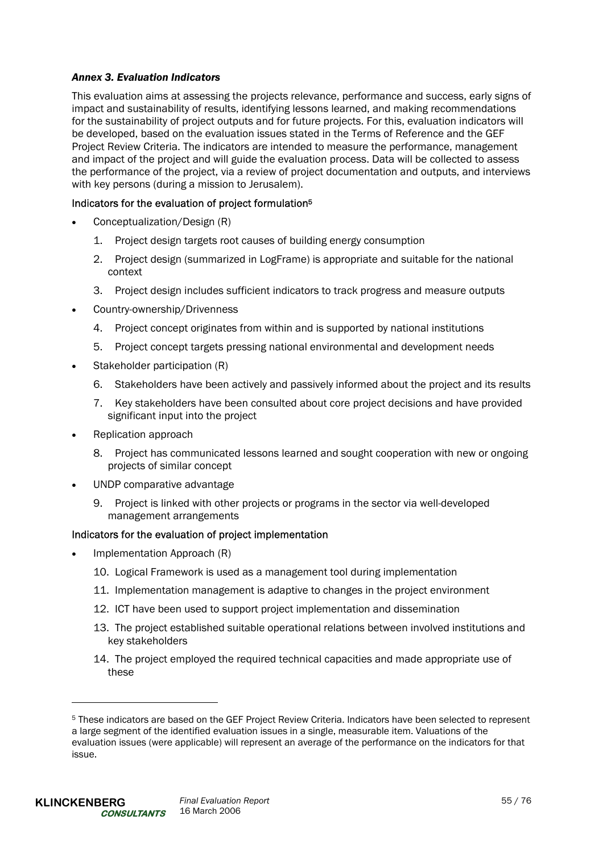# *Annex 3. Evaluation Indicators*

This evaluation aims at assessing the projects relevance, performance and success, early signs of impact and sustainability of results, identifying lessons learned, and making recommendations for the sustainability of project outputs and for future projects. For this, evaluation indicators will be developed, based on the evaluation issues stated in the Terms of Reference and the GEF Project Review Criteria. The indicators are intended to measure the performance, management and impact of the project and will guide the evaluation process. Data will be collected to assess the performance of the project, via a review of project documentation and outputs, and interviews with key persons (during a mission to Jerusalem).

# Indicators for the evaluation of project formulation5

- Conceptualization/Design (R)
	- 1. Project design targets root causes of building energy consumption
	- 2. Project design (summarized in LogFrame) is appropriate and suitable for the national context
	- 3. Project design includes sufficient indicators to track progress and measure outputs
- Country-ownership/Drivenness
	- 4. Project concept originates from within and is supported by national institutions
	- 5. Project concept targets pressing national environmental and development needs
- Stakeholder participation (R)
	- 6. Stakeholders have been actively and passively informed about the project and its results
	- 7. Key stakeholders have been consulted about core project decisions and have provided significant input into the project
- Replication approach
	- 8. Project has communicated lessons learned and sought cooperation with new or ongoing projects of similar concept
- UNDP comparative advantage
	- 9. Project is linked with other projects or programs in the sector via well-developed management arrangements

### Indicators for the evaluation of project implementation

- Implementation Approach (R)
	- 10. Logical Framework is used as a management tool during implementation
	- 11. Implementation management is adaptive to changes in the project environment
	- 12. ICT have been used to support project implementation and dissemination
	- 13. The project established suitable operational relations between involved institutions and key stakeholders
	- 14. The project employed the required technical capacities and made appropriate use of these

l

<sup>5</sup> These indicators are based on the GEF Project Review Criteria. Indicators have been selected to represent a large segment of the identified evaluation issues in a single, measurable item. Valuations of the evaluation issues (were applicable) will represent an average of the performance on the indicators for that issue.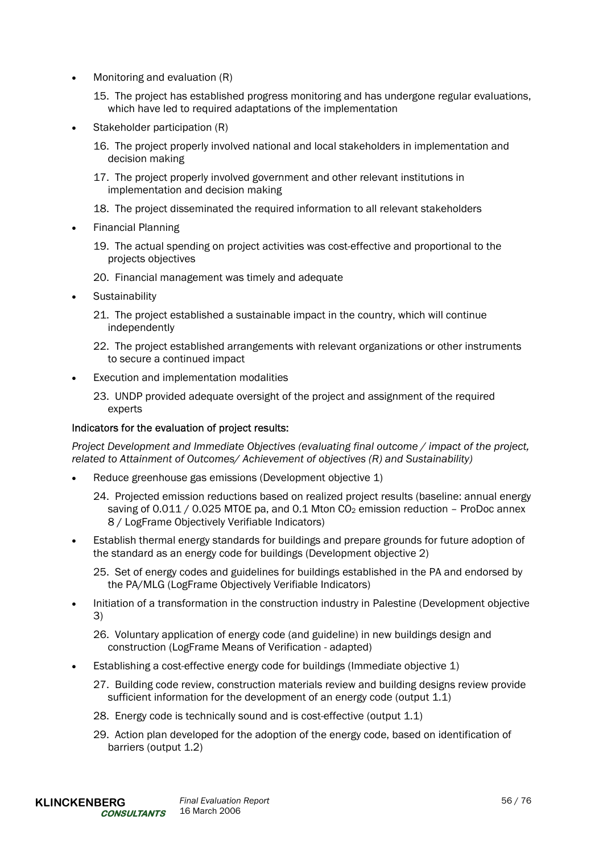- Monitoring and evaluation (R)
	- 15. The project has established progress monitoring and has undergone regular evaluations, which have led to required adaptations of the implementation
- Stakeholder participation (R)
	- 16. The project properly involved national and local stakeholders in implementation and decision making
	- 17. The project properly involved government and other relevant institutions in implementation and decision making
	- 18. The project disseminated the required information to all relevant stakeholders
- Financial Planning
	- 19. The actual spending on project activities was cost-effective and proportional to the projects objectives
	- 20. Financial management was timely and adequate
- **Sustainability** 
	- 21. The project established a sustainable impact in the country, which will continue independently
	- 22. The project established arrangements with relevant organizations or other instruments to secure a continued impact
- Execution and implementation modalities
	- 23. UNDP provided adequate oversight of the project and assignment of the required experts

### Indicators for the evaluation of project results:

*Project Development and Immediate Objectives (evaluating final outcome / impact of the project, related to Attainment of Outcomes/ Achievement of objectives (R) and Sustainability)* 

- Reduce greenhouse gas emissions (Development objective 1)
	- 24. Projected emission reductions based on realized project results (baseline: annual energy saving of  $0.011 / 0.025$  MTOE pa, and 0.1 Mton CO<sub>2</sub> emission reduction – ProDoc annex 8 / LogFrame Objectively Verifiable Indicators)
- Establish thermal energy standards for buildings and prepare grounds for future adoption of the standard as an energy code for buildings (Development objective 2)
	- 25. Set of energy codes and guidelines for buildings established in the PA and endorsed by the PA/MLG (LogFrame Objectively Verifiable Indicators)
- Initiation of a transformation in the construction industry in Palestine (Development objective 3)

26. Voluntary application of energy code (and guideline) in new buildings design and construction (LogFrame Means of Verification - adapted)

- Establishing a cost-effective energy code for buildings (Immediate objective 1)
	- 27. Building code review, construction materials review and building designs review provide sufficient information for the development of an energy code (output 1.1)
	- 28. Energy code is technically sound and is cost-effective (output 1.1)
	- 29. Action plan developed for the adoption of the energy code, based on identification of barriers (output 1.2)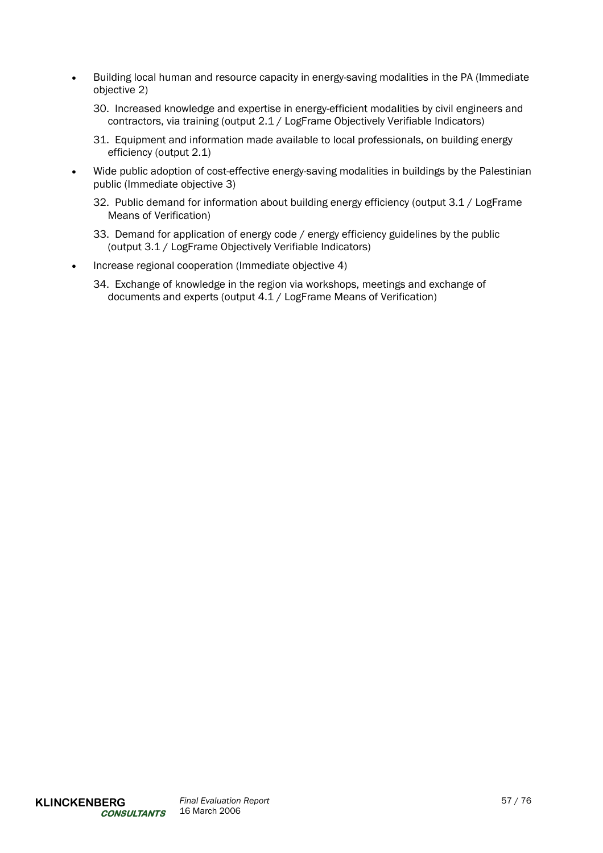- Building local human and resource capacity in energy-saving modalities in the PA (Immediate objective 2)
	- 30. Increased knowledge and expertise in energy-efficient modalities by civil engineers and contractors, via training (output 2.1 / LogFrame Objectively Verifiable Indicators)
	- 31. Equipment and information made available to local professionals, on building energy efficiency (output 2.1)
- Wide public adoption of cost-effective energy-saving modalities in buildings by the Palestinian public (Immediate objective 3)
	- 32. Public demand for information about building energy efficiency (output 3.1 / LogFrame Means of Verification)
	- 33. Demand for application of energy code / energy efficiency guidelines by the public (output 3.1 / LogFrame Objectively Verifiable Indicators)
- Increase regional cooperation (Immediate objective 4)
	- 34. Exchange of knowledge in the region via workshops, meetings and exchange of documents and experts (output 4.1 / LogFrame Means of Verification)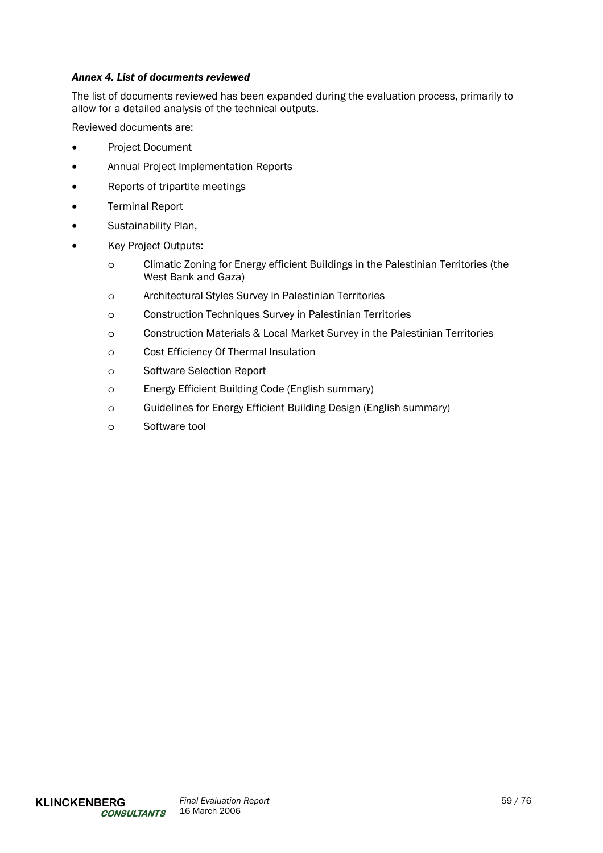# *Annex 4. List of documents reviewed*

The list of documents reviewed has been expanded during the evaluation process, primarily to allow for a detailed analysis of the technical outputs.

Reviewed documents are:

- Project Document
- Annual Project Implementation Reports
- Reports of tripartite meetings
- Terminal Report
- Sustainability Plan,
- Key Project Outputs:
	- o Climatic Zoning for Energy efficient Buildings in the Palestinian Territories (the West Bank and Gaza)
	- o Architectural Styles Survey in Palestinian Territories
	- o Construction Techniques Survey in Palestinian Territories
	- o Construction Materials & Local Market Survey in the Palestinian Territories
	- o Cost Efficiency Of Thermal Insulation
	- o Software Selection Report
	- o Energy Efficient Building Code (English summary)
	- o Guidelines for Energy Efficient Building Design (English summary)
	- o Software tool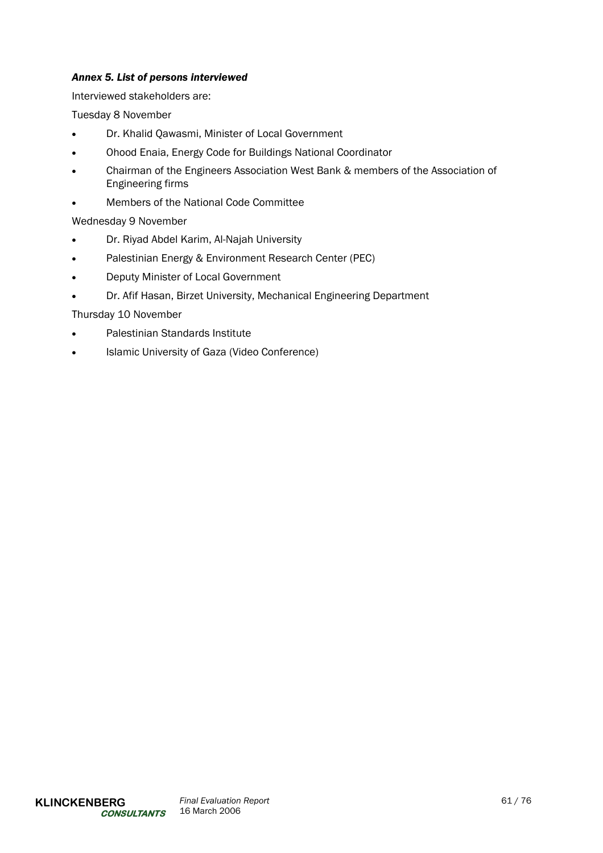# *Annex 5. List of persons interviewed*

Interviewed stakeholders are:

Tuesday 8 November

- Dr. Khalid Qawasmi, Minister of Local Government
- Ohood Enaia, Energy Code for Buildings National Coordinator
- Chairman of the Engineers Association West Bank & members of the Association of Engineering firms
- Members of the National Code Committee

# Wednesday 9 November

- Dr. Riyad Abdel Karim, Al-Najah University
- Palestinian Energy & Environment Research Center (PEC)
- Deputy Minister of Local Government
- Dr. Afif Hasan, Birzet University, Mechanical Engineering Department

# Thursday 10 November

- Palestinian Standards Institute
- Islamic University of Gaza (Video Conference)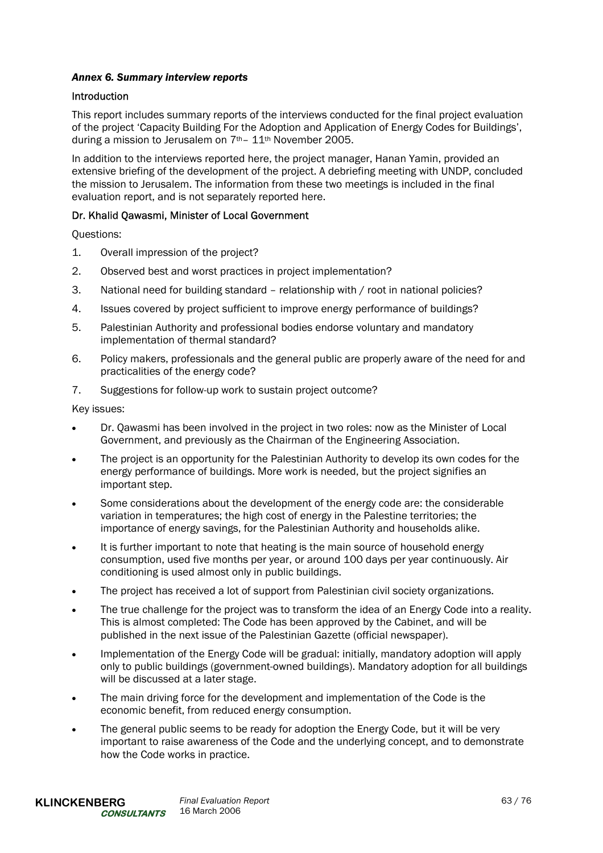# *Annex 6. Summary interview reports*

# Introduction

This report includes summary reports of the interviews conducted for the final project evaluation of the project 'Capacity Building For the Adoption and Application of Energy Codes for Buildings', during a mission to Jerusalem on 7th– 11th November 2005.

In addition to the interviews reported here, the project manager, Hanan Yamin, provided an extensive briefing of the development of the project. A debriefing meeting with UNDP, concluded the mission to Jerusalem. The information from these two meetings is included in the final evaluation report, and is not separately reported here.

# Dr. Khalid Qawasmi, Minister of Local Government

Questions:

- 1. Overall impression of the project?
- 2. Observed best and worst practices in project implementation?
- 3. National need for building standard relationship with / root in national policies?
- 4. Issues covered by project sufficient to improve energy performance of buildings?
- 5. Palestinian Authority and professional bodies endorse voluntary and mandatory implementation of thermal standard?
- 6. Policy makers, professionals and the general public are properly aware of the need for and practicalities of the energy code?
- 7. Suggestions for follow-up work to sustain project outcome?

- Dr. Qawasmi has been involved in the project in two roles: now as the Minister of Local Government, and previously as the Chairman of the Engineering Association.
- The project is an opportunity for the Palestinian Authority to develop its own codes for the energy performance of buildings. More work is needed, but the project signifies an important step.
- Some considerations about the development of the energy code are: the considerable variation in temperatures; the high cost of energy in the Palestine territories; the importance of energy savings, for the Palestinian Authority and households alike.
- It is further important to note that heating is the main source of household energy consumption, used five months per year, or around 100 days per year continuously. Air conditioning is used almost only in public buildings.
- The project has received a lot of support from Palestinian civil society organizations.
- The true challenge for the project was to transform the idea of an Energy Code into a reality. This is almost completed: The Code has been approved by the Cabinet, and will be published in the next issue of the Palestinian Gazette (official newspaper).
- Implementation of the Energy Code will be gradual: initially, mandatory adoption will apply only to public buildings (government-owned buildings). Mandatory adoption for all buildings will be discussed at a later stage.
- The main driving force for the development and implementation of the Code is the economic benefit, from reduced energy consumption.
- The general public seems to be ready for adoption the Energy Code, but it will be very important to raise awareness of the Code and the underlying concept, and to demonstrate how the Code works in practice.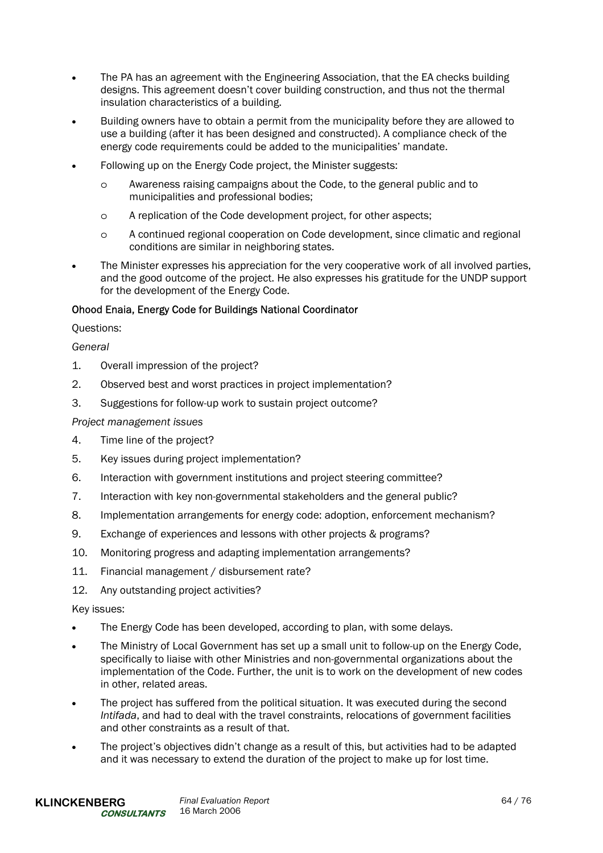- The PA has an agreement with the Engineering Association, that the EA checks building designs. This agreement doesn't cover building construction, and thus not the thermal insulation characteristics of a building.
- Building owners have to obtain a permit from the municipality before they are allowed to use a building (after it has been designed and constructed). A compliance check of the energy code requirements could be added to the municipalities' mandate.
- Following up on the Energy Code project, the Minister suggests:
	- o Awareness raising campaigns about the Code, to the general public and to municipalities and professional bodies;
	- o A replication of the Code development project, for other aspects;
	- o A continued regional cooperation on Code development, since climatic and regional conditions are similar in neighboring states.
- The Minister expresses his appreciation for the very cooperative work of all involved parties, and the good outcome of the project. He also expresses his gratitude for the UNDP support for the development of the Energy Code.

# Ohood Enaia, Energy Code for Buildings National Coordinator

### Questions:

# *General*

- 1. Overall impression of the project?
- 2. Observed best and worst practices in project implementation?
- 3. Suggestions for follow-up work to sustain project outcome?

### *Project management issues*

- 4. Time line of the project?
- 5. Key issues during project implementation?
- 6. Interaction with government institutions and project steering committee?
- 7. Interaction with key non-governmental stakeholders and the general public?
- 8. Implementation arrangements for energy code: adoption, enforcement mechanism?
- 9. Exchange of experiences and lessons with other projects & programs?
- 10. Monitoring progress and adapting implementation arrangements?
- 11. Financial management / disbursement rate?
- 12. Any outstanding project activities?

- The Energy Code has been developed, according to plan, with some delays.
- The Ministry of Local Government has set up a small unit to follow-up on the Energy Code, specifically to liaise with other Ministries and non-governmental organizations about the implementation of the Code. Further, the unit is to work on the development of new codes in other, related areas.
- The project has suffered from the political situation. It was executed during the second *Intifada*, and had to deal with the travel constraints, relocations of government facilities and other constraints as a result of that.
- The project's objectives didn't change as a result of this, but activities had to be adapted and it was necessary to extend the duration of the project to make up for lost time.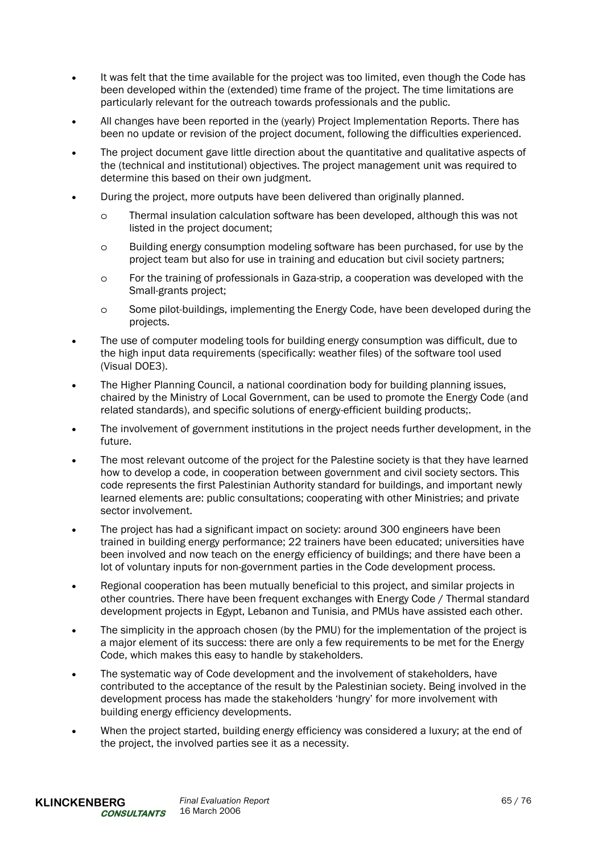- It was felt that the time available for the project was too limited, even though the Code has been developed within the (extended) time frame of the project. The time limitations are particularly relevant for the outreach towards professionals and the public.
- All changes have been reported in the (yearly) Project Implementation Reports. There has been no update or revision of the project document, following the difficulties experienced.
- The project document gave little direction about the quantitative and qualitative aspects of the (technical and institutional) objectives. The project management unit was required to determine this based on their own judgment.
- During the project, more outputs have been delivered than originally planned.
	- o Thermal insulation calculation software has been developed, although this was not listed in the project document;
	- o Building energy consumption modeling software has been purchased, for use by the project team but also for use in training and education but civil society partners;
	- o For the training of professionals in Gaza-strip, a cooperation was developed with the Small-grants project;
	- o Some pilot-buildings, implementing the Energy Code, have been developed during the projects.
- The use of computer modeling tools for building energy consumption was difficult, due to the high input data requirements (specifically: weather files) of the software tool used (Visual DOE3).
- The Higher Planning Council, a national coordination body for building planning issues, chaired by the Ministry of Local Government, can be used to promote the Energy Code (and related standards), and specific solutions of energy-efficient building products;.
- The involvement of government institutions in the project needs further development, in the future.
- The most relevant outcome of the project for the Palestine society is that they have learned how to develop a code, in cooperation between government and civil society sectors. This code represents the first Palestinian Authority standard for buildings, and important newly learned elements are: public consultations; cooperating with other Ministries; and private sector involvement.
- The project has had a significant impact on society: around 300 engineers have been trained in building energy performance; 22 trainers have been educated; universities have been involved and now teach on the energy efficiency of buildings; and there have been a lot of voluntary inputs for non-government parties in the Code development process.
- Regional cooperation has been mutually beneficial to this project, and similar projects in other countries. There have been frequent exchanges with Energy Code / Thermal standard development projects in Egypt, Lebanon and Tunisia, and PMUs have assisted each other.
- The simplicity in the approach chosen (by the PMU) for the implementation of the project is a major element of its success: there are only a few requirements to be met for the Energy Code, which makes this easy to handle by stakeholders.
- The systematic way of Code development and the involvement of stakeholders, have contributed to the acceptance of the result by the Palestinian society. Being involved in the development process has made the stakeholders 'hungry' for more involvement with building energy efficiency developments.
- When the project started, building energy efficiency was considered a luxury; at the end of the project, the involved parties see it as a necessity.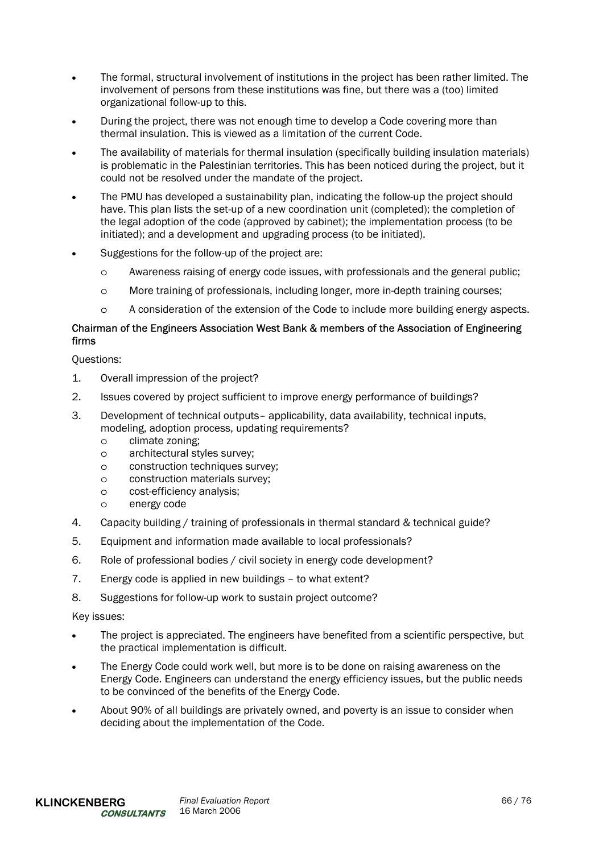- The formal, structural involvement of institutions in the project has been rather limited. The involvement of persons from these institutions was fine, but there was a (too) limited organizational follow-up to this.
- During the project, there was not enough time to develop a Code covering more than thermal insulation. This is viewed as a limitation of the current Code.
- The availability of materials for thermal insulation (specifically building insulation materials) is problematic in the Palestinian territories. This has been noticed during the project, but it could not be resolved under the mandate of the project.
- The PMU has developed a sustainability plan, indicating the follow-up the project should have. This plan lists the set-up of a new coordination unit (completed); the completion of the legal adoption of the code (approved by cabinet); the implementation process (to be initiated); and a development and upgrading process (to be initiated).
- Suggestions for the follow-up of the project are:
	- o Awareness raising of energy code issues, with professionals and the general public;
	- o More training of professionals, including longer, more in-depth training courses;
	- o A consideration of the extension of the Code to include more building energy aspects.

# Chairman of the Engineers Association West Bank & members of the Association of Engineering firms

Questions:

- 1. Overall impression of the project?
- 2. Issues covered by project sufficient to improve energy performance of buildings?
- 3. Development of technical outputs– applicability, data availability, technical inputs, modeling, adoption process, updating requirements?
	- o climate zoning;
	- o architectural styles survey;
	- o construction techniques survey;
	- o construction materials survey;
	- o cost-efficiency analysis;
	- o energy code
- 4. Capacity building / training of professionals in thermal standard & technical guide?
- 5. Equipment and information made available to local professionals?
- 6. Role of professional bodies / civil society in energy code development?
- 7. Energy code is applied in new buildings to what extent?
- 8. Suggestions for follow-up work to sustain project outcome?

- The project is appreciated. The engineers have benefited from a scientific perspective, but the practical implementation is difficult.
- The Energy Code could work well, but more is to be done on raising awareness on the Energy Code. Engineers can understand the energy efficiency issues, but the public needs to be convinced of the benefits of the Energy Code.
- About 90% of all buildings are privately owned, and poverty is an issue to consider when deciding about the implementation of the Code.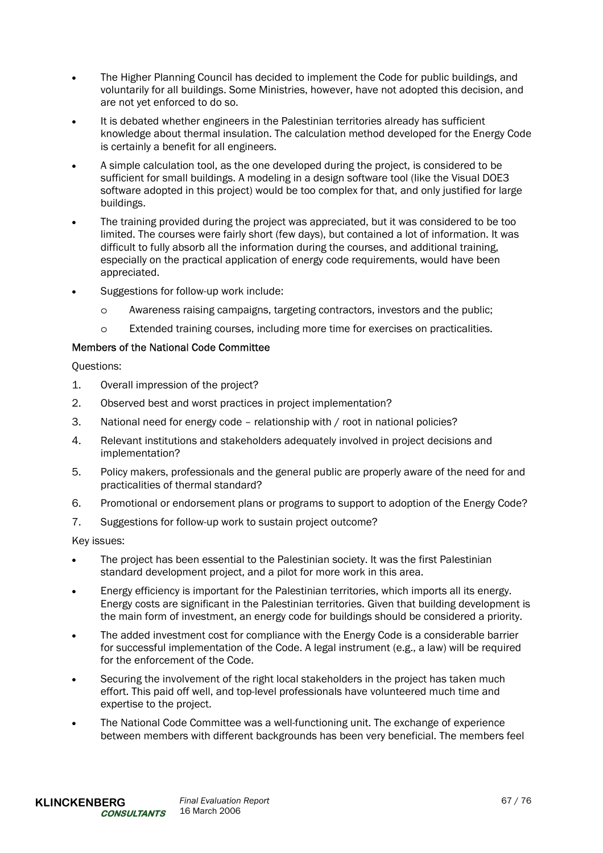- The Higher Planning Council has decided to implement the Code for public buildings, and voluntarily for all buildings. Some Ministries, however, have not adopted this decision, and are not yet enforced to do so.
- It is debated whether engineers in the Palestinian territories already has sufficient knowledge about thermal insulation. The calculation method developed for the Energy Code is certainly a benefit for all engineers.
- A simple calculation tool, as the one developed during the project, is considered to be sufficient for small buildings. A modeling in a design software tool (like the Visual DOE3 software adopted in this project) would be too complex for that, and only justified for large buildings.
- The training provided during the project was appreciated, but it was considered to be too limited. The courses were fairly short (few days), but contained a lot of information. It was difficult to fully absorb all the information during the courses, and additional training, especially on the practical application of energy code requirements, would have been appreciated.
- Suggestions for follow-up work include:
	- o Awareness raising campaigns, targeting contractors, investors and the public;
	- o Extended training courses, including more time for exercises on practicalities.

# Members of the National Code Committee

Questions:

- 1. Overall impression of the project?
- 2. Observed best and worst practices in project implementation?
- 3. National need for energy code relationship with / root in national policies?
- 4. Relevant institutions and stakeholders adequately involved in project decisions and implementation?
- 5. Policy makers, professionals and the general public are properly aware of the need for and practicalities of thermal standard?
- 6. Promotional or endorsement plans or programs to support to adoption of the Energy Code?
- 7. Suggestions for follow-up work to sustain project outcome?

- The project has been essential to the Palestinian society. It was the first Palestinian standard development project, and a pilot for more work in this area.
- Energy efficiency is important for the Palestinian territories, which imports all its energy. Energy costs are significant in the Palestinian territories. Given that building development is the main form of investment, an energy code for buildings should be considered a priority.
- The added investment cost for compliance with the Energy Code is a considerable barrier for successful implementation of the Code. A legal instrument (e.g., a law) will be required for the enforcement of the Code.
- Securing the involvement of the right local stakeholders in the project has taken much effort. This paid off well, and top-level professionals have volunteered much time and expertise to the project.
- The National Code Committee was a well-functioning unit. The exchange of experience between members with different backgrounds has been very beneficial. The members feel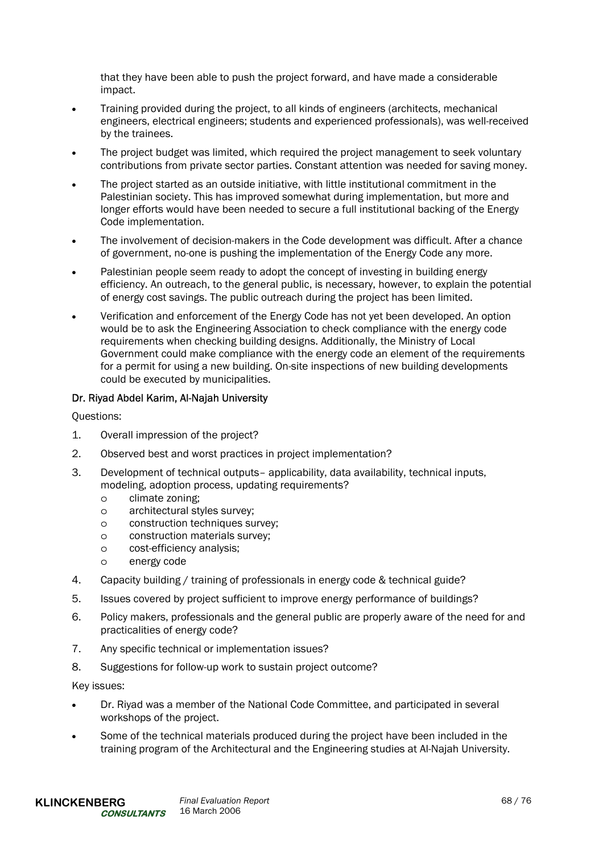that they have been able to push the project forward, and have made a considerable impact.

- Training provided during the project, to all kinds of engineers (architects, mechanical engineers, electrical engineers; students and experienced professionals), was well-received by the trainees.
- The project budget was limited, which required the project management to seek voluntary contributions from private sector parties. Constant attention was needed for saving money.
- The project started as an outside initiative, with little institutional commitment in the Palestinian society. This has improved somewhat during implementation, but more and longer efforts would have been needed to secure a full institutional backing of the Energy Code implementation.
- The involvement of decision-makers in the Code development was difficult. After a chance of government, no-one is pushing the implementation of the Energy Code any more.
- Palestinian people seem ready to adopt the concept of investing in building energy efficiency. An outreach, to the general public, is necessary, however, to explain the potential of energy cost savings. The public outreach during the project has been limited.
- Verification and enforcement of the Energy Code has not yet been developed. An option would be to ask the Engineering Association to check compliance with the energy code requirements when checking building designs. Additionally, the Ministry of Local Government could make compliance with the energy code an element of the requirements for a permit for using a new building. On-site inspections of new building developments could be executed by municipalities.

# Dr. Riyad Abdel Karim, Al-Najah University

Questions:

- 1. Overall impression of the project?
- 2. Observed best and worst practices in project implementation?
- 3. Development of technical outputs– applicability, data availability, technical inputs, modeling, adoption process, updating requirements?
	- o climate zoning;
	- o architectural styles survey;
	- o construction techniques survey;
	- o construction materials survey;
	- o cost-efficiency analysis;
	- o energy code
- 4. Capacity building / training of professionals in energy code & technical guide?
- 5. Issues covered by project sufficient to improve energy performance of buildings?
- 6. Policy makers, professionals and the general public are properly aware of the need for and practicalities of energy code?
- 7. Any specific technical or implementation issues?
- 8. Suggestions for follow-up work to sustain project outcome?

- Dr. Riyad was a member of the National Code Committee, and participated in several workshops of the project.
- Some of the technical materials produced during the project have been included in the training program of the Architectural and the Engineering studies at Al-Najah University.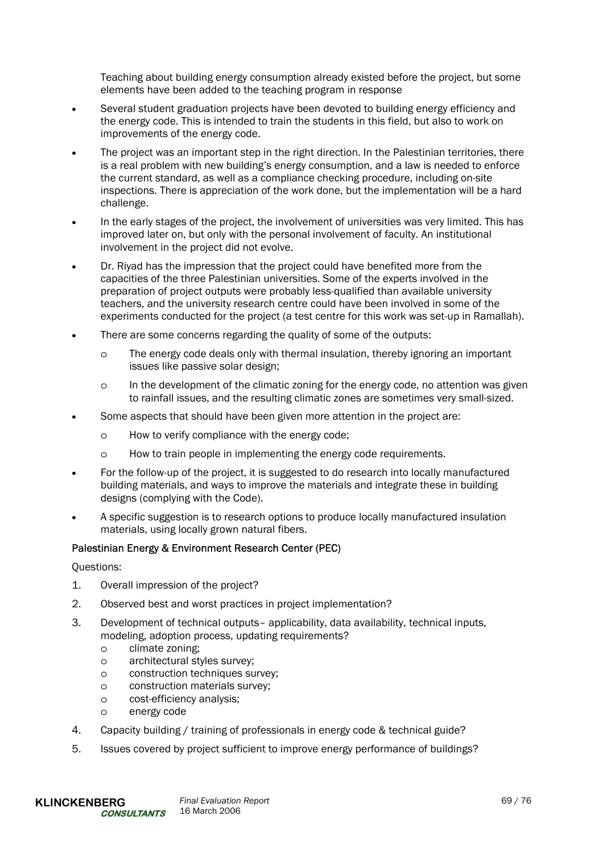Teaching about building energy consumption already existed before the project, but some elements have been added to the teaching program in response

- Several student graduation projects have been devoted to building energy efficiency and the energy code. This is intended to train the students in this field, but also to work on improvements of the energy code.
- The project was an important step in the right direction. In the Palestinian territories, there is a real problem with new building's energy consumption, and a law is needed to enforce the current standard, as well as a compliance checking procedure, including on-site inspections. There is appreciation of the work done, but the implementation will be a hard challenge.
- In the early stages of the project, the involvement of universities was very limited. This has improved later on, but only with the personal involvement of faculty. An institutional involvement in the project did not evolve.
- Dr. Riyad has the impression that the project could have benefited more from the capacities of the three Palestinian universities. Some of the experts involved in the preparation of project outputs were probably less-qualified than available university teachers, and the university research centre could have been involved in some of the experiments conducted for the project (a test centre for this work was set-up in Ramallah).
- There are some concerns regarding the quality of some of the outputs:
	- o The energy code deals only with thermal insulation, thereby ignoring an important issues like passive solar design;
	- o In the development of the climatic zoning for the energy code, no attention was given to rainfall issues, and the resulting climatic zones are sometimes very small-sized.
- Some aspects that should have been given more attention in the project are:
	- o How to verify compliance with the energy code;
	- o How to train people in implementing the energy code requirements.
- For the follow-up of the project, it is suggested to do research into locally manufactured building materials, and ways to improve the materials and integrate these in building designs (complying with the Code).
- A specific suggestion is to research options to produce locally manufactured insulation materials, using locally grown natural fibers.

### Palestinian Energy & Environment Research Center (PEC)

Questions:

- 1. Overall impression of the project?
- 2. Observed best and worst practices in project implementation?
- 3. Development of technical outputs– applicability, data availability, technical inputs, modeling, adoption process, updating requirements?
	- o climate zoning;
	- o architectural styles survey;
	- o construction techniques survey;
	- o construction materials survey;
	- o cost-efficiency analysis;
	- o energy code
- 4. Capacity building / training of professionals in energy code & technical guide?
- 5. Issues covered by project sufficient to improve energy performance of buildings?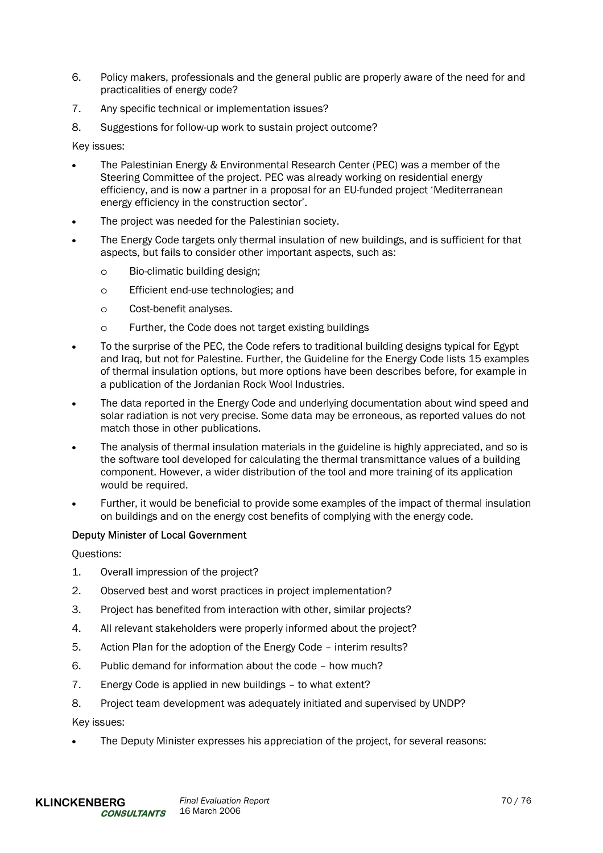- 6. Policy makers, professionals and the general public are properly aware of the need for and practicalities of energy code?
- 7. Any specific technical or implementation issues?
- 8. Suggestions for follow-up work to sustain project outcome?

Key issues:

- The Palestinian Energy & Environmental Research Center (PEC) was a member of the Steering Committee of the project. PEC was already working on residential energy efficiency, and is now a partner in a proposal for an EU-funded project 'Mediterranean energy efficiency in the construction sector'.
- The project was needed for the Palestinian society.
- The Energy Code targets only thermal insulation of new buildings, and is sufficient for that aspects, but fails to consider other important aspects, such as:
	- o Bio-climatic building design;
	- o Efficient end-use technologies; and
	- o Cost-benefit analyses.
	- o Further, the Code does not target existing buildings
- To the surprise of the PEC, the Code refers to traditional building designs typical for Egypt and Iraq, but not for Palestine. Further, the Guideline for the Energy Code lists 15 examples of thermal insulation options, but more options have been describes before, for example in a publication of the Jordanian Rock Wool Industries.
- The data reported in the Energy Code and underlying documentation about wind speed and solar radiation is not very precise. Some data may be erroneous, as reported values do not match those in other publications.
- The analysis of thermal insulation materials in the guideline is highly appreciated, and so is the software tool developed for calculating the thermal transmittance values of a building component. However, a wider distribution of the tool and more training of its application would be required.
- Further, it would be beneficial to provide some examples of the impact of thermal insulation on buildings and on the energy cost benefits of complying with the energy code.

# Deputy Minister of Local Government

Questions:

- 1. Overall impression of the project?
- 2. Observed best and worst practices in project implementation?
- 3. Project has benefited from interaction with other, similar projects?
- 4. All relevant stakeholders were properly informed about the project?
- 5. Action Plan for the adoption of the Energy Code interim results?
- 6. Public demand for information about the code how much?
- 7. Energy Code is applied in new buildings to what extent?
- 8. Project team development was adequately initiated and supervised by UNDP?

Key issues:

• The Deputy Minister expresses his appreciation of the project, for several reasons: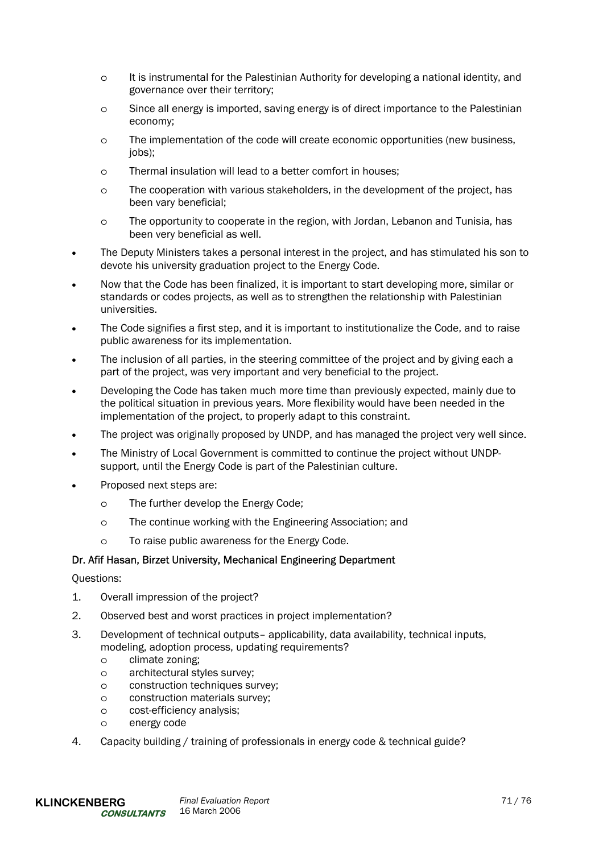- o It is instrumental for the Palestinian Authority for developing a national identity, and governance over their territory;
- o Since all energy is imported, saving energy is of direct importance to the Palestinian economy;
- o The implementation of the code will create economic opportunities (new business, iobs):
- o Thermal insulation will lead to a better comfort in houses;
- o The cooperation with various stakeholders, in the development of the project, has been vary beneficial;
- o The opportunity to cooperate in the region, with Jordan, Lebanon and Tunisia, has been very beneficial as well.
- The Deputy Ministers takes a personal interest in the project, and has stimulated his son to devote his university graduation project to the Energy Code.
- Now that the Code has been finalized, it is important to start developing more, similar or standards or codes projects, as well as to strengthen the relationship with Palestinian universities.
- The Code signifies a first step, and it is important to institutionalize the Code, and to raise public awareness for its implementation.
- The inclusion of all parties, in the steering committee of the project and by giving each a part of the project, was very important and very beneficial to the project.
- Developing the Code has taken much more time than previously expected, mainly due to the political situation in previous years. More flexibility would have been needed in the implementation of the project, to properly adapt to this constraint.
- The project was originally proposed by UNDP, and has managed the project very well since.
- The Ministry of Local Government is committed to continue the project without UNDPsupport, until the Energy Code is part of the Palestinian culture.
- Proposed next steps are:
	- o The further develop the Energy Code;
	- o The continue working with the Engineering Association; and
	- o To raise public awareness for the Energy Code.

## Dr. Afif Hasan, Birzet University, Mechanical Engineering Department

## Questions:

- 1. Overall impression of the project?
- 2. Observed best and worst practices in project implementation?
- 3. Development of technical outputs– applicability, data availability, technical inputs, modeling, adoption process, updating requirements?
	- o climate zoning;
	- o architectural styles survey;
	- o construction techniques survey;
	- o construction materials survey;
	- o cost-efficiency analysis;
	- o energy code
- 4. Capacity building / training of professionals in energy code & technical guide?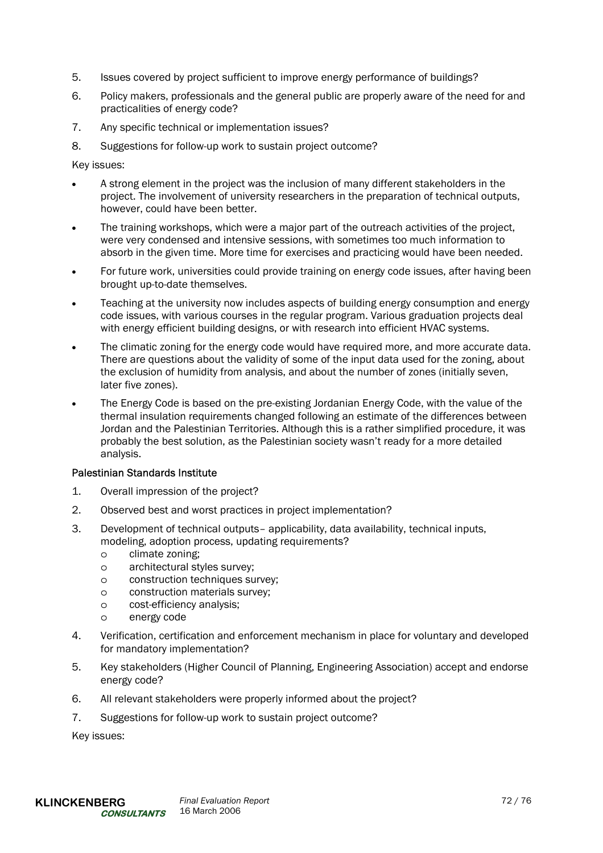- 5. Issues covered by project sufficient to improve energy performance of buildings?
- 6. Policy makers, professionals and the general public are properly aware of the need for and practicalities of energy code?
- 7. Any specific technical or implementation issues?
- 8. Suggestions for follow-up work to sustain project outcome?

Key issues:

- A strong element in the project was the inclusion of many different stakeholders in the project. The involvement of university researchers in the preparation of technical outputs, however, could have been better.
- The training workshops, which were a major part of the outreach activities of the project. were very condensed and intensive sessions, with sometimes too much information to absorb in the given time. More time for exercises and practicing would have been needed.
- For future work, universities could provide training on energy code issues, after having been brought up-to-date themselves.
- Teaching at the university now includes aspects of building energy consumption and energy code issues, with various courses in the regular program. Various graduation projects deal with energy efficient building designs, or with research into efficient HVAC systems.
- The climatic zoning for the energy code would have required more, and more accurate data. There are questions about the validity of some of the input data used for the zoning, about the exclusion of humidity from analysis, and about the number of zones (initially seven, later five zones).
- The Energy Code is based on the pre-existing Jordanian Energy Code, with the value of the thermal insulation requirements changed following an estimate of the differences between Jordan and the Palestinian Territories. Although this is a rather simplified procedure, it was probably the best solution, as the Palestinian society wasn't ready for a more detailed analysis.

## Palestinian Standards Institute

- 1. Overall impression of the project?
- 2. Observed best and worst practices in project implementation?
- 3. Development of technical outputs– applicability, data availability, technical inputs, modeling, adoption process, updating requirements?
	- o climate zoning;
	- o architectural styles survey;
	- o construction techniques survey;
	- o construction materials survey;
	- o cost-efficiency analysis;
	- o energy code
- 4. Verification, certification and enforcement mechanism in place for voluntary and developed for mandatory implementation?
- 5. Key stakeholders (Higher Council of Planning, Engineering Association) accept and endorse energy code?
- 6. All relevant stakeholders were properly informed about the project?
- 7. Suggestions for follow-up work to sustain project outcome?

Key issues: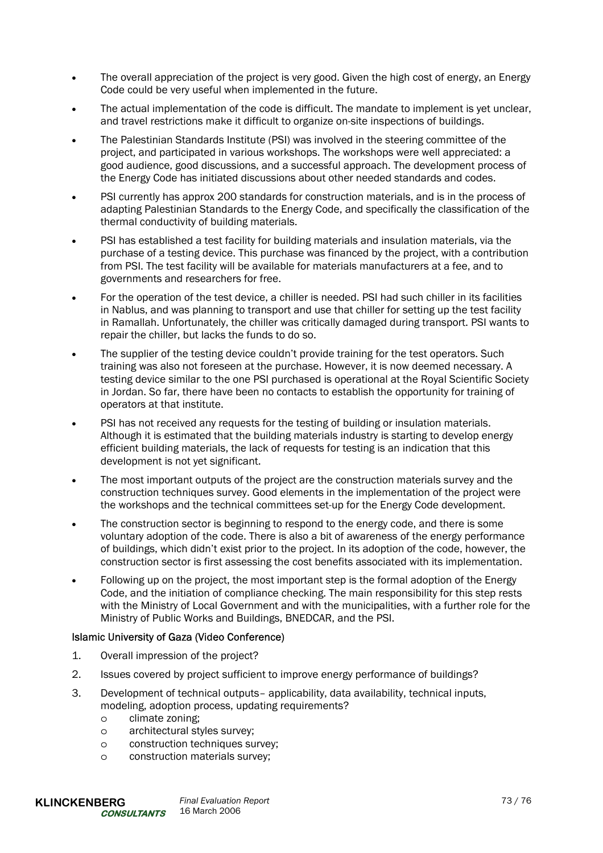- The overall appreciation of the project is very good. Given the high cost of energy, an Energy Code could be very useful when implemented in the future.
- The actual implementation of the code is difficult. The mandate to implement is yet unclear, and travel restrictions make it difficult to organize on-site inspections of buildings.
- The Palestinian Standards Institute (PSI) was involved in the steering committee of the project, and participated in various workshops. The workshops were well appreciated: a good audience, good discussions, and a successful approach. The development process of the Energy Code has initiated discussions about other needed standards and codes.
- PSI currently has approx 200 standards for construction materials, and is in the process of adapting Palestinian Standards to the Energy Code, and specifically the classification of the thermal conductivity of building materials.
- PSI has established a test facility for building materials and insulation materials, via the purchase of a testing device. This purchase was financed by the project, with a contribution from PSI. The test facility will be available for materials manufacturers at a fee, and to governments and researchers for free.
- For the operation of the test device, a chiller is needed. PSI had such chiller in its facilities in Nablus, and was planning to transport and use that chiller for setting up the test facility in Ramallah. Unfortunately, the chiller was critically damaged during transport. PSI wants to repair the chiller, but lacks the funds to do so.
- The supplier of the testing device couldn't provide training for the test operators. Such training was also not foreseen at the purchase. However, it is now deemed necessary. A testing device similar to the one PSI purchased is operational at the Royal Scientific Society in Jordan. So far, there have been no contacts to establish the opportunity for training of operators at that institute.
- PSI has not received any requests for the testing of building or insulation materials. Although it is estimated that the building materials industry is starting to develop energy efficient building materials, the lack of requests for testing is an indication that this development is not yet significant.
- The most important outputs of the project are the construction materials survey and the construction techniques survey. Good elements in the implementation of the project were the workshops and the technical committees set-up for the Energy Code development.
- The construction sector is beginning to respond to the energy code, and there is some voluntary adoption of the code. There is also a bit of awareness of the energy performance of buildings, which didn't exist prior to the project. In its adoption of the code, however, the construction sector is first assessing the cost benefits associated with its implementation.
- Following up on the project, the most important step is the formal adoption of the Energy Code, and the initiation of compliance checking. The main responsibility for this step rests with the Ministry of Local Government and with the municipalities, with a further role for the Ministry of Public Works and Buildings, BNEDCAR, and the PSI.

## Islamic University of Gaza (Video Conference)

- 1. Overall impression of the project?
- 2. Issues covered by project sufficient to improve energy performance of buildings?
- 3. Development of technical outputs– applicability, data availability, technical inputs, modeling, adoption process, updating requirements?
	- o climate zoning;
	- o architectural styles survey;
	- o construction techniques survey;
	- o construction materials survey;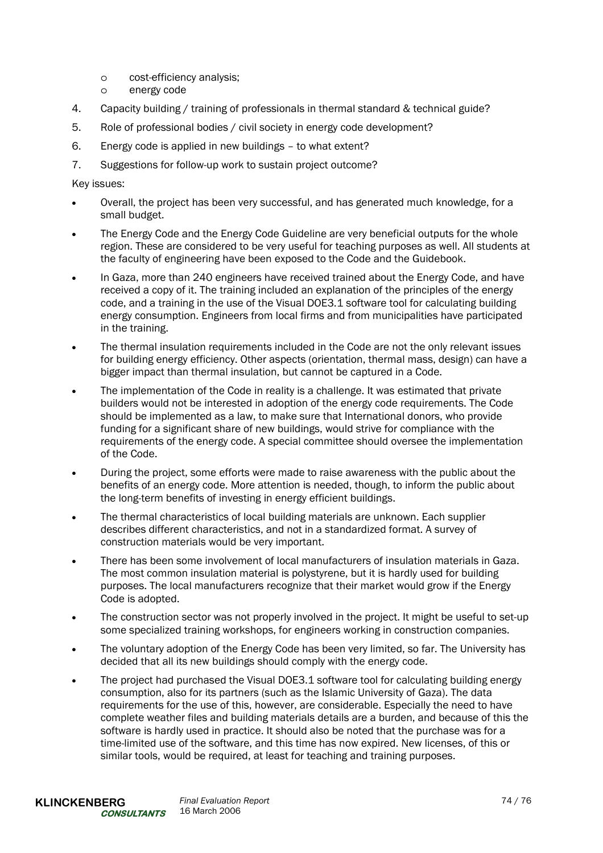- o cost-efficiency analysis;
- o energy code
- 4. Capacity building / training of professionals in thermal standard & technical guide?
- 5. Role of professional bodies / civil society in energy code development?
- 6. Energy code is applied in new buildings to what extent?
- 7. Suggestions for follow-up work to sustain project outcome?

Key issues:

- Overall, the project has been very successful, and has generated much knowledge, for a small budget.
- The Energy Code and the Energy Code Guideline are very beneficial outputs for the whole region. These are considered to be very useful for teaching purposes as well. All students at the faculty of engineering have been exposed to the Code and the Guidebook.
- In Gaza, more than 240 engineers have received trained about the Energy Code, and have received a copy of it. The training included an explanation of the principles of the energy code, and a training in the use of the Visual DOE3.1 software tool for calculating building energy consumption. Engineers from local firms and from municipalities have participated in the training.
- The thermal insulation requirements included in the Code are not the only relevant issues for building energy efficiency. Other aspects (orientation, thermal mass, design) can have a bigger impact than thermal insulation, but cannot be captured in a Code.
- The implementation of the Code in reality is a challenge. It was estimated that private builders would not be interested in adoption of the energy code requirements. The Code should be implemented as a law, to make sure that International donors, who provide funding for a significant share of new buildings, would strive for compliance with the requirements of the energy code. A special committee should oversee the implementation of the Code.
- During the project, some efforts were made to raise awareness with the public about the benefits of an energy code. More attention is needed, though, to inform the public about the long-term benefits of investing in energy efficient buildings.
- The thermal characteristics of local building materials are unknown. Each supplier describes different characteristics, and not in a standardized format. A survey of construction materials would be very important.
- There has been some involvement of local manufacturers of insulation materials in Gaza. The most common insulation material is polystyrene, but it is hardly used for building purposes. The local manufacturers recognize that their market would grow if the Energy Code is adopted.
- The construction sector was not properly involved in the project. It might be useful to set-up some specialized training workshops, for engineers working in construction companies.
- The voluntary adoption of the Energy Code has been very limited, so far. The University has decided that all its new buildings should comply with the energy code.
- The project had purchased the Visual DOE3.1 software tool for calculating building energy consumption, also for its partners (such as the Islamic University of Gaza). The data requirements for the use of this, however, are considerable. Especially the need to have complete weather files and building materials details are a burden, and because of this the software is hardly used in practice. It should also be noted that the purchase was for a time-limited use of the software, and this time has now expired. New licenses, of this or similar tools, would be required, at least for teaching and training purposes.